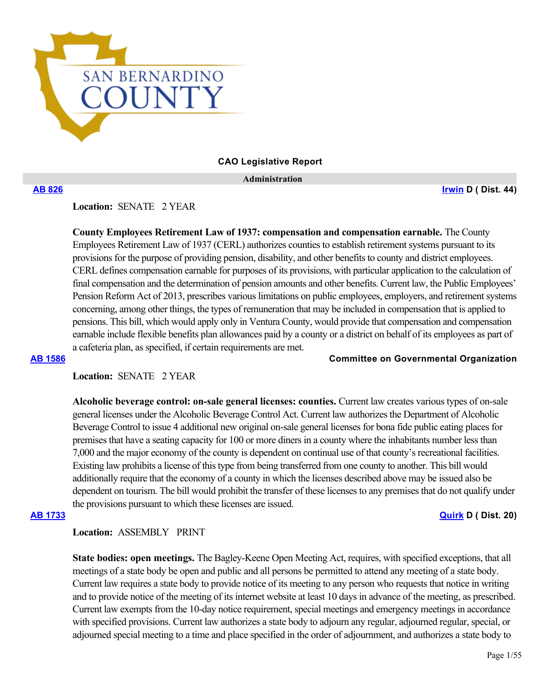

**CAO Legislative Report**

 **Administration**

**[AB 826](https://ctweb.capitoltrack.com/public/publishbillinfo.aspx?bi=%2Bd%2FR9jqxijGKtj2u%2F7e1zBCgWhpt%2FsQl1UEAsSDiQw9xMELbpo%2Bb45u2zVfV2CDE) [Irwin](https://a44.asmdc.org/) D ( Dist. 44)**

**Location:**  SENATE 2 YEAR

**County Employees Retirement Law of 1937: compensation and compensation earnable.** The County Employees Retirement Law of 1937 (CERL) authorizes counties to establish retirement systems pursuant to its provisions for the purpose of providing pension, disability, and other benefits to county and district employees. CERL defines compensation earnable for purposes of its provisions, with particular application to the calculation of final compensation and the determination of pension amounts and other benefits. Current law, the Public Employees' Pension Reform Act of 2013, prescribes various limitations on public employees, employers, and retirement systems concerning, among other things, the types of remuneration that may be included in compensation that is applied to pensions. This bill, which would apply only in Ventura County, would provide that compensation and compensation earnable include flexible benefits plan allowances paid by a county or a district on behalf of its employees as part of a cafeteria plan, as specified, if certain requirements are met.

**[AB 1586](https://ctweb.capitoltrack.com/public/publishbillinfo.aspx?bi=fT8l35SLd2dv2JYZ%2F%2B8gwQJvqj43zZrI5h%2FSP17%2FUmviROlGWSLIyNSw5dHUsG8R) Committee on Governmental Organization**

## **Location:**  SENATE 2 YEAR

**Alcoholic beverage control: on-sale general licenses: counties.** Current law creates various types of on-sale general licenses under the Alcoholic Beverage Control Act. Current law authorizes the Department of Alcoholic Beverage Control to issue 4 additional new original on-sale general licenses for bona fide public eating places for premises that have a seating capacity for 100 or more diners in a county where the inhabitants number less than 7,000 and the major economy of the county is dependent on continual use of that county's recreational facilities. Existing law prohibits a license of this type from being transferred from one county to another. This bill would additionally require that the economy of a county in which the licenses described above may be issued also be dependent on tourism. The bill would prohibit the transfer of these licenses to any premises that do not qualify under the provisions pursuant to which these licenses are issued.

**[AB 1733](https://ctweb.capitoltrack.com/public/publishbillinfo.aspx?bi=gdXgMvvVB%2FXofsbZdlxRMIFcbIyYqdIKF%2BeEXtE2thnO4FAzsCRaxh3Ris06M6Lc) [Quirk](https://a20.asmdc.org/) D ( Dist. 20)**

### **Location:**  ASSEMBLY PRINT

**State bodies: open meetings.** The Bagley-Keene Open Meeting Act, requires, with specified exceptions, that all meetings of a state body be open and public and all persons be permitted to attend any meeting of a state body. Current law requires a state body to provide notice of its meeting to any person who requests that notice in writing and to provide notice of the meeting of its internet website at least 10 days in advance of the meeting, as prescribed. Current law exempts from the 10-day notice requirement, special meetings and emergency meetings in accordance with specified provisions. Current law authorizes a state body to adjourn any regular, adjourned regular, special, or adjourned special meeting to a time and place specified in the order of adjournment, and authorizes a state body to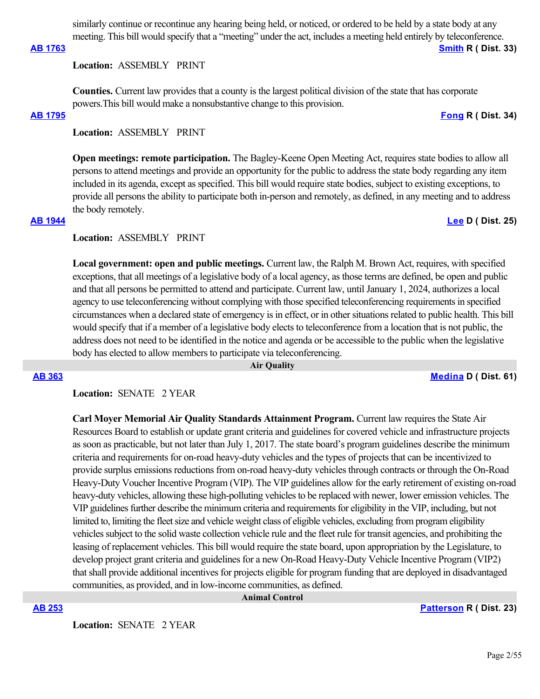similarly continue or recontinue any hearing being held, or noticed, or ordered to be held by a state body at any meeting. This bill would specify that a "meeting" under the act, includes a meeting held entirely by teleconference.

### **[AB 1763](https://ctweb.capitoltrack.com/public/publishbillinfo.aspx?bi=GebF4hg4dh4WZ3wAyMs0i6GyzvPW8jzP71EgQ68nz9qq6JuioNV05c65Wc175BQH) [Smith](https://ad33.asmrc.org/) R ( Dist. 33)**

**Location:**  ASSEMBLY PRINT

**Counties.** Current law provides that a county is the largest political division of the state that has corporate powers.This bill would make a nonsubstantive change to this provision.

### **[AB 1795](https://ctweb.capitoltrack.com/public/publishbillinfo.aspx?bi=wg1t5GtNNHGyFieQeDRThBmcov7bT8yqaJ5lWLv574S4EuG5ZAMvaQaW%2BnnloC16) [Fong](https://ad34.asmrc.org/) R ( Dist. 34)**

**Location:**  ASSEMBLY PRINT

**Open meetings: remote participation.** The Bagley-Keene Open Meeting Act, requires state bodies to allow all persons to attend meetings and provide an opportunity for the public to address the state body regarding any item included in its agenda, except as specified. This bill would require state bodies, subject to existing exceptions, to provide all persons the ability to participate both in-person and remotely, as defined, in any meeting and to address the body remotely.

# **[AB 1944](https://ctweb.capitoltrack.com/public/publishbillinfo.aspx?bi=mSePNxv%2B%2Bx1IZrircPgIMdYod4tDSh5ebPoxTwOq3k7Z4bYPmtsTzBRCkN2mVl1P) [Lee](https://a25.asmdc.org/) D ( Dist. 25)**

**Location:**  ASSEMBLY PRINT

**Local government: open and public meetings.** Current law, the Ralph M. Brown Act, requires, with specified exceptions, that all meetings of a legislative body of a local agency, as those terms are defined, be open and public and that all persons be permitted to attend and participate. Current law, until January 1, 2024, authorizes a local agency to use teleconferencing without complying with those specified teleconferencing requirements in specified circumstances when a declared state of emergency is in effect, or in other situations related to public health. This bill would specify that if a member of a legislative body elects to teleconference from a location that is not public, the address does not need to be identified in the notice and agenda or be accessible to the public when the legislative body has elected to allow members to participate via teleconferencing.

 **Air Quality**

**[AB 363](https://ctweb.capitoltrack.com/public/publishbillinfo.aspx?bi=2FTqX3ykyzFI3fjYnfYPvNx%2B5TzPwjFH0unSGt1j70FnNwutVs2Q%2FbhGj4n8Ffej) [Medina](https://a61.asmdc.org/) D ( Dist. 61)**

**Location:**  SENATE 2 YEAR

**Carl Moyer Memorial Air Quality Standards Attainment Program.** Current law requires the State Air Resources Board to establish or update grant criteria and guidelines for covered vehicle and infrastructure projects as soon as practicable, but not later than July 1, 2017. The state board's program guidelines describe the minimum criteria and requirements for on-road heavy-duty vehicles and the types of projects that can be incentivized to provide surplus emissions reductions from on-road heavy-duty vehicles through contracts or through the On-Road Heavy-Duty Voucher Incentive Program (VIP). The VIP guidelines allow for the early retirement of existing on-road heavy-duty vehicles, allowing these high-polluting vehicles to be replaced with newer, lower emission vehicles. The VIP guidelines further describe the minimum criteria and requirements for eligibility in the VIP, including, but not limited to, limiting the fleet size and vehicle weight class of eligible vehicles, excluding from program eligibility vehicles subject to the solid waste collection vehicle rule and the fleet rule for transit agencies, and prohibiting the leasing of replacement vehicles. This bill would require the state board, upon appropriation by the Legislature, to develop project grant criteria and guidelines for a new On-Road Heavy-Duty Vehicle Incentive Program (VIP2) that shall provide additional incentives for projects eligible for program funding that are deployed in disadvantaged communities, as provided, and in low-income communities, as defined.

 **Animal Control**

### **[AB 253](https://ctweb.capitoltrack.com/public/publishbillinfo.aspx?bi=GQCGowHCDHpTna5zSJgoguowHMgxmK2FRRve1q1XJLAw8a6Trlfhtp%2FefAgWjQBQ) [Patterson](https://ad23.asmrc.org/) R ( Dist. 23)**

**Location:**  SENATE 2 YEAR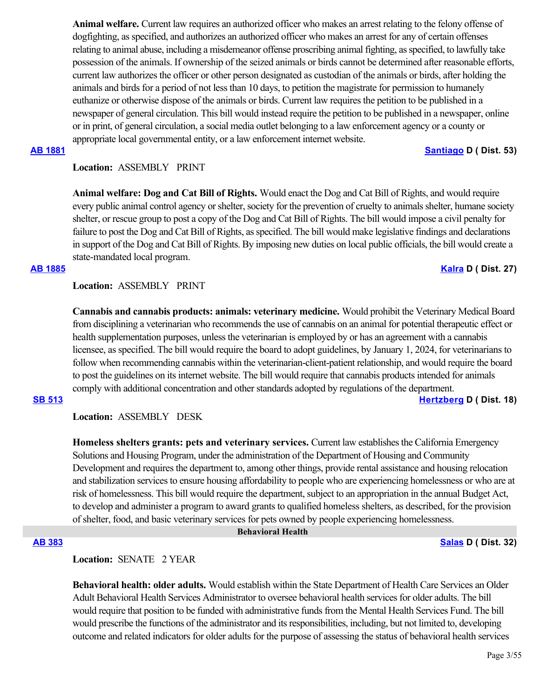**Animal welfare.** Current law requires an authorized officer who makes an arrest relating to the felony offense of dogfighting, as specified, and authorizes an authorized officer who makes an arrest for any of certain offenses relating to animal abuse, including a misdemeanor offense proscribing animal fighting, as specified, to lawfully take possession of the animals. If ownership of the seized animals or birds cannot be determined after reasonable efforts, current law authorizes the officer or other person designated as custodian of the animals or birds, after holding the animals and birds for a period of not less than 10 days, to petition the magistrate for permission to humanely euthanize or otherwise dispose of the animals or birds. Current law requires the petition to be published in a newspaper of general circulation. This bill would instead require the petition to be published in a newspaper, online or in print, of general circulation, a social media outlet belonging to a law enforcement agency or a county or appropriate local governmental entity, or a law enforcement internet website.

## **[AB 1881](https://ctweb.capitoltrack.com/public/publishbillinfo.aspx?bi=zcAKfo05bt24NNs4OK7SGvtvcMPtgmi81vdmmOvSwn3NK%2Fc6NKYBm2W00H1%2FnzFy) [Santiago](https://a53.asmdc.org/) D ( Dist. 53)**

# **Location:**  ASSEMBLY PRINT

**Animal welfare: Dog and Cat Bill of Rights.** Would enact the Dog and Cat Bill of Rights, and would require every public animal control agency or shelter, society for the prevention of cruelty to animals shelter, humane society shelter, or rescue group to post a copy of the Dog and Cat Bill of Rights. The bill would impose a civil penalty for failure to post the Dog and Cat Bill of Rights, as specified. The bill would make legislative findings and declarations in support of the Dog and Cat Bill of Rights. By imposing new duties on local public officials, the bill would create a state-mandated local program.

#### **[AB 1885](https://ctweb.capitoltrack.com/public/publishbillinfo.aspx?bi=aneE83eLixxKNbR3tbjRiXSOe2tIkggfQag8mwMPqxRqRCHv%2FnWUQYF1HXE77DBn) [Kalra](https://a27.asmdc.org/) D ( Dist. 27)**

### **Location:**  ASSEMBLY PRINT

**Cannabis and cannabis products: animals: veterinary medicine.** Would prohibit the Veterinary Medical Board from disciplining a veterinarian who recommends the use of cannabis on an animal for potential therapeutic effect or health supplementation purposes, unless the veterinarian is employed by or has an agreement with a cannabis licensee, as specified. The bill would require the board to adopt guidelines, by January 1, 2024, for veterinarians to follow when recommending cannabis within the veterinarian-client-patient relationship, and would require the board to post the guidelines on its internet website. The bill would require that cannabis products intended for animals comply with additional concentration and other standards adopted by regulations of the department.

**[SB 513](https://ctweb.capitoltrack.com/public/publishbillinfo.aspx?bi=8rAiPCILSOx%2Ba5qZD1C%2BUVZLEGY%2FQ1SKwzRPzRbwGYWNvP7Yy86Hg2xQVqgUoAvo) [Hertzberg](https://sd18.senate.ca.gov/) D ( Dist. 18)**

## **Location:**  ASSEMBLY DESK

**Homeless shelters grants: pets and veterinary services.** Current law establishes the California Emergency Solutions and Housing Program, under the administration of the Department of Housing and Community Development and requires the department to, among other things, provide rental assistance and housing relocation and stabilization services to ensure housing affordability to people who are experiencing homelessness or who are at risk of homelessness. This bill would require the department, subject to an appropriation in the annual Budget Act, to develop and administer a program to award grants to qualified homeless shelters, as described, for the provision of shelter, food, and basic veterinary services for pets owned by people experiencing homelessness.

#### **Behavioral Health**

**[AB 383](https://ctweb.capitoltrack.com/public/publishbillinfo.aspx?bi=%2FQLVv91rOuc2oS6u4AYdMS0GLT81m945bVBlL2js37uuPmk8i2E1QlOSdoauHW%2BB) [Salas](https://a32.asmdc.org/) D ( Dist. 32)**

### **Location:**  SENATE 2 YEAR

**Behavioral health: older adults.** Would establish within the State Department of Health Care Services an Older Adult Behavioral Health Services Administrator to oversee behavioral health services for older adults. The bill would require that position to be funded with administrative funds from the Mental Health Services Fund. The bill would prescribe the functions of the administrator and its responsibilities, including, but not limited to, developing outcome and related indicators for older adults for the purpose of assessing the status of behavioral health services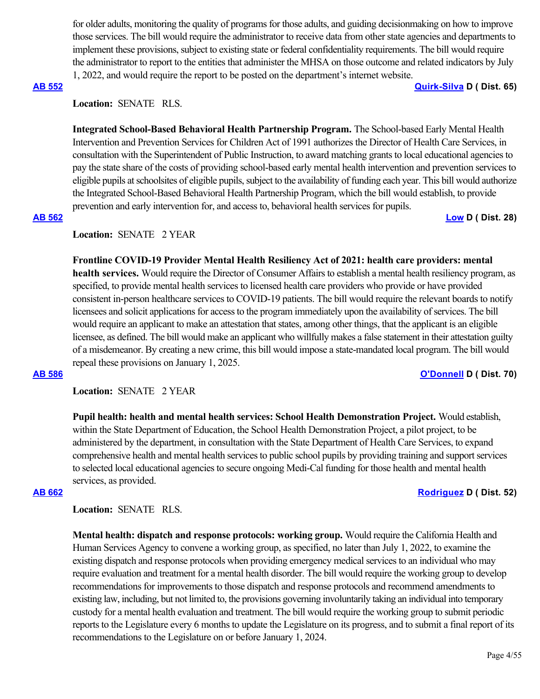for older adults, monitoring the quality of programs for those adults, and guiding decisionmaking on how to improve those services. The bill would require the administrator to receive data from other state agencies and departments to implement these provisions, subject to existing state or federal confidentiality requirements. The bill would require the administrator to report to the entities that administer the MHSA on those outcome and related indicators by July 1, 2022, and would require the report to be posted on the department's internet website.

### **[AB 552](https://ctweb.capitoltrack.com/public/publishbillinfo.aspx?bi=0B1pP8xZSqmT1PDx5eLChQYAYYE5i75lfquaLpGyuniEx%2FusY9NutFnw5eFM16dd) [Quirk-Silva](https://a65.asmdc.org/) D ( Dist. 65)**

# **Location:**  SENATE RLS.

**Integrated School-Based Behavioral Health Partnership Program.** The School-based Early Mental Health Intervention and Prevention Services for Children Act of 1991 authorizes the Director of Health Care Services, in consultation with the Superintendent of Public Instruction, to award matching grants to local educational agencies to pay the state share of the costs of providing school-based early mental health intervention and prevention services to eligible pupils at schoolsites of eligible pupils, subject to the availability of funding each year. This bill would authorize the Integrated School-Based Behavioral Health Partnership Program, which the bill would establish, to provide prevention and early intervention for, and access to, behavioral health services for pupils.

### **[AB 562](https://ctweb.capitoltrack.com/public/publishbillinfo.aspx?bi=0mhpjkHAEcG1jm5Vw8i6jwSxLR%2F%2BNMh0Tavv6YWLyevnje9Nov9EFd1uaN0ONPx4) [Low](https://a28.asmdc.org/) D ( Dist. 28)**

**Location:**  SENATE 2 YEAR

**Frontline COVID-19 Provider Mental Health Resiliency Act of 2021: health care providers: mental health services.** Would require the Director of Consumer Affairs to establish a mental health resiliency program, as specified, to provide mental health services to licensed health care providers who provide or have provided consistent in-person healthcare services to COVID-19 patients. The bill would require the relevant boards to notify licensees and solicit applications for access to the program immediately upon the availability of services. The bill would require an applicant to make an attestation that states, among other things, that the applicant is an eligible licensee, as defined. The bill would make an applicant who willfully makes a false statement in their attestation guilty of a misdemeanor. By creating a new crime, this bill would impose a state-mandated local program. The bill would repeal these provisions on January 1, 2025.

## **[AB 586](https://ctweb.capitoltrack.com/public/publishbillinfo.aspx?bi=SHR6zabaLsjdf%2BzCcgiD53IVIwpRXk6kA78OcVCQKjFBxFFWbCgeQdTfug6tFoq0) [O'Donnell](https://a70.asmdc.org/) D ( Dist. 70)**

**Location:**  SENATE 2 YEAR

**Pupil health: health and mental health services: School Health Demonstration Project.** Would establish, within the State Department of Education, the School Health Demonstration Project, a pilot project, to be administered by the department, in consultation with the State Department of Health Care Services, to expand comprehensive health and mental health services to public school pupils by providing training and support services to selected local educational agencies to secure ongoing Medi-Cal funding for those health and mental health services, as provided.

## **[AB 662](https://ctweb.capitoltrack.com/public/publishbillinfo.aspx?bi=erZ6gMT6w26e4Kk5PP9lLG%2FhPNnZuLja8UX%2FXMqjjoDdiOhjbnCJ4LRDSkVsxH95) [Rodriguez](https://a52.asmdc.org/) D ( Dist. 52)**

### **Location:**  SENATE RLS.

**Mental health: dispatch and response protocols: working group.** Would require the California Health and Human Services Agency to convene a working group, as specified, no later than July 1, 2022, to examine the existing dispatch and response protocols when providing emergency medical services to an individual who may require evaluation and treatment for a mental health disorder. The bill would require the working group to develop recommendations for improvements to those dispatch and response protocols and recommend amendments to existing law, including, but not limited to, the provisions governing involuntarily taking an individual into temporary custody for a mental health evaluation and treatment. The bill would require the working group to submit periodic reports to the Legislature every 6 months to update the Legislature on its progress, and to submit a final report of its recommendations to the Legislature on or before January 1, 2024.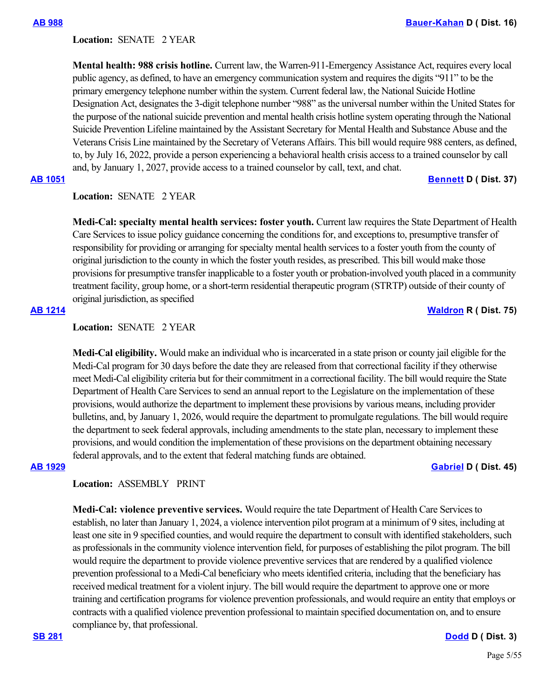## Location: **SENATE 2 YEAR**

**Mental health: 988 crisis hotline.** Current law, the Warren-911-Emergency Assistance Act, requires every local public agency, as defined, to have an emergency communication system and requires the digits "911" to be the primary emergency telephone number within the system. Current federal law, the National Suicide Hotline Designation Act, designates the 3-digit telephone number "988" as the universal number within the United States for the purpose of the national suicide prevention and mental health crisis hotline system operating through the National Suicide Prevention Lifeline maintained by the Assistant Secretary for Mental Health and Substance Abuse and the Veterans Crisis Line maintained by the Secretary of Veterans Affairs. This bill would require 988 centers, as defined, to, by July 16, 2022, provide a person experiencing a behavioral health crisis access to a trained counselor by call and, by January 1, 2027, provide access to a trained counselor by call, text, and chat.

# **[AB 1051](https://ctweb.capitoltrack.com/public/publishbillinfo.aspx?bi=a3w1OkLET76v%2BDCLHEBggLONCLqllIvKabF03mplQ91C6hp%2BtvB%2FWO%2BRGDpYXa3l) [Bennett](https://a37.asmdc.org/) D ( Dist. 37)**

# **Location:**  SENATE 2 YEAR

**Medi-Cal: specialty mental health services: foster youth.** Current law requires the State Department of Health Care Services to issue policy guidance concerning the conditions for, and exceptions to, presumptive transfer of responsibility for providing or arranging for specialty mental health services to a foster youth from the county of original jurisdiction to the county in which the foster youth resides, as prescribed. This bill would make those provisions for presumptive transfer inapplicable to a foster youth or probation-involved youth placed in a community treatment facility, group home, or a short-term residential therapeutic program (STRTP) outside of their county of original jurisdiction, as specified

# **[AB 1214](https://ctweb.capitoltrack.com/public/publishbillinfo.aspx?bi=0GWU1DaW8dN3saNJzw6FAOQHyt32kczPx0t9YjN6S6m0XO2QN10erzhmYUrvmZpD) [Waldron](https://ad75.asmrc.org/) R ( Dist. 75)**

# **Location:**  SENATE 2 YEAR

**Medi-Cal eligibility.** Would make an individual who is incarcerated in a state prison or county jail eligible for the Medi-Cal program for 30 days before the date they are released from that correctional facility if they otherwise meet Medi-Cal eligibility criteria but for their commitment in a correctional facility. The bill would require the State Department of Health Care Services to send an annual report to the Legislature on the implementation of these provisions, would authorize the department to implement these provisions by various means, including provider bulletins, and, by January 1, 2026, would require the department to promulgate regulations. The bill would require the department to seek federal approvals, including amendments to the state plan, necessary to implement these provisions, and would condition the implementation of these provisions on the department obtaining necessary federal approvals, and to the extent that federal matching funds are obtained.

## **[AB 1929](https://ctweb.capitoltrack.com/public/publishbillinfo.aspx?bi=AK1XcCTxmWnmGvIZovnFVhV4J3B%2F3qPbj%2FhWVd22sjVJoHyCb0gcLTTcaqwxG7Fr) [Gabriel](https://a45.asmdc.org/) D ( Dist. 45)**

# **Location:**  ASSEMBLY PRINT

**Medi-Cal: violence preventive services.** Would require the tate Department of Health Care Services to establish, no later than January 1, 2024, a violence intervention pilot program at a minimum of 9 sites, including at least one site in 9 specified counties, and would require the department to consult with identified stakeholders, such as professionals in the community violence intervention field, for purposes of establishing the pilot program. The bill would require the department to provide violence preventive services that are rendered by a qualified violence prevention professional to a Medi-Cal beneficiary who meets identified criteria, including that the beneficiary has received medical treatment for a violent injury. The bill would require the department to approve one or more training and certification programs for violence prevention professionals, and would require an entity that employs or contracts with a qualified violence prevention professional to maintain specified documentation on, and to ensure compliance by, that professional.

**[SB 281](https://ctweb.capitoltrack.com/public/publishbillinfo.aspx?bi=31%2FBAMEQSqkDJ4SnUHjoay1rhX5GkZBGTzju0xqKfdMWTAgIROvrX%2FRV8PwHlfdY) [Dodd](http://sd03.senate.ca.gov/) D ( Dist. 3)**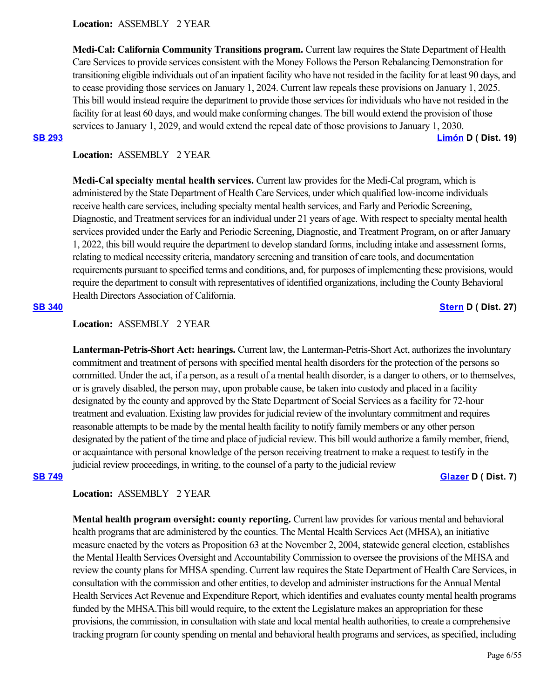**Medi-Cal: California Community Transitions program.** Current law requires the State Department of Health Care Services to provide services consistent with the Money Follows the Person Rebalancing Demonstration for transitioning eligible individuals out of an inpatient facility who have not resided in the facility for at least 90 days, and to cease providing those services on January 1, 2024. Current law repeals these provisions on January 1, 2025. This bill would instead require the department to provide those services for individuals who have not resided in the facility for at least 60 days, and would make conforming changes. The bill would extend the provision of those services to January 1, 2029, and would extend the repeal date of those provisions to January 1, 2030.

**[SB 293](https://ctweb.capitoltrack.com/public/publishbillinfo.aspx?bi=mUvfNmpscz%2Fn6%2BS49x%2BVSyD1bPMaRpllCZj7GTDR7ts%2FffO9tJ0wQhEoWSyFW7qH) [Limón](http://sd19.senate.ca.gov/) D ( Dist. 19)**

# **Location:**  ASSEMBLY 2 YEAR

**Medi-Cal specialty mental health services.** Current law provides for the Medi-Cal program, which is administered by the State Department of Health Care Services, under which qualified low-income individuals receive health care services, including specialty mental health services, and Early and Periodic Screening, Diagnostic, and Treatment services for an individual under 21 years of age. With respect to specialty mental health services provided under the Early and Periodic Screening, Diagnostic, and Treatment Program, on or after January 1, 2022, this bill would require the department to develop standard forms, including intake and assessment forms, relating to medical necessity criteria, mandatory screening and transition of care tools, and documentation requirements pursuant to specified terms and conditions, and, for purposes of implementing these provisions, would require the department to consult with representatives of identified organizations, including the County Behavioral Health Directors Association of California.

### **[SB 340](https://ctweb.capitoltrack.com/public/publishbillinfo.aspx?bi=o7c4xnROQN3yzqqUUsr3HDvHSt5jsU2jMveJJkW5YKoG0bJsOECHrt2wV%2Fr7HQpj) [Stern](http://sd27.senate.ca.gov/) D ( Dist. 27)**

### **Location:**  ASSEMBLY 2 YEAR

**Lanterman-Petris-Short Act: hearings.** Current law, the Lanterman-Petris-Short Act, authorizes the involuntary commitment and treatment of persons with specified mental health disorders for the protection of the persons so committed. Under the act, if a person, as a result of a mental health disorder, is a danger to others, or to themselves, or is gravely disabled, the person may, upon probable cause, be taken into custody and placed in a facility designated by the county and approved by the State Department of Social Services as a facility for 72-hour treatment and evaluation. Existing law provides for judicial review of the involuntary commitment and requires reasonable attempts to be made by the mental health facility to notify family members or any other person designated by the patient of the time and place of judicial review. This bill would authorize a family member, friend, or acquaintance with personal knowledge of the person receiving treatment to make a request to testify in the judicial review proceedings, in writing, to the counsel of a party to the judicial review

# **[SB 749](https://ctweb.capitoltrack.com/public/publishbillinfo.aspx?bi=IymgRTJUUIDdyuoG0Z0cGRsj2MTvybinG930ba6Cwf%2BGm%2BSh0spGW5TTrTV6Tlge) [Glazer](http://sd07.senate.ca.gov/) D ( Dist. 7)**

# **Location:**  ASSEMBLY 2 YEAR

**Mental health program oversight: county reporting.** Current law provides for various mental and behavioral health programs that are administered by the counties. The Mental Health Services Act (MHSA), an initiative measure enacted by the voters as Proposition 63 at the November 2, 2004, statewide general election, establishes the Mental Health Services Oversight and Accountability Commission to oversee the provisions of the MHSA and review the county plans for MHSA spending. Current law requires the State Department of Health Care Services, in consultation with the commission and other entities, to develop and administer instructions for the Annual Mental Health Services Act Revenue and Expenditure Report, which identifies and evaluates county mental health programs funded by the MHSA.This bill would require, to the extent the Legislature makes an appropriation for these provisions, the commission, in consultation with state and local mental health authorities, to create a comprehensive tracking program for county spending on mental and behavioral health programs and services, as specified, including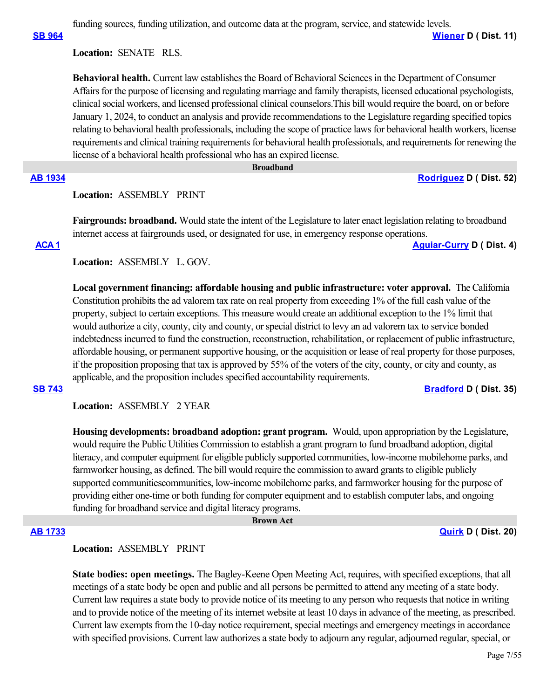funding sources, funding utilization, and outcome data at the program, service, and statewide levels.

**[SB 964](https://ctweb.capitoltrack.com/public/publishbillinfo.aspx?bi=Jx6xKpgGpUc7MvFj296G%2BNleYv4K2FXUJt1yHrFMk5Kdo6j5nTh%2F6XGOXMLUobmc) [Wiener](http://sd11.senate.ca.gov/) D ( Dist. 11)**

**Location:**  SENATE RLS.

**Behavioral health.** Current law establishes the Board of Behavioral Sciences in the Department of Consumer Affairs for the purpose of licensing and regulating marriage and family therapists, licensed educational psychologists, clinical social workers, and licensed professional clinical counselors.This bill would require the board, on or before January 1, 2024, to conduct an analysis and provide recommendations to the Legislature regarding specified topics relating to behavioral health professionals, including the scope of practice laws for behavioral health workers, license requirements and clinical training requirements for behavioral health professionals, and requirements for renewing the license of a behavioral health professional who has an expired license.

 **Broadband**

# **[AB 1934](https://ctweb.capitoltrack.com/public/publishbillinfo.aspx?bi=BUCqayROPwPBivesNljqMAm14lMfbZV9QghcystfHTiYbqqGRlLgkHV%2BUsTzh40Q) [Rodriguez](https://a52.asmdc.org/) D ( Dist. 52)**

**Location:**  ASSEMBLY PRINT

**Fairgrounds: broadband.** Would state the intent of the Legislature to later enact legislation relating to broadband internet access at fairgrounds used, or designated for use, in emergency response operations.

# **[ACA 1](https://ctweb.capitoltrack.com/public/publishbillinfo.aspx?bi=vkAbgpBB9wOKQrx%2F6m3DJE4Lfzjw%2B69Lv7GxnaWpsGPIGgKDXm0xJSIkZsa8QVVB) [Aguiar-Curry](https://a04.asmdc.org/) D ( Dist. 4)**

**Location:**  ASSEMBLY L. GOV.

**Local government financing: affordable housing and public infrastructure: voter approval.** The California Constitution prohibits the ad valorem tax rate on real property from exceeding 1% of the full cash value of the property, subject to certain exceptions. This measure would create an additional exception to the 1% limit that would authorize a city, county, city and county, or special district to levy an ad valorem tax to service bonded indebtedness incurred to fund the construction, reconstruction, rehabilitation, or replacement of public infrastructure, affordable housing, or permanent supportive housing, or the acquisition or lease of real property for those purposes, if the proposition proposing that tax is approved by 55% of the voters of the city, county, or city and county, as applicable, and the proposition includes specified accountability requirements.

### **[SB 743](https://ctweb.capitoltrack.com/public/publishbillinfo.aspx?bi=7BlsynAWj96xt2uQ%2BjSEcHfrhFZB5GRldZzR9UBh%2BNQd140Q5dnXihta9xv0Ktk6) [Bradford](http://sd35.senate.ca.gov/) D ( Dist. 35)**

**Location:**  ASSEMBLY 2 YEAR

Housing developments: broadband adoption: grant program. Would, upon appropriation by the Legislature, would require the Public Utilities Commission to establish a grant program to fund broadband adoption, digital literacy, and computer equipment for eligible publicly supported communities, low-income mobilehome parks, and farmworker housing, as defined. The bill would require the commission to award grants to eligible publicly supported communitiescommunities, low-income mobilehome parks, and farmworker housing for the purpose of providing either one-time or both funding for computer equipment and to establish computer labs, and ongoing funding for broadband service and digital literacy programs.

 **Brown Act**

**[AB 1733](https://ctweb.capitoltrack.com/public/publishbillinfo.aspx?bi=gdXgMvvVB%2FXofsbZdlxRMIFcbIyYqdIKF%2BeEXtE2thnO4FAzsCRaxh3Ris06M6Lc) [Quirk](https://a20.asmdc.org/) D ( Dist. 20)**

# **Location:**  ASSEMBLY PRINT

**State bodies: open meetings.** The Bagley-Keene Open Meeting Act, requires, with specified exceptions, that all meetings of a state body be open and public and all persons be permitted to attend any meeting of a state body. Current law requires a state body to provide notice of its meeting to any person who requests that notice in writing and to provide notice of the meeting of its internet website at least 10 days in advance of the meeting, as prescribed. Current law exempts from the 10-day notice requirement, special meetings and emergency meetings in accordance with specified provisions. Current law authorizes a state body to adjourn any regular, adjourned regular, special, or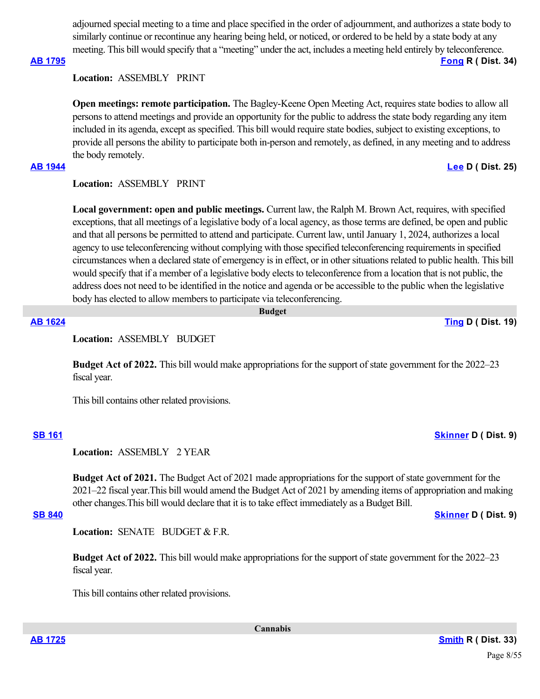adjourned special meeting to a time and place specified in the order of adjournment, and authorizes a state body to similarly continue or recontinue any hearing being held, or noticed, or ordered to be held by a state body at any meeting. This bill would specify that a "meeting" under the act, includes a meeting held entirely by teleconference.

### **[AB 1795](https://ctweb.capitoltrack.com/public/publishbillinfo.aspx?bi=wg1t5GtNNHGyFieQeDRThBmcov7bT8yqaJ5lWLv574S4EuG5ZAMvaQaW%2BnnloC16) [Fong](https://ad34.asmrc.org/) R ( Dist. 34)**

**Location:**  ASSEMBLY PRINT

**Open meetings: remote participation.** The Bagley-Keene Open Meeting Act, requires state bodies to allow all persons to attend meetings and provide an opportunity for the public to address the state body regarding any item included in its agenda, except as specified. This bill would require state bodies, subject to existing exceptions, to provide all persons the ability to participate both in-person and remotely, as defined, in any meeting and to address the body remotely.

## **[AB 1944](https://ctweb.capitoltrack.com/public/publishbillinfo.aspx?bi=mSePNxv%2B%2Bx1IZrircPgIMdYod4tDSh5ebPoxTwOq3k7Z4bYPmtsTzBRCkN2mVl1P) [Lee](https://a25.asmdc.org/) D ( Dist. 25)**

# **Location:**  ASSEMBLY PRINT

**Local government: open and public meetings.** Current law, the Ralph M. Brown Act, requires, with specified exceptions, that all meetings of a legislative body of a local agency, as those terms are defined, be open and public and that all persons be permitted to attend and participate. Current law, until January 1, 2024, authorizes a local agency to use teleconferencing without complying with those specified teleconferencing requirements in specified circumstances when a declared state of emergency is in effect, or in other situations related to public health. This bill would specify that if a member of a legislative body elects to teleconference from a location that is not public, the address does not need to be identified in the notice and agenda or be accessible to the public when the legislative body has elected to allow members to participate via teleconferencing.

 **Budget**

**Location:**  ASSEMBLY BUDGET

**Budget Act of 2022.** This bill would make appropriations for the support of state government for the 2022–23 fiscal year.

This bill contains other related provisions.

## **[SB 161](https://ctweb.capitoltrack.com/public/publishbillinfo.aspx?bi=KgBWpSKaK1qosaVlb8Ds4L7fexWS0bY09GuuGnPYq5%2B2Y3ONYoHOCCncw5ff6KIG) [Skinner](http://sd09.senate.ca.gov/) D ( Dist. 9)**

**Location:**  ASSEMBLY 2 YEAR

**Budget Act of 2021.** The Budget Act of 2021 made appropriations for the support of state government for the 2021–22 fiscal year.This bill would amend the Budget Act of 2021 by amending items of appropriation and making other changes.This bill would declare that it is to take effect immediately as a Budget Bill.

Location: **SENATE** BUDGET & F.R.

**Budget Act of 2022.** This bill would make appropriations for the support of state government for the 2022–23 fiscal year.

This bill contains other related provisions.

 **Cannabis**

**[SB 840](https://ctweb.capitoltrack.com/public/publishbillinfo.aspx?bi=xeGjg6Ve%2FOtZtf38qm%2B6zDuHRoAIMtzS%2Fcqi2K6xEZOWe86VC3rs0EgpG%2BceRuLt) [Skinner](http://sd09.senate.ca.gov/) D ( Dist. 9)**

**[AB 1624](https://ctweb.capitoltrack.com/public/publishbillinfo.aspx?bi=8EhZvMkg%2Bryj6G2PjZnFDigy2t8yZDTaJEeRdIF6fNUKQ9SyVxwP8F7Vm7OAd2UY) [Ting](https://a19.asmdc.org/) D ( Dist. 19)**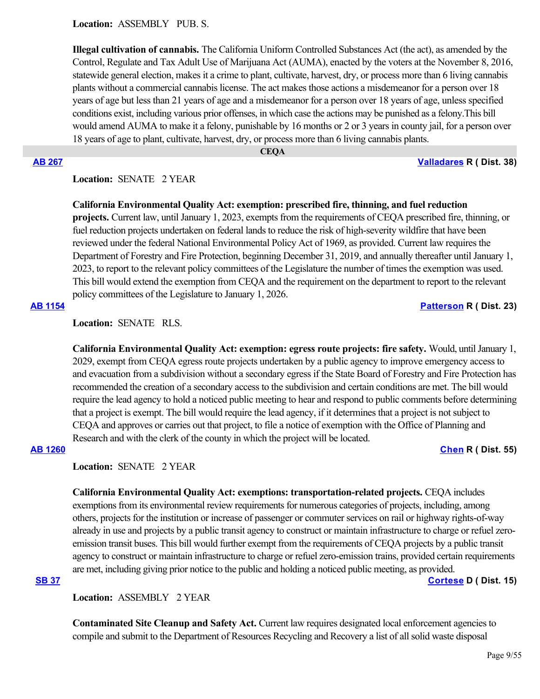**Location:**  ASSEMBLY PUB. S.

**Illegal cultivation of cannabis.** The California Uniform Controlled Substances Act (the act), as amended by the Control, Regulate and Tax Adult Use of Marijuana Act (AUMA), enacted by the voters at the November 8, 2016, statewide general election, makes it a crime to plant, cultivate, harvest, dry, or process more than 6 living cannabis plants without a commercial cannabis license. The act makes those actions a misdemeanor for a person over 18 years of age but less than 21 years of age and a misdemeanor for a person over 18 years of age, unless specified conditions exist, including various prior offenses, in which case the actions may be punished as a felony.This bill would amend AUMA to make it a felony, punishable by 16 months or 2 or 3 years in county jail, for a person over 18 years of age to plant, cultivate, harvest, dry, or process more than 6 living cannabis plants.

#### **CEQA**

### **[AB 267](https://ctweb.capitoltrack.com/public/publishbillinfo.aspx?bi=3SE2825yVeoD%2FVeb1naH%2BjNacVwbKBjyd6shO3zqBpjbBxwZfGAepSO1w%2BhXWhOD) [Valladares](https://ad38.asmrc.org/) R ( Dist. 38)**

# **Location:**  SENATE 2 YEAR

## **California Environmental Quality Act: exemption: prescribed fire, thinning, and fuel reduction**

**projects.** Current law, until January 1, 2023, exempts from the requirements of CEQA prescribed fire, thinning, or fuel reduction projects undertaken on federal lands to reduce the risk of high-severity wildfire that have been reviewed under the federal National Environmental Policy Act of 1969, as provided. Current law requires the Department of Forestry and Fire Protection, beginning December 31, 2019, and annually thereafter until January 1, 2023, to report to the relevant policy committees of the Legislature the number of times the exemption was used. This bill would extend the exemption from CEQA and the requirement on the department to report to the relevant policy committees of the Legislature to January 1, 2026.

## **[AB 1154](https://ctweb.capitoltrack.com/public/publishbillinfo.aspx?bi=UCyEx1IB6TyfbDhZpEvO4kdry%2FpzQ0Fg%2FzmM4L17MWOAhH1SXcwsAUg8Cy2%2BaOSe) [Patterson](https://ad23.asmrc.org/) R ( Dist. 23)**

**Location:**  SENATE RLS.

**California Environmental Quality Act: exemption: egress route projects: fire safety.** Would, until January 1, 2029, exempt from CEQA egress route projects undertaken by a public agency to improve emergency access to and evacuation from a subdivision without a secondary egress if the State Board of Forestry and Fire Protection has recommended the creation of a secondary access to the subdivision and certain conditions are met. The bill would require the lead agency to hold a noticed public meeting to hear and respond to public comments before determining that a project is exempt. The bill would require the lead agency, if it determines that a project is not subject to CEQA and approves or carries out that project, to file a notice of exemption with the Office of Planning and Research and with the clerk of the county in which the project will be located.

## **[AB 1260](https://ctweb.capitoltrack.com/public/publishbillinfo.aspx?bi=SRTX5Ak31muoQcxtPr3jql0Ko01jkRJXkViKXJzc7Yqd3%2FPnVEtaZ9HuTiIGk4aa) [Chen](https://ad55.asmrc.org/) R ( Dist. 55)**

**Location:**  SENATE 2 YEAR

**California Environmental Quality Act: exemptions: transportation-related projects.** CEQA includes exemptions from its environmental review requirements for numerous categories of projects, including, among others, projects for the institution or increase of passenger or commuter services on rail or highway rights-of-way already in use and projects by a public transit agency to construct or maintain infrastructure to charge or refuel zeroemission transit buses. This bill would further exempt from the requirements of CEQA projects by a public transit agency to construct or maintain infrastructure to charge or refuel zero-emission trains, provided certain requirements are met, including giving prior notice to the public and holding a noticed public meeting, as provided.

### **[SB 37](https://ctweb.capitoltrack.com/public/publishbillinfo.aspx?bi=e6GR7C%2FWKjH9PI%2BKMFfeLfzvWIEVemeF97Sg5XzwtXgHTkr%2BNLxNGc%2BEk%2F%2BKQ9e0) [Cortese](http://sd15.senate.ca.gov/) D ( Dist. 15)**

**Location:**  ASSEMBLY 2 YEAR

**Contaminated Site Cleanup and Safety Act.** Current law requires designated local enforcement agencies to compile and submit to the Department of Resources Recycling and Recovery a list of all solid waste disposal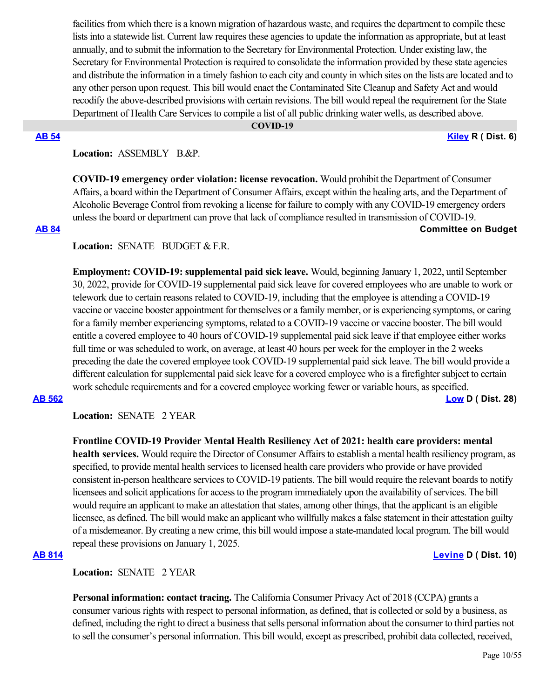facilities from which there is a known migration of hazardous waste, and requires the department to compile these lists into a statewide list. Current law requires these agencies to update the information as appropriate, but at least annually, and to submit the information to the Secretary for Environmental Protection. Under existing law, the Secretary for Environmental Protection is required to consolidate the information provided by these state agencies and distribute the information in a timely fashion to each city and county in which sites on the lists are located and to any other person upon request. This bill would enact the Contaminated Site Cleanup and Safety Act and would recodify the above-described provisions with certain revisions. The bill would repeal the requirement for the State Department of Health Care Services to compile a list of all public drinking water wells, as described above.

### **COVID-19**

**[AB 54](https://ctweb.capitoltrack.com/public/publishbillinfo.aspx?bi=9021JKHMtlTxMIObe7amrtFqto5D0p7TzouRVJDvQ%2FLJZlG6rft2i%2BaaEI0Uqviv) [Kiley](https://ad06.asmrc.org/) R ( Dist. 6)**

## Location: ASSEMBLY B.&P.

**COVID-19 emergency order violation: license revocation.** Would prohibit the Department of Consumer Affairs, a board within the Department of Consumer Affairs, except within the healing arts, and the Department of Alcoholic Beverage Control from revoking a license for failure to comply with any COVID-19 emergency orders unless the board or department can prove that lack of compliance resulted in transmission of COVID-19. **[AB 84](https://ctweb.capitoltrack.com/public/publishbillinfo.aspx?bi=B%2FFJylx76BV7l52%2B3XhF6j%2FwR52JBWNxjEXhy3jtbD2GBvwl2cN4wsF%2FNmRfG1Iy) Committee on Budget**

Location: **SENATE** BUDGET & F.R.

**Employment: COVID-19: supplemental paid sick leave.** Would, beginning January 1, 2022, until September 30, 2022, provide for COVID-19 supplemental paid sick leave for covered employees who are unable to work or telework due to certain reasons related to COVID-19, including that the employee is attending a COVID-19 vaccine or vaccine booster appointment for themselves or a family member, or is experiencing symptoms, or caring for a family member experiencing symptoms, related to a COVID-19 vaccine or vaccine booster. The bill would entitle a covered employee to 40 hours of COVID-19 supplemental paid sick leave if that employee either works full time or was scheduled to work, on average, at least 40 hours per week for the employer in the 2 weeks preceding the date the covered employee took COVID-19 supplemental paid sick leave. The bill would provide a different calculation for supplemental paid sick leave for a covered employee who is a firefighter subject to certain work schedule requirements and for a covered employee working fewer or variable hours, as specified.

**[AB 562](https://ctweb.capitoltrack.com/public/publishbillinfo.aspx?bi=0mhpjkHAEcG1jm5Vw8i6jwSxLR%2F%2BNMh0Tavv6YWLyevnje9Nov9EFd1uaN0ONPx4) [Low](https://a28.asmdc.org/) D ( Dist. 28)**

**Location:**  SENATE 2 YEAR

### **Frontline COVID-19 Provider Mental Health Resiliency Act of 2021: health care providers: mental**

**health services.** Would require the Director of Consumer Affairs to establish a mental health resiliency program, as specified, to provide mental health services to licensed health care providers who provide or have provided consistent in-person healthcare services to COVID-19 patients. The bill would require the relevant boards to notify licensees and solicit applications for access to the program immediately upon the availability of services. The bill would require an applicant to make an attestation that states, among other things, that the applicant is an eligible licensee, as defined. The bill would make an applicant who willfully makes a false statement in their attestation guilty of a misdemeanor. By creating a new crime, this bill would impose a state-mandated local program. The bill would repeal these provisions on January 1, 2025.

# **[AB 814](https://ctweb.capitoltrack.com/public/publishbillinfo.aspx?bi=RnzsWrsse0DSnaOSXa4Kh2CNrwFN%2FNO8Gq6Pi9LVDZqkcFeJE7HApcj87yyTuHGO) [Levine](https://a10.asmdc.org/) D ( Dist. 10)**

Location: **SENATE** 2 YEAR

**Personal information: contact tracing.** The California Consumer Privacy Act of 2018 (CCPA) grants a consumer various rights with respect to personal information, as defined, that is collected or sold by a business, as defined, including the right to direct a business that sells personal information about the consumer to third parties not to sell the consumer's personal information. This bill would, except as prescribed, prohibit data collected, received,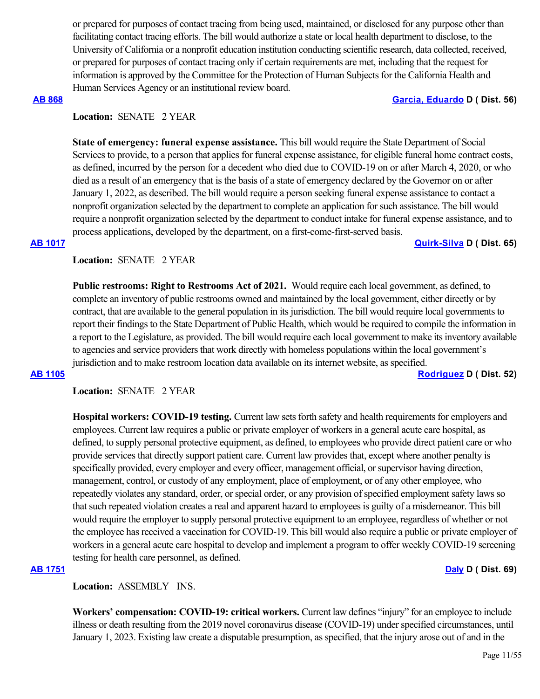or prepared for purposes of contact tracing from being used, maintained, or disclosed for any purpose other than facilitating contact tracing efforts. The bill would authorize a state or local health department to disclose, to the University of California or a nonprofit education institution conducting scientific research, data collected, received, or prepared for purposes of contact tracing only if certain requirements are met, including that the request for information is approved by the Committee for the Protection of Human Subjects for the California Health and Human Services Agency or an institutional review board.

### **[AB 868](https://ctweb.capitoltrack.com/public/publishbillinfo.aspx?bi=8QmAwJb1BV9eh4AvmBqrTdSnVRBdWnK%2BIjPe8UXKXQLvRsHwgHlSu5jhSWPH3Gcv) [Garcia, Eduardo](https://a56.asmdc.org/) D ( Dist. 56)**

# **Location:**  SENATE 2 YEAR

**State of emergency: funeral expense assistance.** This bill would require the State Department of Social Services to provide, to a person that applies for funeral expense assistance, for eligible funeral home contract costs, as defined, incurred by the person for a decedent who died due to COVID-19 on or after March 4, 2020, or who died as a result of an emergency that is the basis of a state of emergency declared by the Governor on or after January 1, 2022, as described. The bill would require a person seeking funeral expense assistance to contact a nonprofit organization selected by the department to complete an application for such assistance. The bill would require a nonprofit organization selected by the department to conduct intake for funeral expense assistance, and to process applications, developed by the department, on a first-come-first-served basis.

### **[AB 1017](https://ctweb.capitoltrack.com/public/publishbillinfo.aspx?bi=JYyt31DOcZMu5clq9Dg25K%2FwlQRmm9Z%2B4UUjhX8nItz1trRK6ZBuw7gaDVRacfEb) [Quirk-Silva](https://a65.asmdc.org/) D ( Dist. 65)**

# Location: **SENATE** 2 YEAR

**Public restrooms: Right to Restrooms Act of 2021.** Would require each local government, as defined, to complete an inventory of public restrooms owned and maintained by the local government, either directly or by contract, that are available to the general population in its jurisdiction. The bill would require local governments to report their findings to the State Department of Public Health, which would be required to compile the information in a report to the Legislature, as provided. The bill would require each local government to make its inventory available to agencies and service providers that work directly with homeless populations within the local government's jurisdiction and to make restroom location data available on its internet website, as specified. **[AB 1105](https://ctweb.capitoltrack.com/public/publishbillinfo.aspx?bi=2Xnp3gCQ3R%2BTr%2F2rMdcDXh44TnBiRcdN2rSBP9FE8Z8ZLIz75E%2Foog7n%2BGhCXw5F) [Rodriguez](https://a52.asmdc.org/) D ( Dist. 52)**

## **Location:**  SENATE 2 YEAR

**Hospital workers: COVID-19 testing.** Current law sets forth safety and health requirements for employers and employees. Current law requires a public or private employer of workers in a general acute care hospital, as defined, to supply personal protective equipment, as defined, to employees who provide direct patient care or who provide services that directly support patient care. Current law provides that, except where another penalty is specifically provided, every employer and every officer, management official, or supervisor having direction, management, control, or custody of any employment, place of employment, or of any other employee, who repeatedly violates any standard, order, or special order, or any provision of specified employment safety laws so that such repeated violation creates a real and apparent hazard to employees is guilty of a misdemeanor. This bill would require the employer to supply personal protective equipment to an employee, regardless of whether or not the employee has received a vaccination for COVID-19. This bill would also require a public or private employer of workers in a general acute care hospital to develop and implement a program to offer weekly COVID-19 screening testing for health care personnel, as defined.

### **[AB 1751](https://ctweb.capitoltrack.com/public/publishbillinfo.aspx?bi=S7XmI9HIEpfvqcE2S97500WChRNKdeJY3yh2%2FnAAN85y8d4E1sm2piSZ%2B4MoOglX) [Daly](https://a69.asmdc.org/) D ( Dist. 69)**

**Location:**  ASSEMBLY INS.

**Workers' compensation: COVID-19: critical workers.** Current law defines "injury" for an employee to include illness or death resulting from the 2019 novel coronavirus disease (COVID-19) under specified circumstances, until January 1, 2023. Existing law create a disputable presumption, as specified, that the injury arose out of and in the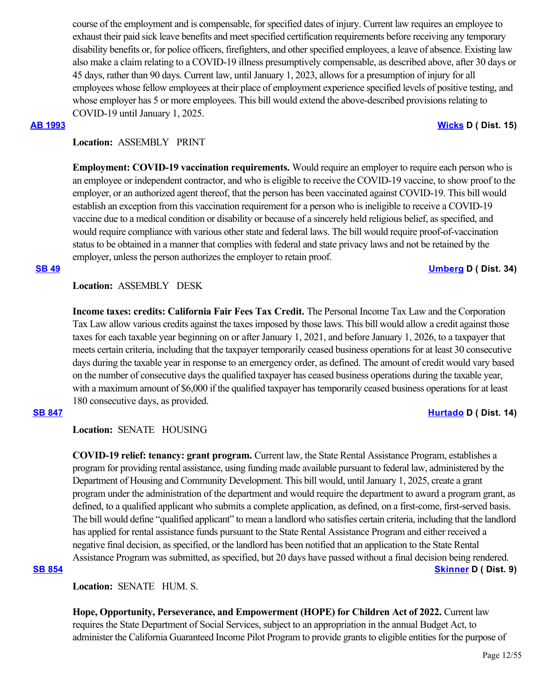course of the employment and is compensable, for specified dates of injury. Current law requires an employee to exhaust their paid sick leave benefits and meet specified certification requirements before receiving any temporary disability benefits or, for police officers, firefighters, and other specified employees, a leave of absence. Existing law also make a claim relating to a COVID-19 illness presumptively compensable, as described above, after 30 days or 45 days, rather than 90 days. Current law, until January 1, 2023, allows for a presumption of injury for all employees whose fellow employees at their place of employment experience specified levels of positive testing, and whose employer has 5 or more employees. This bill would extend the above-described provisions relating to COVID-19 until January 1, 2025.

### **[AB 1993](https://ctweb.capitoltrack.com/public/publishbillinfo.aspx?bi=QmCg%2Fcnc5ELYXdB2pSkWdqKi04IkZpmz%2BGGbV6Cf1%2BurKW%2FP1csDA7f0GBfb3ESV) [Wicks](https://a15.asmdc.org/) D ( Dist. 15)**

## **Location:**  ASSEMBLY PRINT

**Employment: COVID-19 vaccination requirements.** Would require an employer to require each person who is an employee or independent contractor, and who is eligible to receive the COVID-19 vaccine, to show proof to the employer, or an authorized agent thereof, that the person has been vaccinated against COVID-19. This bill would establish an exception from this vaccination requirement for a person who is ineligible to receive a COVID-19 vaccine due to a medical condition or disability or because of a sincerely held religious belief, as specified, and would require compliance with various other state and federal laws. The bill would require proof-of-vaccination status to be obtained in a manner that complies with federal and state privacy laws and not be retained by the employer, unless the person authorizes the employer to retain proof.

#### **[SB 49](https://ctweb.capitoltrack.com/public/publishbillinfo.aspx?bi=LeawU591DHL1YSZO%2BsNmhdeVjWw0K%2FJvFqqITwNu5I86lZCJdIvtneV7Rjwpufoj) [Umberg](https://sd34.senate.ca.gov/) D ( Dist. 34)**

## **Location:**  ASSEMBLY DESK

**Income taxes: credits: California Fair Fees Tax Credit.** The Personal Income Tax Law and the Corporation Tax Law allow various credits against the taxes imposed by those laws. This bill would allow a credit against those taxes for each taxable year beginning on or after January 1, 2021, and before January 1, 2026, to a taxpayer that meets certain criteria, including that the taxpayer temporarily ceased business operations for at least 30 consecutive days during the taxable year in response to an emergency order, as defined. The amount of credit would vary based on the number of consecutive days the qualified taxpayer has ceased business operations during the taxable year, with a maximum amount of \$6,000 if the qualified taxpayer has temporarily ceased business operations for at least 180 consecutive days, as provided.

## **[SB 847](https://ctweb.capitoltrack.com/public/publishbillinfo.aspx?bi=%2FHlilsx8485HaNkWIkVJJ3fXqlihEgUuulZxrNNwmrEgNQ9i8qmEeVt6712MsA1h) [Hurtado](https://sd14.senate.ca.gov/) D ( Dist. 14)**

**Location:**  SENATE HOUSING

**COVID-19 relief: tenancy: grant program.** Current law, the State Rental Assistance Program, establishes a program for providing rental assistance, using funding made available pursuant to federal law, administered by the Department of Housing and Community Development. This bill would, until January 1, 2025, create a grant program under the administration of the department and would require the department to award a program grant, as defined, to a qualified applicant who submits a complete application, as defined, on a first-come, first-served basis. The bill would define "qualified applicant" to mean a landlord who satisfies certain criteria, including that the landlord has applied for rental assistance funds pursuant to the State Rental Assistance Program and either received a negative final decision, as specified, or the landlord has been notified that an application to the State Rental Assistance Program was submitted, as specified, but 20 days have passed without a final decision being rendered. **[SB 854](https://ctweb.capitoltrack.com/public/publishbillinfo.aspx?bi=dswE5BqiBskFV7t9venVyBYseMH1Heu%2BpU6HsdhvXXAyas89h%2FHgj%2BCjsrieVx9y) [Skinner](http://sd09.senate.ca.gov/) D ( Dist. 9)**

**Location:**  SENATE HUM. S.

**Hope, Opportunity, Perseverance, and Empowerment (HOPE) for Children Act of 2022.** Current law requires the State Department of Social Services, subject to an appropriation in the annual Budget Act, to administer the California Guaranteed Income Pilot Program to provide grants to eligible entities for the purpose of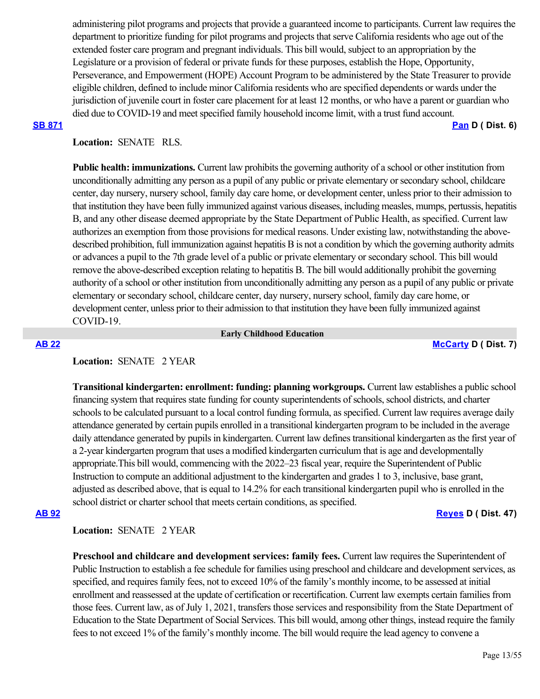administering pilot programs and projects that provide a guaranteed income to participants. Current law requires the department to prioritize funding for pilot programs and projects that serve California residents who age out of the extended foster care program and pregnant individuals. This bill would, subject to an appropriation by the Legislature or a provision of federal or private funds for these purposes, establish the Hope, Opportunity, Perseverance, and Empowerment (HOPE) Account Program to be administered by the State Treasurer to provide eligible children, defined to include minor California residents who are specified dependents or wards under the jurisdiction of juvenile court in foster care placement for at least 12 months, or who have a parent or guardian who died due to COVID-19 and meet specified family household income limit, with a trust fund account.

## **[SB 871](https://ctweb.capitoltrack.com/public/publishbillinfo.aspx?bi=zg17N3H78wuAHw6UznmyKJ5pZZaWo2roAwrBaY%2BfZUWY7ivrgCWennq%2FqaYNNzfv) [Pan](http://sd06.senate.ca.gov/) D ( Dist. 6)**

## **Location:**  SENATE RLS.

**Public health: immunizations.** Current law prohibits the governing authority of a school or other institution from unconditionally admitting any person as a pupil of any public or private elementary or secondary school, childcare center, day nursery, nursery school, family day care home, or development center, unless prior to their admission to that institution they have been fully immunized against various diseases, including measles, mumps, pertussis, hepatitis B, and any other disease deemed appropriate by the State Department of Public Health, as specified. Current law authorizes an exemption from those provisions for medical reasons. Under existing law, notwithstanding the abovedescribed prohibition, full immunization against hepatitis B is not a condition by which the governing authority admits or advances a pupil to the 7th grade level of a public or private elementary or secondary school. This bill would remove the above-described exception relating to hepatitis B. The bill would additionally prohibit the governing authority of a school or other institution from unconditionally admitting any person as a pupil of any public or private elementary or secondary school, childcare center, day nursery, nursery school, family day care home, or development center, unless prior to their admission to that institution they have been fully immunized against COVID-19.

#### **Early Childhood Education**

# **[AB 22](https://ctweb.capitoltrack.com/public/publishbillinfo.aspx?bi=wQSdCmcDIfZoiYUfy3sAf5d%2BwMh6ss4wB3L7m6k91poVyzrOjeF4QGrej8GJydem) [McCarty](https://a07.asmdc.org/) D ( Dist. 7)**

## **Location:**  SENATE 2 YEAR

**Transitional kindergarten: enrollment: funding: planning workgroups.** Current law establishes a public school financing system that requires state funding for county superintendents of schools, school districts, and charter schools to be calculated pursuant to a local control funding formula, as specified. Current law requires average daily attendance generated by certain pupils enrolled in a transitional kindergarten program to be included in the average daily attendance generated by pupils in kindergarten. Current law defines transitional kindergarten as the first year of a 2-year kindergarten program that uses a modified kindergarten curriculum that is age and developmentally appropriate.This bill would, commencing with the 2022–23 fiscal year, require the Superintendent of Public Instruction to compute an additional adjustment to the kindergarten and grades 1 to 3, inclusive, base grant, adjusted as described above, that is equal to 14.2% for each transitional kindergarten pupil who is enrolled in the school district or charter school that meets certain conditions, as specified.

### **[AB 92](https://ctweb.capitoltrack.com/public/publishbillinfo.aspx?bi=i55u%2Bg%2F1nSmKp3teQk7heGTxplh1jc%2FeBIc3y3hjITJI%2FzqyNTlcGS1vnSFy6BH%2F) [Reyes](https://a47.asmdc.org/) D ( Dist. 47)**

# **Location:**  SENATE 2 YEAR

**Preschool and childcare and development services: family fees.** Current law requires the Superintendent of Public Instruction to establish a fee schedule for families using preschool and childcare and development services, as specified, and requires family fees, not to exceed 10% of the family's monthly income, to be assessed at initial enrollment and reassessed at the update of certification or recertification. Current law exempts certain families from those fees. Current law, as of July 1, 2021, transfers those services and responsibility from the State Department of Education to the State Department of Social Services. This bill would, among other things, instead require the family fees to not exceed 1% of the family's monthly income. The bill would require the lead agency to convene a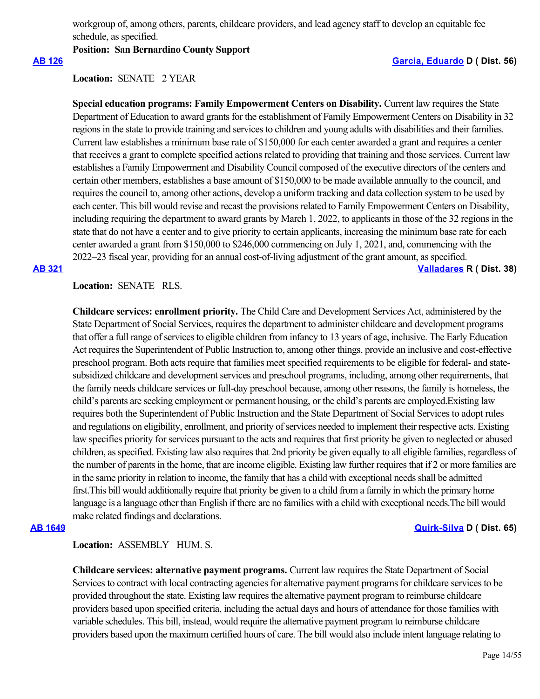workgroup of, among others, parents, childcare providers, and lead agency staff to develop an equitable fee schedule, as specified.

**Position: San Bernardino County Support**

### **[AB 126](https://ctweb.capitoltrack.com/public/publishbillinfo.aspx?bi=cabNNPfnUEwI3KjZ3ebKiy4waaXjx8oSSUoiKQZJSYxbx%2FHuyi4fZYmng%2BzJXzv6) [Garcia, Eduardo](https://a56.asmdc.org/) D ( Dist. 56)**

# Location: **SENATE** 2 YEAR

**Special education programs: Family Empowerment Centers on Disability.** Current law requires the State Department of Education to award grants for the establishment of Family Empowerment Centers on Disability in 32 regions in the state to provide training and services to children and young adults with disabilities and their families. Current law establishes a minimum base rate of \$150,000 for each center awarded a grant and requires a center that receives a grant to complete specified actions related to providing that training and those services. Current law establishes a Family Empowerment and Disability Council composed of the executive directors of the centers and certain other members, establishes a base amount of \$150,000 to be made available annually to the council, and requires the council to, among other actions, develop a uniform tracking and data collection system to be used by each center. This bill would revise and recast the provisions related to Family Empowerment Centers on Disability, including requiring the department to award grants by March 1, 2022, to applicants in those of the 32 regions in the state that do not have a center and to give priority to certain applicants, increasing the minimum base rate for each center awarded a grant from \$150,000 to \$246,000 commencing on July 1, 2021, and, commencing with the 2022–23 fiscal year, providing for an annual cost-of-living adjustment of the grant amount, as specified.

**[AB 321](https://ctweb.capitoltrack.com/public/publishbillinfo.aspx?bi=uxa3GWxRxvJ5orgS27LvFoThnCGCxPyMaWHCZgBo2NVKiGebABGx7cGjx2UQ8GcF) [Valladares](https://ad38.asmrc.org/) R ( Dist. 38)**

## **Location:**  SENATE RLS.

**Childcare services: enrollment priority.** The Child Care and Development Services Act, administered by the State Department of Social Services, requires the department to administer childcare and development programs that offer a full range of services to eligible children from infancy to 13 years of age, inclusive. The Early Education Act requires the Superintendent of Public Instruction to, among other things, provide an inclusive and cost-effective preschool program. Both acts require that families meet specified requirements to be eligible for federal- and statesubsidized childcare and development services and preschool programs, including, among other requirements, that the family needs childcare services or full-day preschool because, among other reasons, the family is homeless, the child's parents are seeking employment or permanent housing, or the child's parents are employed.Existing law requires both the Superintendent of Public Instruction and the State Department of Social Services to adopt rules and regulations on eligibility, enrollment, and priority of services needed to implement their respective acts. Existing law specifies priority for services pursuant to the acts and requires that first priority be given to neglected or abused children, as specified. Existing law also requires that 2nd priority be given equally to all eligible families, regardless of the number of parents in the home, that are income eligible. Existing law further requires that if 2 or more families are in the same priority in relation to income, the family that has a child with exceptional needs shall be admitted first.This bill would additionally require that priority be given to a child from a family in which the primary home language is a language other than English if there are no families with a child with exceptional needs.The bill would make related findings and declarations.

### **[AB 1649](https://ctweb.capitoltrack.com/public/publishbillinfo.aspx?bi=UJmzFb7ycYe1XqlwONEFbcb06L7gR1HhfRCIk9psYgOiCUm0u8iY06Rxa2ce5UpI) [Quirk-Silva](https://a65.asmdc.org/) D ( Dist. 65)**

### **Location:**  ASSEMBLY HUM. S.

**Childcare services: alternative payment programs.** Current law requires the State Department of Social Services to contract with local contracting agencies for alternative payment programs for childcare services to be provided throughout the state. Existing law requires the alternative payment program to reimburse childcare providers based upon specified criteria, including the actual days and hours of attendance for those families with variable schedules. This bill, instead, would require the alternative payment program to reimburse childcare providers based upon the maximum certified hours of care. The bill would also include intent language relating to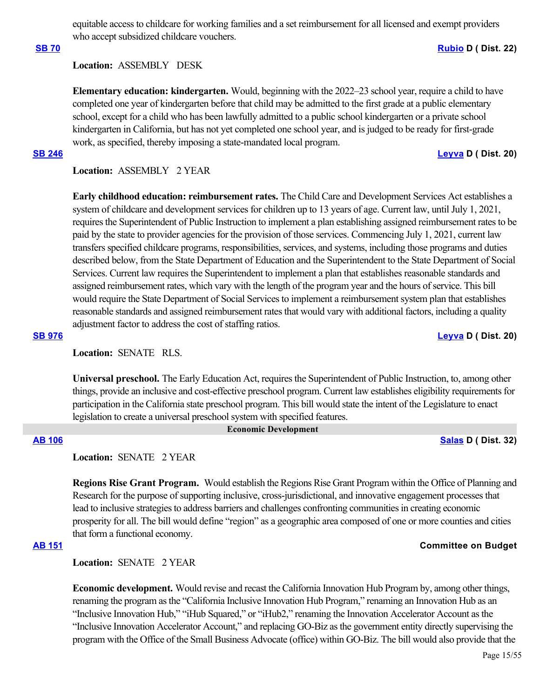equitable access to childcare for working families and a set reimbursement for all licensed and exempt providers who accept subsidized childcare vouchers.

**[SB 70](https://ctweb.capitoltrack.com/public/publishbillinfo.aspx?bi=y51p%2B%2Bav7%2By2j7KNARv%2FQ65ag6GebJVLhb7tnBcOanuCxmz8ISYhYlV12V5f8M%2FD) [Rubio](http://sd22.senate.ca.gov/) D ( Dist. 22)**

# **Location:**  ASSEMBLY DESK

**Elementary education: kindergarten.** Would, beginning with the 2022–23 school year, require a child to have completed one year of kindergarten before that child may be admitted to the first grade at a public elementary school, except for a child who has been lawfully admitted to a public school kindergarten or a private school kindergarten in California, but has not yet completed one school year, and is judged to be ready for first-grade work, as specified, thereby imposing a state-mandated local program.

### **[SB 246](https://ctweb.capitoltrack.com/public/publishbillinfo.aspx?bi=lacCMXDQKxjsfxexm3%2BWQIz5jMLglBCdXbhnz%2F%2BIo7LL4mpPPKWP9MolKBlob9AO) [Leyva](http://sd20.senate.ca.gov/) D ( Dist. 20)**

# **Location:**  ASSEMBLY 2 YEAR

**Early childhood education: reimbursement rates.** The Child Care and Development Services Act establishes a system of childcare and development services for children up to 13 years of age. Current law, until July 1, 2021, requires the Superintendent of Public Instruction to implement a plan establishing assigned reimbursement rates to be paid by the state to provider agencies for the provision of those services. Commencing July 1, 2021, current law transfers specified childcare programs, responsibilities, services, and systems, including those programs and duties described below, from the State Department of Education and the Superintendent to the State Department of Social Services. Current law requires the Superintendent to implement a plan that establishes reasonable standards and assigned reimbursement rates, which vary with the length of the program year and the hours of service. This bill would require the State Department of Social Services to implement a reimbursement system plan that establishes reasonable standards and assigned reimbursement rates that would vary with additional factors, including a quality adjustment factor to address the cost of staffing ratios.

**[SB 976](https://ctweb.capitoltrack.com/public/publishbillinfo.aspx?bi=0nyFqaWr0kBbVFSEOTIVxXi4XRWu87PB4%2F4oBRIVPaYsnNg8pDuZWcaX%2BmfCtCDs) [Leyva](http://sd20.senate.ca.gov/) D ( Dist. 20)**

# **Location:**  SENATE RLS.

**Universal preschool.** The Early Education Act, requires the Superintendent of Public Instruction, to, among other things, provide an inclusive and cost-effective preschool program. Current law establishes eligibility requirements for participation in the California state preschool program. This bill would state the intent of the Legislature to enact legislation to create a universal preschool system with specified features.

### **Economic Development**

# **[AB 106](https://ctweb.capitoltrack.com/public/publishbillinfo.aspx?bi=TSHJENppxbfSG53un6%2BUCngvhXso2lgVZ4pSYQx3GPXcEkM9Nfz4NFNaLhigTmpX) [Salas](https://a32.asmdc.org/) D ( Dist. 32)**

# **Location:**  SENATE 2 YEAR

**Regions Rise Grant Program.** Would establish the Regions Rise Grant Program within the Office of Planning and Research for the purpose of supporting inclusive, cross-jurisdictional, and innovative engagement processes that lead to inclusive strategies to address barriers and challenges confronting communities in creating economic prosperity for all. The bill would define "region" as a geographic area composed of one or more counties and cities that form a functional economy.

## **[AB 151](https://ctweb.capitoltrack.com/public/publishbillinfo.aspx?bi=U0qr%2FZVUrLbiyEMHYgcYcJNQ%2FEoPiLKYs8qT3FQRgVS5mO9aZufT%2BPx8NQdMQFn9) Committee on Budget**

**Location:**  SENATE 2 YEAR

**Economic development.** Would revise and recast the California Innovation Hub Program by, among other things, renaming the program as the "California Inclusive Innovation Hub Program," renaming an Innovation Hub as an "Inclusive Innovation Hub," "iHub Squared," or "iHub2," renaming the Innovation Accelerator Account as the "Inclusive Innovation Accelerator Account," and replacing GO-Biz as the government entity directly supervising the program with the Office of the Small Business Advocate (office) within GO-Biz. The bill would also provide that the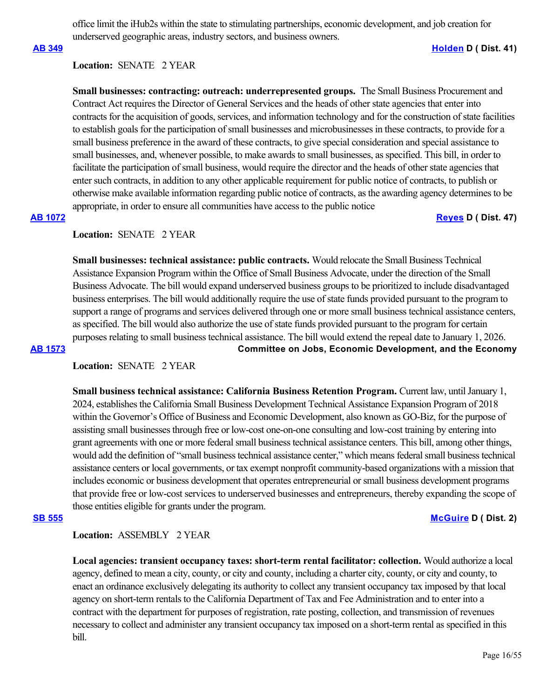office limit the iHub2s within the state to stimulating partnerships, economic development, and job creation for underserved geographic areas, industry sectors, and business owners.

**[AB 349](https://ctweb.capitoltrack.com/public/publishbillinfo.aspx?bi=U8nmvOR631fi48JMAAZe7u%2FsiOgOtxxKCZl6G21Isl4eCS35cRf7Fp%2FbLC21krjt) [Holden](https://a41.asmdc.org/) D ( Dist. 41)**

## **Location:**  SENATE 2 YEAR

**Small businesses: contracting: outreach: underrepresented groups.** The Small Business Procurement and Contract Act requires the Director of General Services and the heads of other state agencies that enter into contracts for the acquisition of goods, services, and information technology and for the construction of state facilities to establish goals for the participation of small businesses and microbusinesses in these contracts, to provide for a small business preference in the award of these contracts, to give special consideration and special assistance to small businesses, and, whenever possible, to make awards to small businesses, as specified. This bill, in order to facilitate the participation of small business, would require the director and the heads of other state agencies that enter such contracts, in addition to any other applicable requirement for public notice of contracts, to publish or otherwise make available information regarding public notice of contracts, as the awarding agency determines to be appropriate, in order to ensure all communities have access to the public notice

# **[AB 1072](https://ctweb.capitoltrack.com/public/publishbillinfo.aspx?bi=%2BmxX%2Fs%2Bw32vV%2FlbWmYi%2FTCYKWQVhgxlVJciVh5jN8KWH8uMHlAf7i2ZogVOnaNbb) [Reyes](https://a47.asmdc.org/) D ( Dist. 47)**

**Location:**  SENATE 2 YEAR

**Small businesses: technical assistance: public contracts.** Would relocate the Small Business Technical Assistance Expansion Program within the Office of Small Business Advocate, under the direction of the Small Business Advocate. The bill would expand underserved business groups to be prioritized to include disadvantaged business enterprises. The bill would additionally require the use of state funds provided pursuant to the program to support a range of programs and services delivered through one or more small business technical assistance centers, as specified. The bill would also authorize the use of state funds provided pursuant to the program for certain purposes relating to small business technical assistance. The bill would extend the repeal date to January 1, 2026. **[AB 1573](https://ctweb.capitoltrack.com/public/publishbillinfo.aspx?bi=uG4iiSs6cpsdRSxlFFXnkSXLizceI6F6k0IBJ%2FRiu99VjLbV8%2BDACFZsjdZk49B%2F) Committee on Jobs, Economic Development, and the Economy**

**Location:**  SENATE 2 YEAR

**Small business technical assistance: California Business Retention Program.** Current law, until January 1, 2024, establishes the California Small Business Development Technical Assistance Expansion Program of 2018 within the Governor's Office of Business and Economic Development, also known as GO-Biz, for the purpose of assisting small businesses through free or low-cost one-on-one consulting and low-cost training by entering into grant agreements with one or more federal small business technical assistance centers. This bill, among other things, would add the definition of "small business technical assistance center," which means federal small business technical assistance centers or local governments, or tax exempt nonprofit community-based organizations with a mission that includes economic or business development that operates entrepreneurial or small business development programs that provide free or low-cost services to underserved businesses and entrepreneurs, thereby expanding the scope of those entities eligible for grants under the program.

### **[SB 555](https://ctweb.capitoltrack.com/public/publishbillinfo.aspx?bi=t8gFkA8BMy0t6f2bRZ8kSp8EPfEC1tXi5Xz2ToWCPSP67Zlb%2FyBWj7cbNkwJuqhB) [McGuire](http://sd02.senate.ca.gov/) D ( Dist. 2)**

## **Location:**  ASSEMBLY 2 YEAR

**Local agencies: transient occupancy taxes: short-term rental facilitator: collection.** Would authorize a local agency, defined to mean a city, county, or city and county, including a charter city, county, or city and county, to enact an ordinance exclusively delegating its authority to collect any transient occupancy tax imposed by that local agency on short-term rentals to the California Department of Tax and Fee Administration and to enter into a contract with the department for purposes of registration, rate posting, collection, and transmission of revenues necessary to collect and administer any transient occupancy tax imposed on a short-term rental as specified in this bill.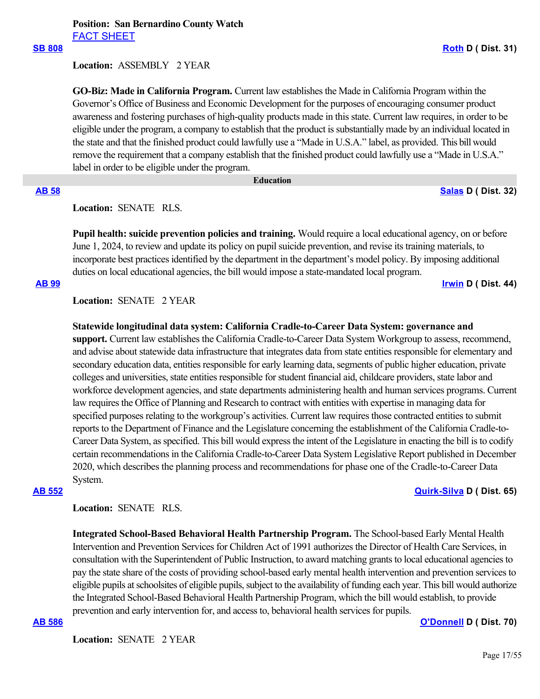# **Position: San Bernardino County Watch** [FACT SHEET](https://ctweb.capitoltrack.com/public/publishviewdoc.ashx?di=i%2BWpOgjBguUiU7ZNORsdINh1Rh8PPysNPwy8Jpu1RVk%3D)

# **Location:**  ASSEMBLY 2 YEAR

**GO-Biz: Made in California Program.** Current law establishes the Made in California Program within the Governor's Office of Business and Economic Development for the purposes of encouraging consumer product awareness and fostering purchases of high-quality products made in this state. Current law requires, in order to be eligible under the program, a company to establish that the product is substantially made by an individual located in the state and that the finished product could lawfully use a "Made in U.S.A." label, as provided. This bill would remove the requirement that a company establish that the finished product could lawfully use a "Made in U.S.A." label in order to be eligible under the program.

 **Education**

### **[AB 58](https://ctweb.capitoltrack.com/public/publishbillinfo.aspx?bi=WgrShyLX0MOnEOOovH9DdfcF5bwwiKbfN2AOah4jbt5RSeYbDiX6n8MX0tyiVoj7) [Salas](https://a32.asmdc.org/) D ( Dist. 32)**

**Location:**  SENATE RLS.

**Pupil health: suicide prevention policies and training.** Would require a local educational agency, on or before June 1, 2024, to review and update its policy on pupil suicide prevention, and revise its training materials, to incorporate best practices identified by the department in the department's model policy. By imposing additional duties on local educational agencies, the bill would impose a state-mandated local program.

**[AB 99](https://ctweb.capitoltrack.com/public/publishbillinfo.aspx?bi=gm2jgRdveobWf5LybuEXyLjwh4QWhan1fDoAiwXcruBh8Eth5pdMGXsjrNvf1Ffy) [Irwin](https://a44.asmdc.org/) D ( Dist. 44)**

**Location:**  SENATE 2 YEAR

#### **Statewide longitudinal data system: California Cradle-to-Career Data System: governance and**

**support.** Current law establishes the California Cradle-to-Career Data System Workgroup to assess, recommend, and advise about statewide data infrastructure that integrates data from state entities responsible for elementary and secondary education data, entities responsible for early learning data, segments of public higher education, private colleges and universities, state entities responsible for student financial aid, childcare providers, state labor and workforce development agencies, and state departments administering health and human services programs. Current law requires the Office of Planning and Research to contract with entities with expertise in managing data for specified purposes relating to the workgroup's activities. Current law requires those contracted entities to submit reports to the Department of Finance and the Legislature concerning the establishment of the California Cradle-to-Career Data System, as specified. This bill would express the intent of the Legislature in enacting the bill is to codify certain recommendations in the California Cradle-to-Career Data System Legislative Report published in December 2020, which describes the planning process and recommendations for phase one of the Cradle-to-Career Data System.

# **[AB 552](https://ctweb.capitoltrack.com/public/publishbillinfo.aspx?bi=0B1pP8xZSqmT1PDx5eLChQYAYYE5i75lfquaLpGyuniEx%2FusY9NutFnw5eFM16dd) [Quirk-Silva](https://a65.asmdc.org/) D ( Dist. 65)**

## **Location:**  SENATE RLS.

**Integrated School-Based Behavioral Health Partnership Program.** The School-based Early Mental Health Intervention and Prevention Services for Children Act of 1991 authorizes the Director of Health Care Services, in consultation with the Superintendent of Public Instruction, to award matching grants to local educational agencies to pay the state share of the costs of providing school-based early mental health intervention and prevention services to eligible pupils at schoolsites of eligible pupils, subject to the availability of funding each year. This bill would authorize the Integrated School-Based Behavioral Health Partnership Program, which the bill would establish, to provide prevention and early intervention for, and access to, behavioral health services for pupils.

**[AB 586](https://ctweb.capitoltrack.com/public/publishbillinfo.aspx?bi=SHR6zabaLsjdf%2BzCcgiD53IVIwpRXk6kA78OcVCQKjFBxFFWbCgeQdTfug6tFoq0) [O'Donnell](https://a70.asmdc.org/) D ( Dist. 70)**

**Location:**  SENATE 2 YEAR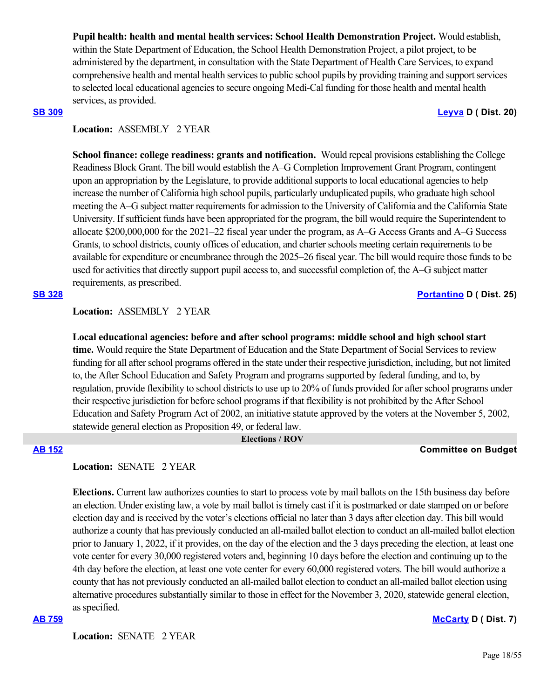**Pupil health: health and mental health services: School Health Demonstration Project.** Would establish, within the State Department of Education, the School Health Demonstration Project, a pilot project, to be administered by the department, in consultation with the State Department of Health Care Services, to expand comprehensive health and mental health services to public school pupils by providing training and support services to selected local educational agencies to secure ongoing Medi-Cal funding for those health and mental health services, as provided.

### **[SB 309](https://ctweb.capitoltrack.com/public/publishbillinfo.aspx?bi=rSpanUljIGECicuYY1QxDdrK2c%2BbfD%2FtqWJDtz2lMGdUcQFgsMbVhkXpMqXs2f97) [Leyva](http://sd20.senate.ca.gov/) D ( Dist. 20)**

## **Location:**  ASSEMBLY 2 YEAR

**School finance: college readiness: grants and notification.** Would repeal provisions establishing the College Readiness Block Grant. The bill would establish the A–G Completion Improvement Grant Program, contingent upon an appropriation by the Legislature, to provide additional supports to local educational agencies to help increase the number of California high school pupils, particularly unduplicated pupils, who graduate high school meeting the A–G subject matter requirements for admission to the University of California and the California State University. If sufficient funds have been appropriated for the program, the bill would require the Superintendent to allocate \$200,000,000 for the 2021–22 fiscal year under the program, as A–G Access Grants and A–G Success Grants, to school districts, county offices of education, and charter schools meeting certain requirements to be available for expenditure or encumbrance through the 2025–26 fiscal year. The bill would require those funds to be used for activities that directly support pupil access to, and successful completion of, the A–G subject matter requirements, as prescribed.

### **[SB 328](https://ctweb.capitoltrack.com/public/publishbillinfo.aspx?bi=9KMazkSPgREg0w%2FGsBAYs8jt5rj8KVB5DuFu5Te%2BE87U0gaR9vHAWkZPAuGrF1gu) [Portantino](http://sd25.senate.ca.gov/) D ( Dist. 25)**

## **Location:**  ASSEMBLY 2 YEAR

**Local educational agencies: before and after school programs: middle school and high school start time.** Would require the State Department of Education and the State Department of Social Services to review funding for all after school programs offered in the state under their respective jurisdiction, including, but not limited to, the After School Education and Safety Program and programs supported by federal funding, and to, by regulation, provide flexibility to school districts to use up to 20% of funds provided for after school programs under their respective jurisdiction for before school programs if that flexibility is not prohibited by the After School Education and Safety Program Act of 2002, an initiative statute approved by the voters at the November 5, 2002, statewide general election as Proposition 49, or federal law.

 **Elections / ROV**

## **[AB 152](https://ctweb.capitoltrack.com/public/publishbillinfo.aspx?bi=gRkmMj%2FzHvu7wFu4ZMnzvWacZsqtDpaWT2RGWHEpK2%2Bq8%2FZd2ARoNYqWSZGN2CFo) Committee on Budget**

## **Location:**  SENATE 2 YEAR

**Elections.** Current law authorizes counties to start to process vote by mail ballots on the 15th business day before an election. Under existing law, a vote by mail ballot is timely cast if it is postmarked or date stamped on or before election day and is received by the voter's elections official no later than 3 days after election day. This bill would authorize a county that has previously conducted an all-mailed ballot election to conduct an all-mailed ballot election prior to January 1, 2022, if it provides, on the day of the election and the 3 days preceding the election, at least one vote center for every 30,000 registered voters and, beginning 10 days before the election and continuing up to the 4th day before the election, at least one vote center for every 60,000 registered voters. The bill would authorize a county that has not previously conducted an all-mailed ballot election to conduct an all-mailed ballot election using alternative procedures substantially similar to those in effect for the November 3, 2020, statewide general election, as specified.

## **[AB 759](https://ctweb.capitoltrack.com/public/publishbillinfo.aspx?bi=aA90vtH319PBAz%2F6mP7iVn2Ey3W0AKYdpxz2PkqCtbyOJWw7OfERY4Hh%2BfKZUBFv) [McCarty](https://a07.asmdc.org/) D ( Dist. 7)**

**Location:**  SENATE 2 YEAR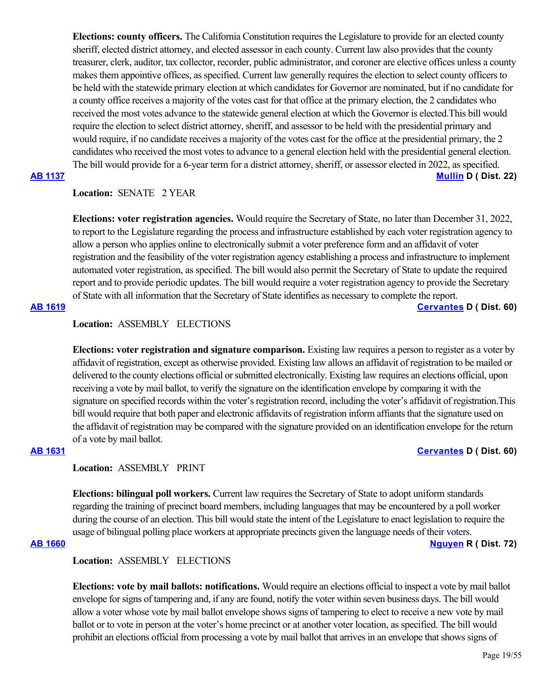**Elections: county officers.** The California Constitution requires the Legislature to provide for an elected county sheriff, elected district attorney, and elected assessor in each county. Current law also provides that the county treasurer, clerk, auditor, tax collector, recorder, public administrator, and coroner are elective offices unless a county makes them appointive offices, as specified. Current law generally requires the election to select county officers to be held with the statewide primary election at which candidates for Governor are nominated, but if no candidate for a county office receives a majority of the votes cast for that office at the primary election, the 2 candidates who received the most votes advance to the statewide general election at which the Governor is elected.This bill would require the election to select district attorney, sheriff, and assessor to be held with the presidential primary and would require, if no candidate receives a majority of the votes cast for the office at the presidential primary, the 2 candidates who received the most votes to advance to a general election held with the presidential general election. The bill would provide for a 6-year term for a district attorney, sheriff, or assessor elected in 2022, as specified.

# **[AB 1137](https://ctweb.capitoltrack.com/public/publishbillinfo.aspx?bi=PQ2UN9IAlNJFxjb5YT%2FgJ4bkxE9aiGC7PaIOD9LbqXyIHNXL3yT0suFLISgX8PWM) [Mullin](https://a22.asmdc.org/) D ( Dist. 22)**

# **Location:**  SENATE 2 YEAR

**Elections: voter registration agencies.** Would require the Secretary of State, no later than December 31, 2022, to report to the Legislature regarding the process and infrastructure established by each voter registration agency to allow a person who applies online to electronically submit a voter preference form and an affidavit of voter registration and the feasibility of the voter registration agency establishing a process and infrastructure to implement automated voter registration, as specified. The bill would also permit the Secretary of State to update the required report and to provide periodic updates. The bill would require a voter registration agency to provide the Secretary of State with all information that the Secretary of State identifies as necessary to complete the report.

## **[AB 1619](https://ctweb.capitoltrack.com/public/publishbillinfo.aspx?bi=ekCRCLgfuOrqyUemGSuk3Yc5r61cnKuQ1Ly87vRD%2BQPz4UzwCxZLt2wHH%2BnWgi4x) [Cervantes](https://a60.asmdc.org/) D ( Dist. 60)**

### **Location:**  ASSEMBLY ELECTIONS

**Elections: voter registration and signature comparison.** Existing law requires a person to register as a voter by affidavit of registration, except as otherwise provided. Existing law allows an affidavit of registration to be mailed or delivered to the county elections official or submitted electronically. Existing law requires an elections official, upon receiving a vote by mail ballot, to verify the signature on the identification envelope by comparing it with the signature on specified records within the voter's registration record, including the voter's affidavit of registration.This bill would require that both paper and electronic affidavits of registration inform affiants that the signature used on the affidavit of registration may be compared with the signature provided on an identification envelope for the return of a vote by mail ballot.

# **[AB 1631](https://ctweb.capitoltrack.com/public/publishbillinfo.aspx?bi=0ywmK0CuNrLsAD1oYOidV6zulDveABZf5C88dIwxuGh%2BCaya%2FJHJPFUhJGRcDTHk) [Cervantes](https://a60.asmdc.org/) D ( Dist. 60)**

## **Location:**  ASSEMBLY PRINT

**Elections: bilingual poll workers.** Current law requires the Secretary of State to adopt uniform standards regarding the training of precinct board members, including languages that may be encountered by a poll worker during the course of an election. This bill would state the intent of the Legislature to enact legislation to require the usage of bilingual polling place workers at appropriate precincts given the language needs of their voters.

**[AB 1660](https://ctweb.capitoltrack.com/public/publishbillinfo.aspx?bi=iwVojYjkD5b6CSyUVSyXU6K%2B0yORR7LQnOuZlXFJn5ZGku4GMJpS%2B2rmfdp4nwBb) [Nguyen](https://ad72.asmrc.org/) R ( Dist. 72)**

# **Location:**  ASSEMBLY ELECTIONS

**Elections: vote by mail ballots: notifications.** Would require an elections official to inspect a vote by mail ballot envelope for signs of tampering and, if any are found, notify the voter within seven business days. The bill would allow a voter whose vote by mail ballot envelope shows signs of tampering to elect to receive a new vote by mail ballot or to vote in person at the voter's home precinct or at another voter location, as specified. The bill would prohibit an elections official from processing a vote by mail ballot that arrives in an envelope that shows signs of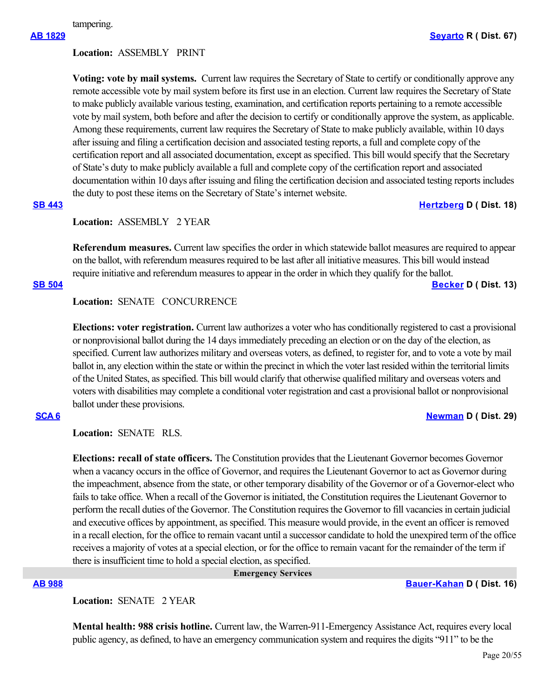tampering.

# **Location:**  ASSEMBLY PRINT

**Voting: vote by mail systems.** Current law requires the Secretary of State to certify or conditionally approve any remote accessible vote by mail system before its first use in an election. Current law requires the Secretary of State to make publicly available various testing, examination, and certification reports pertaining to a remote accessible vote by mail system, both before and after the decision to certify or conditionally approve the system, as applicable. Among these requirements, current law requires the Secretary of State to make publicly available, within 10 days after issuing and filing a certification decision and associated testing reports, a full and complete copy of the certification report and all associated documentation, except as specified. This bill would specify that the Secretary of State's duty to make publicly available a full and complete copy of the certification report and associated documentation within 10 days after issuing and filing the certification decision and associated testing reports includes the duty to post these items on the Secretary of State's internet website.

## **[SB 443](https://ctweb.capitoltrack.com/public/publishbillinfo.aspx?bi=HIojWqTdpascDXzdrowFDmZfMBn6ikUpCG3ceZICtuNK6Drr9Vz38JPGnn2sEp40) [Hertzberg](https://sd18.senate.ca.gov/) D ( Dist. 18)**

### **Location:**  ASSEMBLY 2 YEAR

**Referendum measures.** Current law specifies the order in which statewide ballot measures are required to appear on the ballot, with referendum measures required to be last after all initiative measures. This bill would instead require initiative and referendum measures to appear in the order in which they qualify for the ballot. **[SB 504](https://ctweb.capitoltrack.com/public/publishbillinfo.aspx?bi=VK5PXElFKMX63ipoeDnRaJ0FG9klpyiyj9cPSVnLp242P%2Fpeg9GnjaCHyM5zmkgx) [Becker](http://sd13.senate.ca.gov/) D ( Dist. 13)**

Location: **SENATE CONCURRENCE** 

**Elections: voter registration.** Current law authorizes a voter who has conditionally registered to cast a provisional or nonprovisional ballot during the 14 days immediately preceding an election or on the day of the election, as specified. Current law authorizes military and overseas voters, as defined, to register for, and to vote a vote by mail ballot in, any election within the state or within the precinct in which the voter last resided within the territorial limits of the United States, as specified. This bill would clarify that otherwise qualified military and overseas voters and voters with disabilities may complete a conditional voter registration and cast a provisional ballot or nonprovisional ballot under these provisions.

## **[SCA 6](https://ctweb.capitoltrack.com/public/publishbillinfo.aspx?bi=2atZrudWC%2FU8zJkaoOmSp3UbneK%2FRHqnwUEC7hkhNabYuZUEKSQ2uBjClBD%2FQjUV) [Newman](https://sd29.senate.ca.gov/) D ( Dist. 29)**

**Location:**  SENATE RLS.

**Elections: recall of state officers.** The Constitution provides that the Lieutenant Governor becomes Governor when a vacancy occurs in the office of Governor, and requires the Lieutenant Governor to act as Governor during the impeachment, absence from the state, or other temporary disability of the Governor or of a Governor-elect who fails to take office. When a recall of the Governor is initiated, the Constitution requires the Lieutenant Governor to perform the recall duties of the Governor. The Constitution requires the Governor to fill vacancies in certain judicial and executive offices by appointment, as specified. This measure would provide, in the event an officer is removed in a recall election, for the office to remain vacant until a successor candidate to hold the unexpired term of the office receives a majority of votes at a special election, or for the office to remain vacant for the remainder of the term if there is insufficient time to hold a special election, as specified.

 **Emergency Services**

### **[AB 988](https://ctweb.capitoltrack.com/public/publishbillinfo.aspx?bi=jPjlAAna2I%2BTXPXFt0nZGgjfP4UQuHD0yMrgtf7cg0IF6eh90GIQOatSW9biM2p8) [Bauer-Kahan](https://a16.asmdc.org/) D ( Dist. 16)**

**Location:**  SENATE 2 YEAR

**Mental health: 988 crisis hotline.** Current law, the Warren-911-Emergency Assistance Act, requires every local public agency, as defined, to have an emergency communication system and requires the digits "911" to be the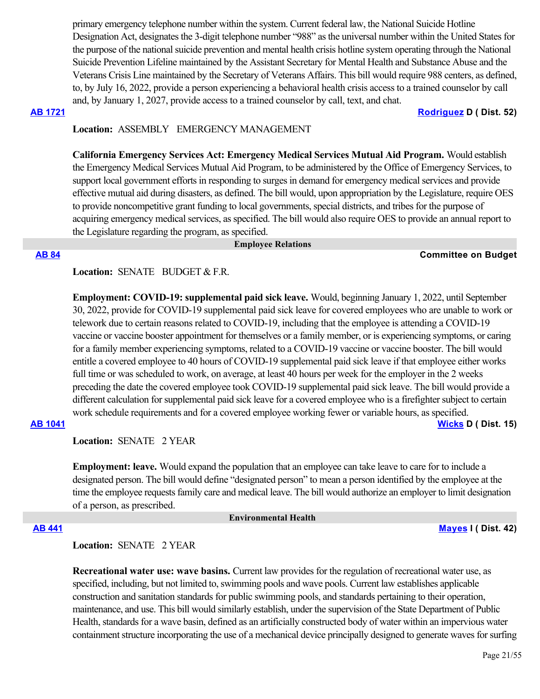primary emergency telephone number within the system. Current federal law, the National Suicide Hotline Designation Act, designates the 3-digit telephone number "988" as the universal number within the United States for the purpose of the national suicide prevention and mental health crisis hotline system operating through the National Suicide Prevention Lifeline maintained by the Assistant Secretary for Mental Health and Substance Abuse and the Veterans Crisis Line maintained by the Secretary of Veterans Affairs. This bill would require 988 centers, as defined, to, by July 16, 2022, provide a person experiencing a behavioral health crisis access to a trained counselor by call and, by January 1, 2027, provide access to a trained counselor by call, text, and chat.

## **[AB 1721](https://ctweb.capitoltrack.com/public/publishbillinfo.aspx?bi=ZQ99%2BBgY3s1f3zG1pd1hs%2F92PtmQkrdlWMrqzJXYT6LYVJTZp5mhiwmFRR1rIHNo) [Rodriguez](https://a52.asmdc.org/) D ( Dist. 52)**

# **Location:**  ASSEMBLY EMERGENCY MANAGEMENT

**California Emergency Services Act: Emergency Medical Services Mutual Aid Program.** Would establish the Emergency Medical Services Mutual Aid Program, to be administered by the Office of Emergency Services, to support local government efforts in responding to surges in demand for emergency medical services and provide effective mutual aid during disasters, as defined. The bill would, upon appropriation by the Legislature, require OES to provide noncompetitive grant funding to local governments, special districts, and tribes for the purpose of acquiring emergency medical services, as specified. The bill would also require OES to provide an annual report to the Legislature regarding the program, as specified.

 **Employee Relations**

#### **[AB 84](https://ctweb.capitoltrack.com/public/publishbillinfo.aspx?bi=B%2FFJylx76BV7l52%2B3XhF6j%2FwR52JBWNxjEXhy3jtbD2GBvwl2cN4wsF%2FNmRfG1Iy) Committee on Budget**

# Location: **SENATE** BUDGET & F.R.

**Employment: COVID-19: supplemental paid sick leave.** Would, beginning January 1, 2022, until September 30, 2022, provide for COVID-19 supplemental paid sick leave for covered employees who are unable to work or telework due to certain reasons related to COVID-19, including that the employee is attending a COVID-19 vaccine or vaccine booster appointment for themselves or a family member, or is experiencing symptoms, or caring for a family member experiencing symptoms, related to a COVID-19 vaccine or vaccine booster. The bill would entitle a covered employee to 40 hours of COVID-19 supplemental paid sick leave if that employee either works full time or was scheduled to work, on average, at least 40 hours per week for the employer in the 2 weeks preceding the date the covered employee took COVID-19 supplemental paid sick leave. The bill would provide a different calculation for supplemental paid sick leave for a covered employee who is a firefighter subject to certain work schedule requirements and for a covered employee working fewer or variable hours, as specified.

# **[AB 1041](https://ctweb.capitoltrack.com/public/publishbillinfo.aspx?bi=5AdbS012iolk0S%2BR8OXCTbezQbDtY%2FRyuueXH9Dq%2Bq%2FTbNCW2s2qDttEyECBZAw%2F) [Wicks](https://a15.asmdc.org/) D ( Dist. 15)**

**Location:**  SENATE 2 YEAR

**Employment: leave.** Would expand the population that an employee can take leave to care for to include a designated person. The bill would define "designated person" to mean a person identified by the employee at the time the employee requests family care and medical leave. The bill would authorize an employer to limit designation of a person, as prescribed.

### **Environmental Health**

**[AB 441](https://ctweb.capitoltrack.com/public/publishbillinfo.aspx?bi=oqyp6GJ0p0sy9WvFZ2GTH%2FYL4lTm5%2B6CBmHGWmTfS%2FGDq1drB5MKBjVuoTtcFywR) [Mayes](https://www.assembly.ca.gov/assemblymemberchadmayes) I ( Dist. 42)**

# **Location:**  SENATE 2 YEAR

**Recreational water use: wave basins.** Current law provides for the regulation of recreational water use, as specified, including, but not limited to, swimming pools and wave pools. Current law establishes applicable construction and sanitation standards for public swimming pools, and standards pertaining to their operation, maintenance, and use. This bill would similarly establish, under the supervision of the State Department of Public Health, standards for a wave basin, defined as an artificially constructed body of water within an impervious water containment structure incorporating the use of a mechanical device principally designed to generate waves for surfing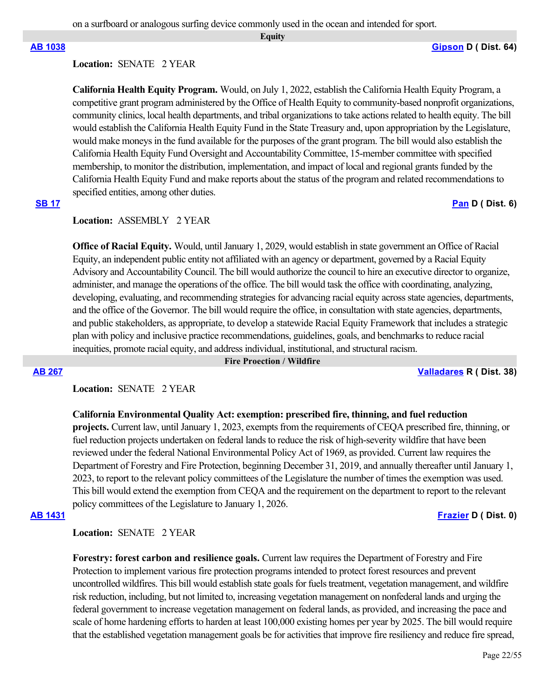on a surfboard or analogous surfing device commonly used in the ocean and intended for sport.

 **Equity**

# **Location:**  SENATE 2 YEAR

**California Health Equity Program.** Would, on July 1, 2022, establish the California Health Equity Program, a competitive grant program administered by the Office of Health Equity to community-based nonprofit organizations, community clinics, local health departments, and tribal organizations to take actions related to health equity. The bill would establish the California Health Equity Fund in the State Treasury and, upon appropriation by the Legislature, would make moneys in the fund available for the purposes of the grant program. The bill would also establish the California Health Equity Fund Oversight and Accountability Committee, 15-member committee with specified membership, to monitor the distribution, implementation, and impact of local and regional grants funded by the California Health Equity Fund and make reports about the status of the program and related recommendations to specified entities, among other duties.

# **Location:**  ASSEMBLY 2 YEAR

**Office of Racial Equity.** Would, until January 1, 2029, would establish in state government an Office of Racial Equity, an independent public entity not affiliated with an agency or department, governed by a Racial Equity Advisory and Accountability Council. The bill would authorize the council to hire an executive director to organize, administer, and manage the operations of the office. The bill would task the office with coordinating, analyzing, developing, evaluating, and recommending strategies for advancing racial equity across state agencies, departments, and the office of the Governor. The bill would require the office, in consultation with state agencies, departments, and public stakeholders, as appropriate, to develop a statewide Racial Equity Framework that includes a strategic plan with policy and inclusive practice recommendations, guidelines, goals, and benchmarks to reduce racial inequities, promote racial equity, and address individual, institutional, and structural racism.

 **Fire Proection / Wildfire**

**[AB 267](https://ctweb.capitoltrack.com/public/publishbillinfo.aspx?bi=3SE2825yVeoD%2FVeb1naH%2BjNacVwbKBjyd6shO3zqBpjbBxwZfGAepSO1w%2BhXWhOD) [Valladares](https://ad38.asmrc.org/) R ( Dist. 38)**

## **Location:**  SENATE 2 YEAR

## **California Environmental Quality Act: exemption: prescribed fire, thinning, and fuel reduction**

**projects.** Current law, until January 1, 2023, exempts from the requirements of CEQA prescribed fire, thinning, or fuel reduction projects undertaken on federal lands to reduce the risk of high-severity wildfire that have been reviewed under the federal National Environmental Policy Act of 1969, as provided. Current law requires the Department of Forestry and Fire Protection, beginning December 31, 2019, and annually thereafter until January 1, 2023, to report to the relevant policy committees of the Legislature the number of times the exemption was used. This bill would extend the exemption from CEQA and the requirement on the department to report to the relevant policy committees of the Legislature to January 1, 2026.

# **[AB 1431](https://ctweb.capitoltrack.com/public/publishbillinfo.aspx?bi=Yq6ghj%2Ftr2poYSBQbPIhqVyClNmo475qyX3stugPUKTdL%2BjDeAT%2FEGG%2B9VwQRGtc) [Frazier](https://a11.asmdc.org/) D ( Dist. 0)**

**Location:**  SENATE 2 YEAR

**Forestry: forest carbon and resilience goals.** Current law requires the Department of Forestry and Fire Protection to implement various fire protection programs intended to protect forest resources and prevent uncontrolled wildfires. This bill would establish state goals for fuels treatment, vegetation management, and wildfire risk reduction, including, but not limited to, increasing vegetation management on nonfederal lands and urging the federal government to increase vegetation management on federal lands, as provided, and increasing the pace and scale of home hardening efforts to harden at least 100,000 existing homes per year by 2025. The bill would require that the established vegetation management goals be for activities that improve fire resiliency and reduce fire spread,

### **[AB 1038](https://ctweb.capitoltrack.com/public/publishbillinfo.aspx?bi=IoY8rQUCyOZF5Yc9dfaGuYjz9MtGrCcOJ%2FAMaQRm%2BvFhHTupuZNOKklpgRMr0YdL) [Gipson](https://a64.asmdc.org/) D ( Dist. 64)**

# **[SB 17](https://ctweb.capitoltrack.com/public/publishbillinfo.aspx?bi=%2BE4NoDKMLnuTFxzoM1Xo99BcuN4ryD73nF0rJQY%2ByFcnjPHcHP1MVGB5QCwtLcFz) [Pan](http://sd06.senate.ca.gov/) D ( Dist. 6)**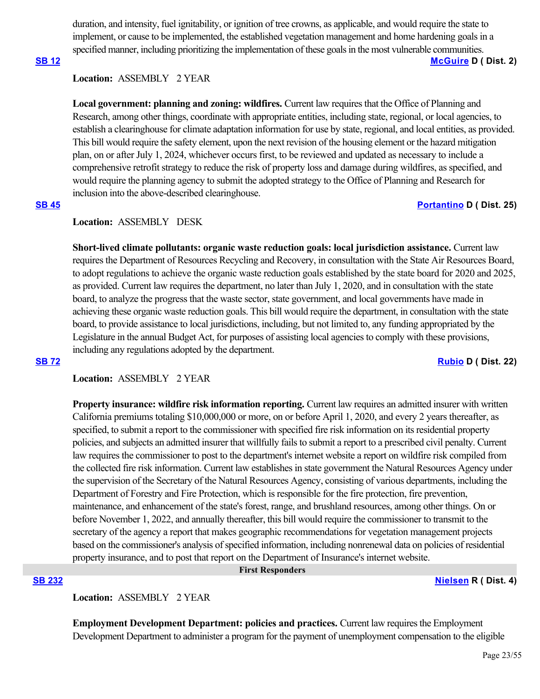duration, and intensity, fuel ignitability, or ignition of tree crowns, as applicable, and would require the state to implement, or cause to be implemented, the established vegetation management and home hardening goals in a specified manner, including prioritizing the implementation of these goals in the most vulnerable communities.

# **[SB 12](https://ctweb.capitoltrack.com/public/publishbillinfo.aspx?bi=iH%2F%2FFgFB5uNEO9mn6EmBkyuBjJw94E72dmogINjFfiA5CHBEKXu6y51VY2VvDZAR) [McGuire](http://sd02.senate.ca.gov/) D ( Dist. 2)**

# **Location:**  ASSEMBLY 2 YEAR

**Local government: planning and zoning: wildfires.** Current law requires that the Office of Planning and Research, among other things, coordinate with appropriate entities, including state, regional, or local agencies, to establish a clearinghouse for climate adaptation information for use by state, regional, and local entities, as provided. This bill would require the safety element, upon the next revision of the housing element or the hazard mitigation plan, on or after July 1, 2024, whichever occurs first, to be reviewed and updated as necessary to include a comprehensive retrofit strategy to reduce the risk of property loss and damage during wildfires, as specified, and would require the planning agency to submit the adopted strategy to the Office of Planning and Research for inclusion into the above-described clearinghouse.

# **[SB 45](https://ctweb.capitoltrack.com/public/publishbillinfo.aspx?bi=XDzDifgqVMy0XBOqonq3NDw2YsdmIpuQ1JXO6HXO%2B7sRhXSzmAlyf%2B4AVVWujK32) [Portantino](http://sd25.senate.ca.gov/) D ( Dist. 25)**

### **Location:**  ASSEMBLY DESK

**Short-lived climate pollutants: organic waste reduction goals: local jurisdiction assistance.** Current law requires the Department of Resources Recycling and Recovery, in consultation with the State Air Resources Board, to adopt regulations to achieve the organic waste reduction goals established by the state board for 2020 and 2025, as provided. Current law requires the department, no later than July 1, 2020, and in consultation with the state board, to analyze the progress that the waste sector, state government, and local governments have made in achieving these organic waste reduction goals. This bill would require the department, in consultation with the state board, to provide assistance to local jurisdictions, including, but not limited to, any funding appropriated by the Legislature in the annual Budget Act, for purposes of assisting local agencies to comply with these provisions, including any regulations adopted by the department.

### **[SB 72](https://ctweb.capitoltrack.com/public/publishbillinfo.aspx?bi=RwmJMe9s2JscBqpxkWuTdtwYUdb4HESgyWyHFmzT%2BLH1Gr8o%2FKmFWJbTi94SjK%2B8) [Rubio](http://sd22.senate.ca.gov/) D ( Dist. 22)**

# **Location:**  ASSEMBLY 2 YEAR

**Property insurance: wildfire risk information reporting.** Current law requires an admitted insurer with written California premiums totaling \$10,000,000 or more, on or before April 1, 2020, and every 2 years thereafter, as specified, to submit a report to the commissioner with specified fire risk information on its residential property policies, and subjects an admitted insurer that willfully fails to submit a report to a prescribed civil penalty. Current law requires the commissioner to post to the department's internet website a report on wildfire risk compiled from the collected fire risk information. Current law establishes in state government the Natural Resources Agency under the supervision of the Secretary of the Natural Resources Agency, consisting of various departments, including the Department of Forestry and Fire Protection, which is responsible for the fire protection, fire prevention, maintenance, and enhancement of the state's forest, range, and brushland resources, among other things. On or before November 1, 2022, and annually thereafter, this bill would require the commissioner to transmit to the secretary of the agency a report that makes geographic recommendations for vegetation management projects based on the commissioner's analysis of specified information, including nonrenewal data on policies of residential property insurance, and to post that report on the Department of Insurance's internet website.

**[SB 232](https://ctweb.capitoltrack.com/public/publishbillinfo.aspx?bi=HuMeyuzGJk2mqEyG9IeWvXXbdtW4WugJveLkG%2FL2%2BCbfM5Xhex5kekJKG6Vt4LtW) [Nielsen](http://nielsen.cssrc.us/) R ( Dist. 4)**

**Location:**  ASSEMBLY 2 YEAR

**Employment Development Department: policies and practices.** Current law requires the Employment Development Department to administer a program for the payment of unemployment compensation to the eligible

 **First Responders**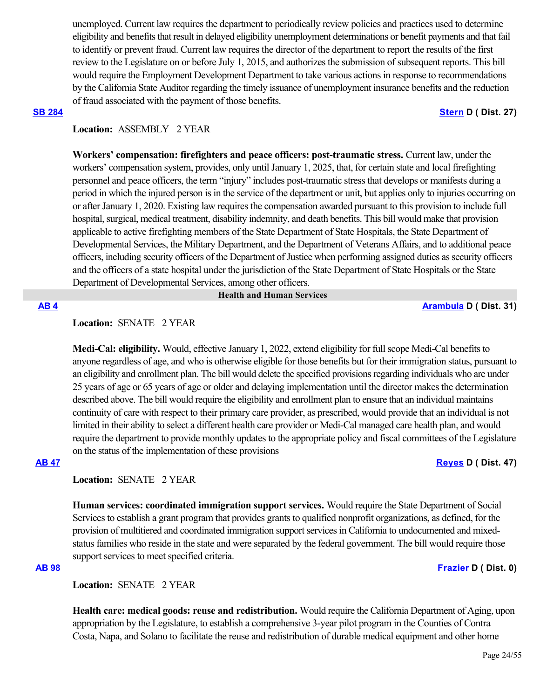unemployed. Current law requires the department to periodically review policies and practices used to determine eligibility and benefits that result in delayed eligibility unemployment determinations or benefit payments and that fail to identify or prevent fraud. Current law requires the director of the department to report the results of the first review to the Legislature on or before July 1, 2015, and authorizes the submission of subsequent reports. This bill would require the Employment Development Department to take various actions in response to recommendations by the California State Auditor regarding the timely issuance of unemployment insurance benefits and the reduction of fraud associated with the payment of those benefits.

#### **[SB 284](https://ctweb.capitoltrack.com/public/publishbillinfo.aspx?bi=pfo59AaC5CcBlbAG1B14p2QyzY9s%2Fy6%2F4GGrAzrDy118E94jS7x9jr06vKUaTB3e) [Stern](http://sd27.senate.ca.gov/) D ( Dist. 27)**

# **Location:**  ASSEMBLY 2 YEAR

**Workers' compensation: firefighters and peace officers: post-traumatic stress.** Current law, under the workers' compensation system, provides, only until January 1, 2025, that, for certain state and local firefighting personnel and peace officers, the term "injury" includes post-traumatic stress that develops or manifests during a period in which the injured person is in the service of the department or unit, but applies only to injuries occurring on or after January 1, 2020. Existing law requires the compensation awarded pursuant to this provision to include full hospital, surgical, medical treatment, disability indemnity, and death benefits. This bill would make that provision applicable to active firefighting members of the State Department of State Hospitals, the State Department of Developmental Services, the Military Department, and the Department of Veterans Affairs, and to additional peace officers, including security officers of the Department of Justice when performing assigned duties as security officers and the officers of a state hospital under the jurisdiction of the State Department of State Hospitals or the State Department of Developmental Services, among other officers.

#### **Health and Human Services**

**[AB 4](https://ctweb.capitoltrack.com/public/publishbillinfo.aspx?bi=gy7%2B%2F%2FSworWr53yrsQv%2FCEbi4rGhUc9NFdyQ7AMZKsgTYO48XJIEaRFlvfOy8LnY) [Arambula](https://a31.asmdc.org/) D ( Dist. 31)**

## Location: **SENATE** 2 YEAR

**Medi-Cal: eligibility.** Would, effective January 1, 2022, extend eligibility for full scope Medi-Cal benefits to anyone regardless of age, and who is otherwise eligible for those benefits but for their immigration status, pursuant to an eligibility and enrollment plan. The bill would delete the specified provisions regarding individuals who are under 25 years of age or 65 years of age or older and delaying implementation until the director makes the determination described above. The bill would require the eligibility and enrollment plan to ensure that an individual maintains continuity of care with respect to their primary care provider, as prescribed, would provide that an individual is not limited in their ability to select a different health care provider or Medi-Cal managed care health plan, and would require the department to provide monthly updates to the appropriate policy and fiscal committees of the Legislature on the status of the implementation of these provisions

### **[AB 47](https://ctweb.capitoltrack.com/public/publishbillinfo.aspx?bi=%2Fa0YW4RU81u0tfnzXer%2FrpfqAKX00ohuxXYd5d4bDFGEID0ZI8r0U%2BhEEQBazghF) [Reyes](https://a47.asmdc.org/) D ( Dist. 47)**

## Location: **SENATE** 2 YEAR

**Human services: coordinated immigration support services.** Would require the State Department of Social Services to establish a grant program that provides grants to qualified nonprofit organizations, as defined, for the provision of multitiered and coordinated immigration support services in California to undocumented and mixedstatus families who reside in the state and were separated by the federal government. The bill would require those support services to meet specified criteria.

## **[AB 98](https://ctweb.capitoltrack.com/public/publishbillinfo.aspx?bi=2AP7Z%2BSfWPwTjY7pLpJnVvICIB0PB6RxMicaXIQV4NUvKm9S7g60uYAHDWRfPpxF) [Frazier](https://a11.asmdc.org/) D ( Dist. 0)**

**Location:**  SENATE 2 YEAR

**Health care: medical goods: reuse and redistribution.** Would require the California Department of Aging, upon appropriation by the Legislature, to establish a comprehensive 3-year pilot program in the Counties of Contra Costa, Napa, and Solano to facilitate the reuse and redistribution of durable medical equipment and other home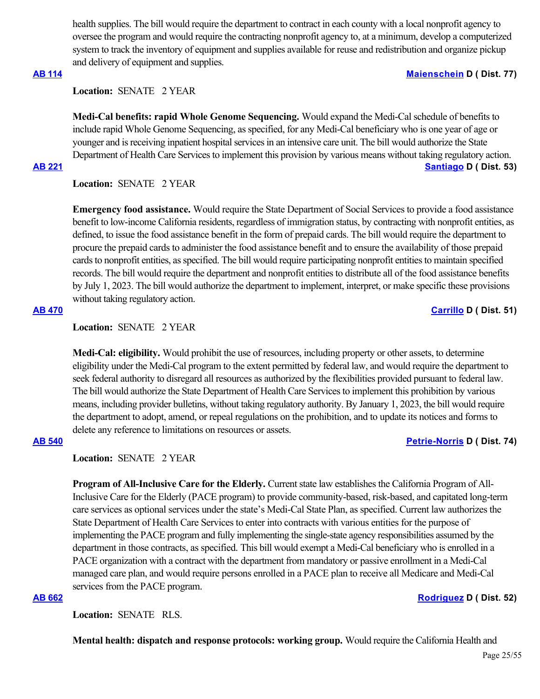health supplies. The bill would require the department to contract in each county with a local nonprofit agency to oversee the program and would require the contracting nonprofit agency to, at a minimum, develop a computerized system to track the inventory of equipment and supplies available for reuse and redistribution and organize pickup and delivery of equipment and supplies.

### **Location:**  SENATE 2 YEAR

**Medi-Cal benefits: rapid Whole Genome Sequencing.** Would expand the Medi-Cal schedule of benefits to include rapid Whole Genome Sequencing, as specified, for any Medi-Cal beneficiary who is one year of age or younger and is receiving inpatient hospital services in an intensive care unit. The bill would authorize the State Department of Health Care Services to implement this provision by various means without taking regulatory action. **[AB 221](https://ctweb.capitoltrack.com/public/publishbillinfo.aspx?bi=nUrcgqgFqZ8B1P14cntIk6aXgDF0M7Lp6G4c5Cm30ZOmPImvKDQolwe9YTH%2FLx%2Fb) [Santiago](https://a53.asmdc.org/) D ( Dist. 53)**

# **Location:**  SENATE 2 YEAR

**Emergency food assistance.** Would require the State Department of Social Services to provide a food assistance benefit to low-income California residents, regardless of immigration status, by contracting with nonprofit entities, as defined, to issue the food assistance benefit in the form of prepaid cards. The bill would require the department to procure the prepaid cards to administer the food assistance benefit and to ensure the availability of those prepaid cards to nonprofit entities, as specified. The bill would require participating nonprofit entities to maintain specified records. The bill would require the department and nonprofit entities to distribute all of the food assistance benefits by July 1, 2023. The bill would authorize the department to implement, interpret, or make specific these provisions without taking regulatory action.

# **Location:**  SENATE 2 YEAR

**Medi-Cal: eligibility.** Would prohibit the use of resources, including property or other assets, to determine eligibility under the Medi-Cal program to the extent permitted by federal law, and would require the department to seek federal authority to disregard all resources as authorized by the flexibilities provided pursuant to federal law. The bill would authorize the State Department of Health Care Services to implement this prohibition by various means, including provider bulletins, without taking regulatory authority. By January 1, 2023, the bill would require the department to adopt, amend, or repeal regulations on the prohibition, and to update its notices and forms to delete any reference to limitations on resources or assets.

# **[AB 540](https://ctweb.capitoltrack.com/public/publishbillinfo.aspx?bi=AVUJH1BvfBKsx4maUnrxiuqXofDhe1Gp4CX0BmqWXHhCebw395JUgNQ%2FF8Dr7yhH) [Petrie-Norris](https://a74.asmdc.org/) D ( Dist. 74)**

## **Location:**  SENATE 2 YEAR

**Program of All-Inclusive Care for the Elderly.** Current state law establishes the California Program of All-Inclusive Care for the Elderly (PACE program) to provide community-based, risk-based, and capitated long-term care services as optional services under the state's Medi-Cal State Plan, as specified. Current law authorizes the State Department of Health Care Services to enter into contracts with various entities for the purpose of implementing the PACE program and fully implementing the single-state agency responsibilities assumed by the department in those contracts, as specified. This bill would exempt a Medi-Cal beneficiary who is enrolled in a PACE organization with a contract with the department from mandatory or passive enrollment in a Medi-Cal managed care plan, and would require persons enrolled in a PACE plan to receive all Medicare and Medi-Cal services from the PACE program.

**Location:**  SENATE RLS.

**Mental health: dispatch and response protocols: working group.** Would require the California Health and

# **[AB 114](https://ctweb.capitoltrack.com/public/publishbillinfo.aspx?bi=BKUuzEt%2Fxonhdg%2Bi2T8KyDCF6bz%2BIDuv834ghq13Zdn4cLjhKDnmQtDrecEqAQaS) [Maienschein](https://a77.asmdc.org/) D ( Dist. 77)**

**[AB 470](https://ctweb.capitoltrack.com/public/publishbillinfo.aspx?bi=OEB%2BQhJxARTG49Y5UEsB3vTfYxvcZWAWPRt3OtGUebE%2BpiAXSw248LcoHVxeVTDv) [Carrillo](https://a51.asmdc.org/) D ( Dist. 51)**

# **[AB 662](https://ctweb.capitoltrack.com/public/publishbillinfo.aspx?bi=erZ6gMT6w26e4Kk5PP9lLG%2FhPNnZuLja8UX%2FXMqjjoDdiOhjbnCJ4LRDSkVsxH95) [Rodriguez](https://a52.asmdc.org/) D ( Dist. 52)**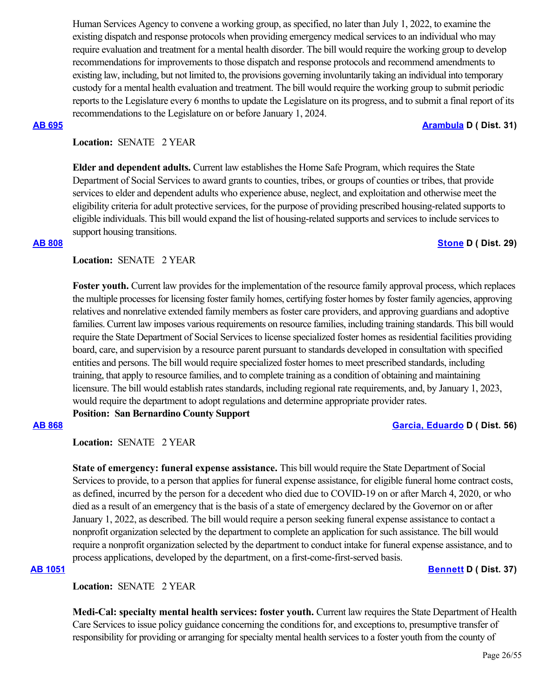Human Services Agency to convene a working group, as specified, no later than July 1, 2022, to examine the existing dispatch and response protocols when providing emergency medical services to an individual who may require evaluation and treatment for a mental health disorder. The bill would require the working group to develop recommendations for improvements to those dispatch and response protocols and recommend amendments to existing law, including, but not limited to, the provisions governing involuntarily taking an individual into temporary custody for a mental health evaluation and treatment. The bill would require the working group to submit periodic reports to the Legislature every 6 months to update the Legislature on its progress, and to submit a final report of its recommendations to the Legislature on or before January 1, 2024.

#### **[AB 695](https://ctweb.capitoltrack.com/public/publishbillinfo.aspx?bi=a5quxfjYfupuC5UCqqqyg4MBUjRXp3iLFBvDwOfvCJ02lUZTnHFGw211CHA0r28F) [Arambula](https://a31.asmdc.org/) D ( Dist. 31)**

# **Location:**  SENATE 2 YEAR

**Elder and dependent adults.** Current law establishes the Home Safe Program, which requires the State Department of Social Services to award grants to counties, tribes, or groups of counties or tribes, that provide services to elder and dependent adults who experience abuse, neglect, and exploitation and otherwise meet the eligibility criteria for adult protective services, for the purpose of providing prescribed housing-related supports to eligible individuals. This bill would expand the list of housing-related supports and services to include services to support housing transitions.

### **[AB 808](https://ctweb.capitoltrack.com/public/publishbillinfo.aspx?bi=O4vhqmRfMZ0IxGSDGH%2BhTK0ZEJDFzR4NtgjcE2JbEGFIajvbN4xuym6HsFRi9Ar1) [Stone](https://a29.asmdc.org/) D ( Dist. 29)**

# **Location:**  SENATE 2 YEAR

**Foster youth.** Current law provides for the implementation of the resource family approval process, which replaces the multiple processes for licensing foster family homes, certifying foster homes by foster family agencies, approving relatives and nonrelative extended family members as foster care providers, and approving guardians and adoptive families. Current law imposes various requirements on resource families, including training standards. This bill would require the State Department of Social Services to license specialized foster homes as residential facilities providing board, care, and supervision by a resource parent pursuant to standards developed in consultation with specified entities and persons. The bill would require specialized foster homes to meet prescribed standards, including training, that apply to resource families, and to complete training as a condition of obtaining and maintaining licensure. The bill would establish rates standards, including regional rate requirements, and, by January 1, 2023, would require the department to adopt regulations and determine appropriate provider rates.

# **Position: San Bernardino County Support**

## **[AB 868](https://ctweb.capitoltrack.com/public/publishbillinfo.aspx?bi=8QmAwJb1BV9eh4AvmBqrTdSnVRBdWnK%2BIjPe8UXKXQLvRsHwgHlSu5jhSWPH3Gcv) [Garcia, Eduardo](https://a56.asmdc.org/) D ( Dist. 56)**

**Location:**  SENATE 2 YEAR

**State of emergency: funeral expense assistance.** This bill would require the State Department of Social Services to provide, to a person that applies for funeral expense assistance, for eligible funeral home contract costs, as defined, incurred by the person for a decedent who died due to COVID-19 on or after March 4, 2020, or who died as a result of an emergency that is the basis of a state of emergency declared by the Governor on or after January 1, 2022, as described. The bill would require a person seeking funeral expense assistance to contact a nonprofit organization selected by the department to complete an application for such assistance. The bill would require a nonprofit organization selected by the department to conduct intake for funeral expense assistance, and to process applications, developed by the department, on a first-come-first-served basis.

# **[AB 1051](https://ctweb.capitoltrack.com/public/publishbillinfo.aspx?bi=a3w1OkLET76v%2BDCLHEBggLONCLqllIvKabF03mplQ91C6hp%2BtvB%2FWO%2BRGDpYXa3l) [Bennett](https://a37.asmdc.org/) D ( Dist. 37)**

**Location:**  SENATE 2 YEAR

**Medi-Cal: specialty mental health services: foster youth.** Current law requires the State Department of Health Care Services to issue policy guidance concerning the conditions for, and exceptions to, presumptive transfer of responsibility for providing or arranging for specialty mental health services to a foster youth from the county of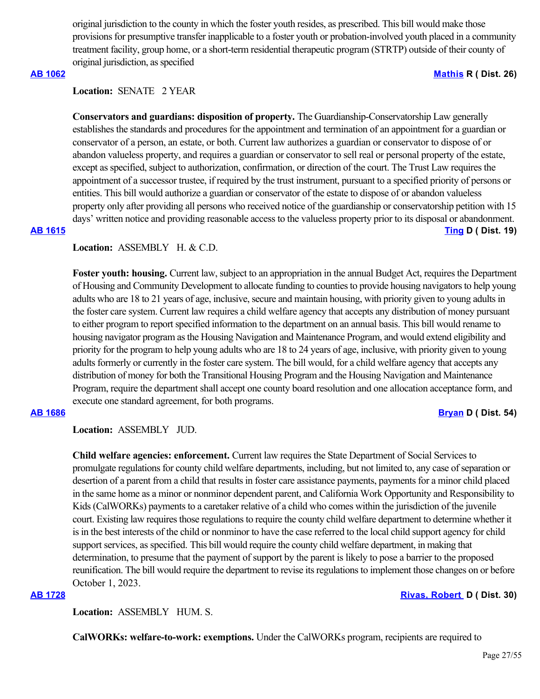original jurisdiction to the county in which the foster youth resides, as prescribed. This bill would make those provisions for presumptive transfer inapplicable to a foster youth or probation-involved youth placed in a community treatment facility, group home, or a short-term residential therapeutic program (STRTP) outside of their county of original jurisdiction, as specified

## **[AB 1062](https://ctweb.capitoltrack.com/public/publishbillinfo.aspx?bi=XuquM%2FvdgMAAi6ING5NRI22vA2vP80IW2jLhdIc1%2F%2FLgRyx%2FFNvOcZYVIWoiRiAK) [Mathis](http://ad26.asmrc.org/) R ( Dist. 26)**

#### **Location:**  SENATE 2 YEAR

**Conservators and guardians: disposition of property.** The Guardianship-Conservatorship Law generally establishes the standards and procedures for the appointment and termination of an appointment for a guardian or conservator of a person, an estate, or both. Current law authorizes a guardian or conservator to dispose of or abandon valueless property, and requires a guardian or conservator to sell real or personal property of the estate, except as specified, subject to authorization, confirmation, or direction of the court. The Trust Law requires the appointment of a successor trustee, if required by the trust instrument, pursuant to a specified priority of persons or entities. This bill would authorize a guardian or conservator of the estate to dispose of or abandon valueless property only after providing all persons who received notice of the guardianship or conservatorship petition with 15 days' written notice and providing reasonable access to the valueless property prior to its disposal or abandonment. **[AB 1615](https://ctweb.capitoltrack.com/public/publishbillinfo.aspx?bi=Ihg8jet8ZgZryPZYJwF59r5JuTJN6bZZxXwOFSwLL7LNrIgNGi5KqjKmHsR6aklo) [Ting](https://a19.asmdc.org/) D ( Dist. 19)**

## Location: ASSEMBLY H. & C.D.

**Foster youth: housing.** Current law, subject to an appropriation in the annual Budget Act, requires the Department of Housing and Community Development to allocate funding to counties to provide housing navigators to help young adults who are 18 to 21 years of age, inclusive, secure and maintain housing, with priority given to young adults in the foster care system. Current law requires a child welfare agency that accepts any distribution of money pursuant to either program to report specified information to the department on an annual basis. This bill would rename to housing navigator program as the Housing Navigation and Maintenance Program, and would extend eligibility and priority for the program to help young adults who are 18 to 24 years of age, inclusive, with priority given to young adults formerly or currently in the foster care system. The bill would, for a child welfare agency that accepts any distribution of money for both the Transitional Housing Program and the Housing Navigation and Maintenance Program, require the department shall accept one county board resolution and one allocation acceptance form, and execute one standard agreement, for both programs.

**[AB 1686](https://ctweb.capitoltrack.com/public/publishbillinfo.aspx?bi=NINeyhwlOeC6rU%2FEugmKc%2B%2FD5wJsOAGJr%2BEFGk4dFqgT8HwFovFwBtwlgbPN%2FcXu) [Bryan](https://a54.asmdc.org/) D ( Dist. 54)**

**Location:**  ASSEMBLY JUD.

**Child welfare agencies: enforcement.** Current law requires the State Department of Social Services to promulgate regulations for county child welfare departments, including, but not limited to, any case of separation or desertion of a parent from a child that results in foster care assistance payments, payments for a minor child placed in the same home as a minor or nonminor dependent parent, and California Work Opportunity and Responsibility to Kids (CalWORKs) payments to a caretaker relative of a child who comes within the jurisdiction of the juvenile court. Existing law requires those regulations to require the county child welfare department to determine whether it is in the best interests of the child or nonminor to have the case referred to the local child support agency for child support services, as specified. This bill would require the county child welfare department, in making that determination, to presume that the payment of support by the parent is likely to pose a barrier to the proposed reunification. The bill would require the department to revise its regulations to implement those changes on or before October 1, 2023.

# **[AB 1728](https://ctweb.capitoltrack.com/public/publishbillinfo.aspx?bi=hmXIw44O3ZpSqM%2BslUvL44tO%2BszEpSvJBgFAYg0LCNNfSYwvmPqY6U4%2BOJVx3tEN) [Rivas, Robert](https://a30.asmdc.org/)  D ( Dist. 30)**

**Location:**  ASSEMBLY HUM. S.

**CalWORKs: welfare-to-work: exemptions.** Under the CalWORKs program, recipients are required to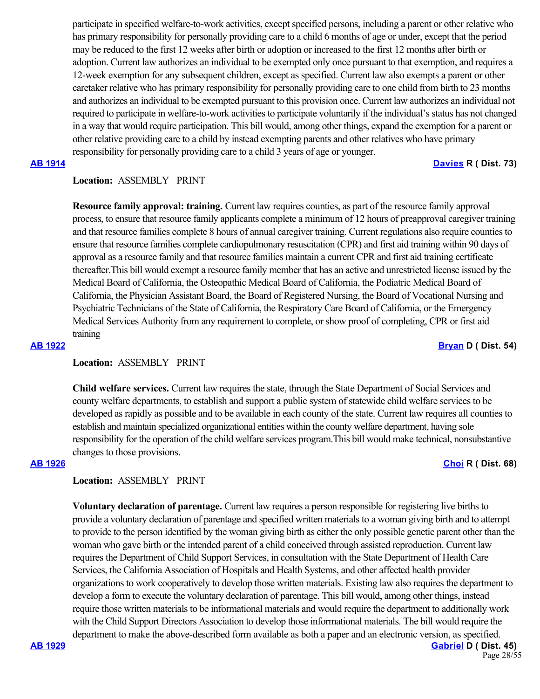participate in specified welfare-to-work activities, except specified persons, including a parent or other relative who has primary responsibility for personally providing care to a child 6 months of age or under, except that the period may be reduced to the first 12 weeks after birth or adoption or increased to the first 12 months after birth or adoption. Current law authorizes an individual to be exempted only once pursuant to that exemption, and requires a 12-week exemption for any subsequent children, except as specified. Current law also exempts a parent or other caretaker relative who has primary responsibility for personally providing care to one child from birth to 23 months and authorizes an individual to be exempted pursuant to this provision once. Current law authorizes an individual not required to participate in welfare-to-work activities to participate voluntarily if the individual's status has not changed in a way that would require participation. This bill would, among other things, expand the exemption for a parent or other relative providing care to a child by instead exempting parents and other relatives who have primary responsibility for personally providing care to a child 3 years of age or younger.

**[AB 1914](https://ctweb.capitoltrack.com/public/publishbillinfo.aspx?bi=kaJf%2BMOhxXt2zDeQgNSgtqibAZsQ5uy9PJfDfEHu9OduAgeVWhqfpAdeHBGcfCeT) [Davies](http://ad73.asmrc.org/) R ( Dist. 73)**

# **Location:**  ASSEMBLY PRINT

**Resource family approval: training.** Current law requires counties, as part of the resource family approval process, to ensure that resource family applicants complete a minimum of 12 hours of preapproval caregiver training and that resource families complete 8 hours of annual caregiver training. Current regulations also require counties to ensure that resource families complete cardiopulmonary resuscitation (CPR) and first aid training within 90 days of approval as a resource family and that resource families maintain a current CPR and first aid training certificate thereafter.This bill would exempt a resource family member that has an active and unrestricted license issued by the Medical Board of California, the Osteopathic Medical Board of California, the Podiatric Medical Board of California, the Physician Assistant Board, the Board of Registered Nursing, the Board of Vocational Nursing and Psychiatric Technicians of the State of California, the Respiratory Care Board of California, or the Emergency Medical Services Authority from any requirement to complete, or show proof of completing, CPR or first aid training

### **[AB 1922](https://ctweb.capitoltrack.com/public/publishbillinfo.aspx?bi=V5R9vFfdBwL8MwFDtuMSDbDnceeRSIPtz7myZHrdlO27EDluS9ItyJ%2BT%2FmFR2UOq) [Bryan](https://a54.asmdc.org/) D ( Dist. 54)**

## **Location:**  ASSEMBLY PRINT

**Child welfare services.** Current law requires the state, through the State Department of Social Services and county welfare departments, to establish and support a public system of statewide child welfare services to be developed as rapidly as possible and to be available in each county of the state. Current law requires all counties to establish and maintain specialized organizational entities within the county welfare department, having sole responsibility for the operation of the child welfare services program.This bill would make technical, nonsubstantive changes to those provisions.

### **[AB 1926](https://ctweb.capitoltrack.com/public/publishbillinfo.aspx?bi=2IwWyTGJkNVCGbeVVAIClWnl%2BkZZIoTOFb2RQ93Z5RIKDiKXNZLJQ3%2BeG48gtXzF) [Choi](https://ad68.asmrc.org/) R ( Dist. 68)**

# **Location:**  ASSEMBLY PRINT

**Voluntary declaration of parentage.** Current law requires a person responsible for registering live births to provide a voluntary declaration of parentage and specified written materials to a woman giving birth and to attempt to provide to the person identified by the woman giving birth as either the only possible genetic parent other than the woman who gave birth or the intended parent of a child conceived through assisted reproduction. Current law requires the Department of Child Support Services, in consultation with the State Department of Health Care Services, the California Association of Hospitals and Health Systems, and other affected health provider organizations to work cooperatively to develop those written materials. Existing law also requires the department to develop a form to execute the voluntary declaration of parentage. This bill would, among other things, instead require those written materials to be informational materials and would require the department to additionally work with the Child Support Directors Association to develop those informational materials. The bill would require the department to make the above-described form available as both a paper and an electronic version, as specified.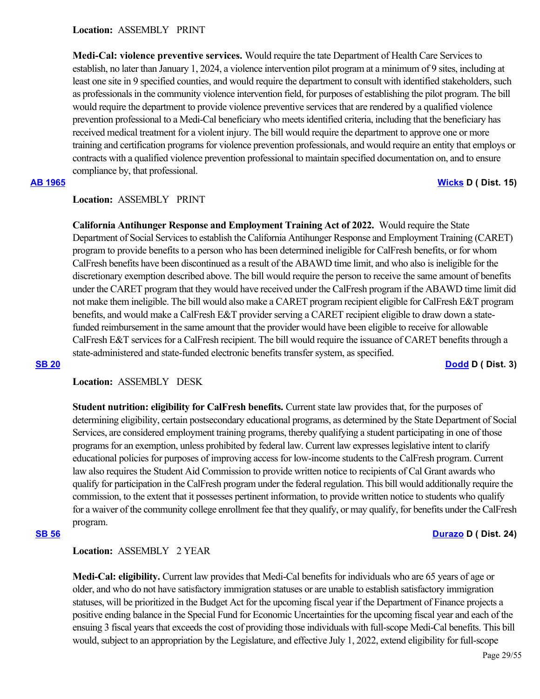**Location:**  ASSEMBLY PRINT

**Medi-Cal: violence preventive services.** Would require the tate Department of Health Care Services to establish, no later than January 1, 2024, a violence intervention pilot program at a minimum of 9 sites, including at least one site in 9 specified counties, and would require the department to consult with identified stakeholders, such as professionals in the community violence intervention field, for purposes of establishing the pilot program. The bill would require the department to provide violence preventive services that are rendered by a qualified violence prevention professional to a Medi-Cal beneficiary who meets identified criteria, including that the beneficiary has received medical treatment for a violent injury. The bill would require the department to approve one or more training and certification programs for violence prevention professionals, and would require an entity that employs or contracts with a qualified violence prevention professional to maintain specified documentation on, and to ensure compliance by, that professional.

**[AB 1965](https://ctweb.capitoltrack.com/public/publishbillinfo.aspx?bi=wJJ2nzkkU5n98Ijy8YIuE5a9P5n8WT7qNKtShzjoLskZ%2B%2Fgd1e1Ng3%2FJM3761Y4C) [Wicks](https://a15.asmdc.org/) D ( Dist. 15)**

# **Location:**  ASSEMBLY PRINT

**California Antihunger Response and Employment Training Act of 2022.** Would require the State Department of Social Services to establish the California Antihunger Response and Employment Training (CARET) program to provide benefits to a person who has been determined ineligible for CalFresh benefits, or for whom CalFresh benefits have been discontinued as a result of the ABAWD time limit, and who also is ineligible for the discretionary exemption described above. The bill would require the person to receive the same amount of benefits under the CARET program that they would have received under the CalFresh program if the ABAWD time limit did not make them ineligible. The bill would also make a CARET program recipient eligible for CalFresh E&T program benefits, and would make a CalFresh E&T provider serving a CARET recipient eligible to draw down a statefunded reimbursement in the same amount that the provider would have been eligible to receive for allowable CalFresh E&T services for a CalFresh recipient. The bill would require the issuance of CARET benefits through a state-administered and state-funded electronic benefits transfer system, as specified.

**[SB 20](https://ctweb.capitoltrack.com/public/publishbillinfo.aspx?bi=w6X2XeD0mlhhWOsoJxAMz%2FNGms6QgRnRS3qt79AKkaPD81tS23UU65L9cuQrp4p%2B) [Dodd](http://sd03.senate.ca.gov/) D ( Dist. 3)**

# **Location:**  ASSEMBLY DESK

**Student nutrition: eligibility for CalFresh benefits.** Current state law provides that, for the purposes of determining eligibility, certain postsecondary educational programs, as determined by the State Department of Social Services, are considered employment training programs, thereby qualifying a student participating in one of those programs for an exemption, unless prohibited by federal law. Current law expresses legislative intent to clarify educational policies for purposes of improving access for low-income students to the CalFresh program. Current law also requires the Student Aid Commission to provide written notice to recipients of Cal Grant awards who qualify for participation in the CalFresh program under the federal regulation. This bill would additionally require the commission, to the extent that it possesses pertinent information, to provide written notice to students who qualify for a waiver of the community college enrollment fee that they qualify, or may qualify, for benefits under the CalFresh program.

#### **[SB 56](https://ctweb.capitoltrack.com/public/publishbillinfo.aspx?bi=V8F%2FN1%2B6be8PTuO0KRgcYcIKP34nEPutT%2BarvGaPQQihj9UBp%2FaVZ2u2Hs6RyYwt) [Durazo](http://sd24.senate.ca.gov/) D ( Dist. 24)**

# **Location:**  ASSEMBLY 2 YEAR

**Medi-Cal: eligibility.** Current law provides that Medi-Cal benefits for individuals who are 65 years of age or older, and who do not have satisfactory immigration statuses or are unable to establish satisfactory immigration statuses, will be prioritized in the Budget Act for the upcoming fiscal year if the Department of Finance projects a positive ending balance in the Special Fund for Economic Uncertainties for the upcoming fiscal year and each of the ensuing 3 fiscal years that exceeds the cost of providing those individuals with full-scope Medi-Cal benefits. This bill would, subject to an appropriation by the Legislature, and effective July 1, 2022, extend eligibility for full-scope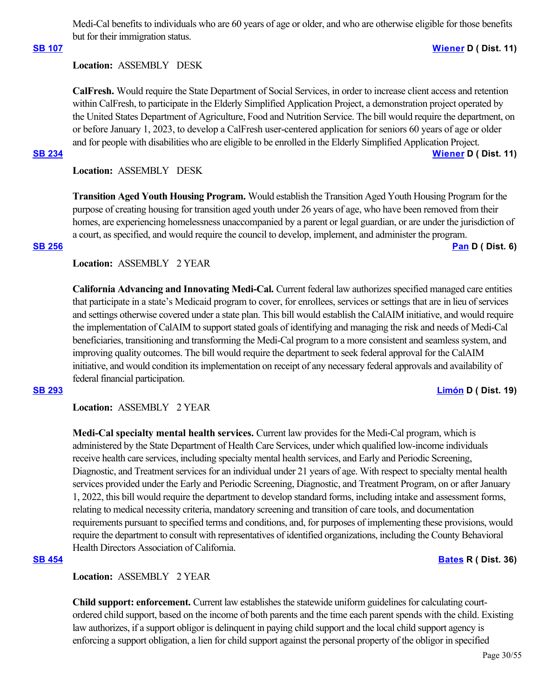Medi-Cal benefits to individuals who are 60 years of age or older, and who are otherwise eligible for those benefits but for their immigration status.

### **[SB 107](https://ctweb.capitoltrack.com/public/publishbillinfo.aspx?bi=eLh66gkgqpf43PmQSyrj6NOg1h3XBxBWX0Ecxr6qH00uvdBTQ5lcwvrD70HbfSYg) [Wiener](http://sd11.senate.ca.gov/) D ( Dist. 11)**

# **Location:**  ASSEMBLY DESK

**CalFresh.** Would require the State Department of Social Services, in order to increase client access and retention within CalFresh, to participate in the Elderly Simplified Application Project, a demonstration project operated by the United States Department of Agriculture, Food and Nutrition Service. The bill would require the department, on or before January 1, 2023, to develop a CalFresh user-centered application for seniors 60 years of age or older and for people with disabilities who are eligible to be enrolled in the Elderly Simplified Application Project. **[SB 234](https://ctweb.capitoltrack.com/public/publishbillinfo.aspx?bi=iEkzZBxvcq1lPQq6DiwmfTIdgclzo2RsnhcsI5AJEKTbdMMKPgS168uGlpL40dJT) [Wiener](http://sd11.senate.ca.gov/) D ( Dist. 11)**

## **Location:**  ASSEMBLY DESK

**Transition Aged Youth Housing Program.** Would establish the Transition Aged Youth Housing Program for the purpose of creating housing for transition aged youth under 26 years of age, who have been removed from their homes, are experiencing homelessness unaccompanied by a parent or legal guardian, or are under the jurisdiction of a court, as specified, and would require the council to develop, implement, and administer the program. **[SB 256](https://ctweb.capitoltrack.com/public/publishbillinfo.aspx?bi=2NjuuTY%2FCz%2BbV2FCivdwDMFSxte4UkHC0Sg%2Ff9bEvzncgiyT9rOHHRBgcgsXYEkm) [Pan](http://sd06.senate.ca.gov/) D ( Dist. 6)**

# **Location:**  ASSEMBLY 2 YEAR

**California Advancing and Innovating Medi-Cal.** Current federal law authorizes specified managed care entities that participate in a state's Medicaid program to cover, for enrollees, services or settings that are in lieu of services and settings otherwise covered under a state plan. This bill would establish the CalAIM initiative, and would require the implementation of CalAIM to support stated goals of identifying and managing the risk and needs of Medi-Cal beneficiaries, transitioning and transforming the Medi-Cal program to a more consistent and seamless system, and improving quality outcomes. The bill would require the department to seek federal approval for the CalAIM initiative, and would condition its implementation on receipt of any necessary federal approvals and availability of federal financial participation.

### **[SB 293](https://ctweb.capitoltrack.com/public/publishbillinfo.aspx?bi=mUvfNmpscz%2Fn6%2BS49x%2BVSyD1bPMaRpllCZj7GTDR7ts%2FffO9tJ0wQhEoWSyFW7qH) [Limón](http://sd19.senate.ca.gov/) D ( Dist. 19)**

## **Location:**  ASSEMBLY 2 YEAR

**Medi-Cal specialty mental health services.** Current law provides for the Medi-Cal program, which is administered by the State Department of Health Care Services, under which qualified low-income individuals receive health care services, including specialty mental health services, and Early and Periodic Screening, Diagnostic, and Treatment services for an individual under 21 years of age. With respect to specialty mental health services provided under the Early and Periodic Screening, Diagnostic, and Treatment Program, on or after January 1, 2022, this bill would require the department to develop standard forms, including intake and assessment forms, relating to medical necessity criteria, mandatory screening and transition of care tools, and documentation requirements pursuant to specified terms and conditions, and, for purposes of implementing these provisions, would require the department to consult with representatives of identified organizations, including the County Behavioral Health Directors Association of California.

### **[SB 454](https://ctweb.capitoltrack.com/public/publishbillinfo.aspx?bi=LV4hR08vJbc%2FajGYXibzZEKGCVI19pgx8urI1YY0aYCP%2BgaFGh%2FC1qBBHbUelDLS) [Bates](https://bates.cssrc.us/) R ( Dist. 36)**

### **Location:**  ASSEMBLY 2 YEAR

**Child support: enforcement.** Current law establishes the statewide uniform guidelines for calculating courtordered child support, based on the income of both parents and the time each parent spends with the child. Existing law authorizes, if a support obligor is delinquent in paying child support and the local child support agency is enforcing a support obligation, a lien for child support against the personal property of the obligor in specified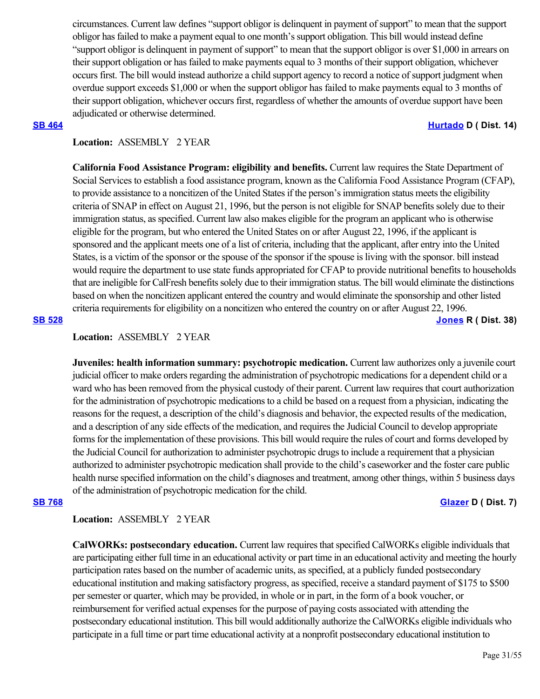circumstances. Current law defines "support obligor is delinquent in payment of support" to mean that the support obligor has failed to make a payment equal to one month's support obligation. This bill would instead define "support obligor is delinquent in payment of support" to mean that the support obligor is over \$1,000 in arrears on their support obligation or has failed to make payments equal to 3 months of their support obligation, whichever occurs first. The bill would instead authorize a child support agency to record a notice of support judgment when overdue support exceeds \$1,000 or when the support obligor has failed to make payments equal to 3 months of their support obligation, whichever occurs first, regardless of whether the amounts of overdue support have been adjudicated or otherwise determined.

### **[SB 464](https://ctweb.capitoltrack.com/public/publishbillinfo.aspx?bi=YeR2vPSL4pj%2FERBmUjmPXEt83s3oO%2BkrrlLILGYWFZOtrQE4ceP1lB9wg5IltNYo) [Hurtado](https://sd14.senate.ca.gov/) D ( Dist. 14)**

## **Location:**  ASSEMBLY 2 YEAR

**California Food Assistance Program: eligibility and benefits.** Current law requires the State Department of Social Services to establish a food assistance program, known as the California Food Assistance Program (CFAP), to provide assistance to a noncitizen of the United States if the person's immigration status meets the eligibility criteria of SNAP in effect on August 21, 1996, but the person is not eligible for SNAP benefits solely due to their immigration status, as specified. Current law also makes eligible for the program an applicant who is otherwise eligible for the program, but who entered the United States on or after August 22, 1996, if the applicant is sponsored and the applicant meets one of a list of criteria, including that the applicant, after entry into the United States, is a victim of the sponsor or the spouse of the sponsor if the spouse is living with the sponsor. bill instead would require the department to use state funds appropriated for CFAP to provide nutritional benefits to households that are ineligible for CalFresh benefits solely due to their immigration status. The bill would eliminate the distinctions based on when the noncitizen applicant entered the country and would eliminate the sponsorship and other listed criteria requirements for eligibility on a noncitizen who entered the country on or after August 22, 1996. **[SB 528](https://ctweb.capitoltrack.com/public/publishbillinfo.aspx?bi=%2Bp1SVv8r%2B8m4BUvQhxIFJFUgY7rQ%2Fn1ZUHgdvToxqarY%2BNVzaNCc5waobYT6SzgJ) [Jones](https://jones.cssrc.us/) R ( Dist. 38)**

**Location:**  ASSEMBLY 2 YEAR

**Juveniles: health information summary: psychotropic medication.** Current law authorizes only a juvenile court judicial officer to make orders regarding the administration of psychotropic medications for a dependent child or a ward who has been removed from the physical custody of their parent. Current law requires that court authorization for the administration of psychotropic medications to a child be based on a request from a physician, indicating the reasons for the request, a description of the child's diagnosis and behavior, the expected results of the medication, and a description of any side effects of the medication, and requires the Judicial Council to develop appropriate forms for the implementation of these provisions. This bill would require the rules of court and forms developed by the Judicial Council for authorization to administer psychotropic drugs to include a requirement that a physician authorized to administer psychotropic medication shall provide to the child's caseworker and the foster care public health nurse specified information on the child's diagnoses and treatment, among other things, within 5 business days of the administration of psychotropic medication for the child.

**[SB 768](https://ctweb.capitoltrack.com/public/publishbillinfo.aspx?bi=HRunm91TsMFrrfgX1inq%2BJ4Cb89gFa4MbLfxSDQyaDuO6SKluR5%2Be%2FCnwDfiWnKI) [Glazer](http://sd07.senate.ca.gov/) D ( Dist. 7)**

## **Location:**  ASSEMBLY 2 YEAR

**CalWORKs: postsecondary education.** Current law requires that specified CalWORKs eligible individuals that are participating either full time in an educational activity or part time in an educational activity and meeting the hourly participation rates based on the number of academic units, as specified, at a publicly funded postsecondary educational institution and making satisfactory progress, as specified, receive a standard payment of \$175 to \$500 per semester or quarter, which may be provided, in whole or in part, in the form of a book voucher, or reimbursement for verified actual expenses for the purpose of paying costs associated with attending the postsecondary educational institution. This bill would additionally authorize the CalWORKs eligible individuals who participate in a full time or part time educational activity at a nonprofit postsecondary educational institution to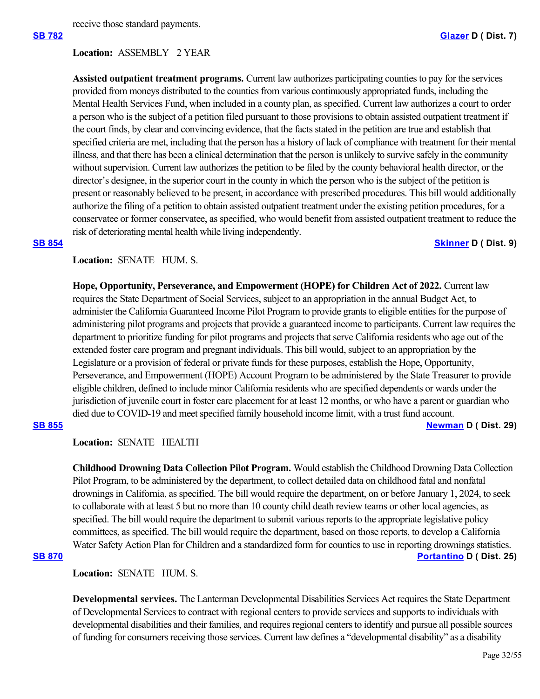receive those standard payments.

### **Location:**  ASSEMBLY 2 YEAR

**Assisted outpatient treatment programs.** Current law authorizes participating counties to pay for the services provided from moneys distributed to the counties from various continuously appropriated funds, including the Mental Health Services Fund, when included in a county plan, as specified. Current law authorizes a court to order a person who is the subject of a petition filed pursuant to those provisions to obtain assisted outpatient treatment if the court finds, by clear and convincing evidence, that the facts stated in the petition are true and establish that specified criteria are met, including that the person has a history of lack of compliance with treatment for their mental illness, and that there has been a clinical determination that the person is unlikely to survive safely in the community without supervision. Current law authorizes the petition to be filed by the county behavioral health director, or the director's designee, in the superior court in the county in which the person who is the subject of the petition is present or reasonably believed to be present, in accordance with prescribed procedures. This bill would additionally authorize the filing of a petition to obtain assisted outpatient treatment under the existing petition procedures, for a conservatee or former conservatee, as specified, who would benefit from assisted outpatient treatment to reduce the risk of deteriorating mental health while living independently.

#### **[SB 854](https://ctweb.capitoltrack.com/public/publishbillinfo.aspx?bi=dswE5BqiBskFV7t9venVyBYseMH1Heu%2BpU6HsdhvXXAyas89h%2FHgj%2BCjsrieVx9y) [Skinner](http://sd09.senate.ca.gov/) D ( Dist. 9)**

### Location: **SENATE** HUM. S.

**Hope, Opportunity, Perseverance, and Empowerment (HOPE) for Children Act of 2022.** Current law requires the State Department of Social Services, subject to an appropriation in the annual Budget Act, to administer the California Guaranteed Income Pilot Program to provide grants to eligible entities for the purpose of administering pilot programs and projects that provide a guaranteed income to participants. Current law requires the department to prioritize funding for pilot programs and projects that serve California residents who age out of the extended foster care program and pregnant individuals. This bill would, subject to an appropriation by the Legislature or a provision of federal or private funds for these purposes, establish the Hope, Opportunity, Perseverance, and Empowerment (HOPE) Account Program to be administered by the State Treasurer to provide eligible children, defined to include minor California residents who are specified dependents or wards under the jurisdiction of juvenile court in foster care placement for at least 12 months, or who have a parent or guardian who died due to COVID-19 and meet specified family household income limit, with a trust fund account.

### **[SB 855](https://ctweb.capitoltrack.com/public/publishbillinfo.aspx?bi=asP%2BPVY1VtNcJs0S%2FCNLrvQ6S6T7%2B3KwDqoC49fml8iWxwyOGVJqz0n%2FAqOUglle) [Newman](https://sd29.senate.ca.gov/) D ( Dist. 29)**

**Location:**  SENATE HEALTH

**Childhood Drowning Data Collection Pilot Program.** Would establish the Childhood Drowning Data Collection Pilot Program, to be administered by the department, to collect detailed data on childhood fatal and nonfatal drownings in California, as specified. The bill would require the department, on or before January 1, 2024, to seek to collaborate with at least 5 but no more than 10 county child death review teams or other local agencies, as specified. The bill would require the department to submit various reports to the appropriate legislative policy committees, as specified. The bill would require the department, based on those reports, to develop a California Water Safety Action Plan for Children and a standardized form for counties to use in reporting drownings statistics. **[SB 870](https://ctweb.capitoltrack.com/public/publishbillinfo.aspx?bi=GUaLqTjneeQ3alyMdJC%2FFOz79b5HtR4JnKgHXjmy8p1YQn7nGmNWOTILNgQAS1c9) [Portantino](http://sd25.senate.ca.gov/) D ( Dist. 25)**

Location: **SENATE** HUM. S.

**Developmental services.** The Lanterman Developmental Disabilities Services Act requires the State Department of Developmental Services to contract with regional centers to provide services and supports to individuals with developmental disabilities and their families, and requires regional centers to identify and pursue all possible sources of funding for consumers receiving those services. Current law defines a "developmental disability" as a disability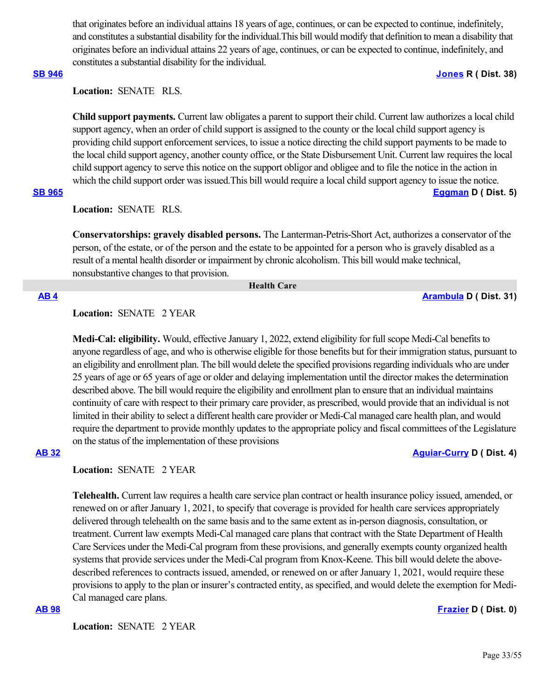that originates before an individual attains 18 years of age, continues, or can be expected to continue, indefinitely, and constitutes a substantial disability for the individual.This bill would modify that definition to mean a disability that originates before an individual attains 22 years of age, continues, or can be expected to continue, indefinitely, and constitutes a substantial disability for the individual.

## **[SB 946](https://ctweb.capitoltrack.com/public/publishbillinfo.aspx?bi=26VsPu7Qy%2Bwbm8AH3DiFkNFZBD8TdOjLVTqCqXvnYojrxIvR%2FarBU9Mlf0pF9MOJ) [Jones](https://jones.cssrc.us/) R ( Dist. 38)**

**Location:**  SENATE RLS.

**Child support payments.** Current law obligates a parent to support their child. Current law authorizes a local child support agency, when an order of child support is assigned to the county or the local child support agency is providing child support enforcement services, to issue a notice directing the child support payments to be made to the local child support agency, another county office, or the State Disbursement Unit. Current law requires the local child support agency to serve this notice on the support obligor and obligee and to file the notice in the action in which the child support order was issued. This bill would require a local child support agency to issue the notice.

#### **[SB 965](https://ctweb.capitoltrack.com/public/publishbillinfo.aspx?bi=LNp%2FO2xEqzfAvTXqT3vxU4%2BrdcokZaxrnrnCXVPTIYUK7s%2FrXRvSqK80uBmVULg8) [Eggman](http://sd05.senate.ca.gov/) D ( Dist. 5)**

**Location:**  SENATE RLS.

**Conservatorships: gravely disabled persons.** The Lanterman-Petris-Short Act, authorizes a conservator of the person, of the estate, or of the person and the estate to be appointed for a person who is gravely disabled as a result of a mental health disorder or impairment by chronic alcoholism. This bill would make technical, nonsubstantive changes to that provision.

#### **Health Care**

### **[AB 4](https://ctweb.capitoltrack.com/public/publishbillinfo.aspx?bi=gy7%2B%2F%2FSworWr53yrsQv%2FCEbi4rGhUc9NFdyQ7AMZKsgTYO48XJIEaRFlvfOy8LnY) [Arambula](https://a31.asmdc.org/) D ( Dist. 31)**

**Location:**  SENATE 2 YEAR

**Medi-Cal: eligibility.** Would, effective January 1, 2022, extend eligibility for full scope Medi-Cal benefits to anyone regardless of age, and who is otherwise eligible for those benefits but for their immigration status, pursuant to an eligibility and enrollment plan. The bill would delete the specified provisions regarding individuals who are under 25 years of age or 65 years of age or older and delaying implementation until the director makes the determination described above. The bill would require the eligibility and enrollment plan to ensure that an individual maintains continuity of care with respect to their primary care provider, as prescribed, would provide that an individual is not limited in their ability to select a different health care provider or Medi-Cal managed care health plan, and would require the department to provide monthly updates to the appropriate policy and fiscal committees of the Legislature on the status of the implementation of these provisions

### **[AB 32](https://ctweb.capitoltrack.com/public/publishbillinfo.aspx?bi=Grhe2F064fXyGGwz2gvvUqCmKwNRB0mErpFgshYyJBq6G%2BlG8lMKS%2FZOlSAKYGj4) [Aguiar-Curry](https://a04.asmdc.org/) D ( Dist. 4)**

**Location:**  SENATE 2 YEAR

**Telehealth.** Current law requires a health care service plan contract or health insurance policy issued, amended, or renewed on or after January 1, 2021, to specify that coverage is provided for health care services appropriately delivered through telehealth on the same basis and to the same extent as in-person diagnosis, consultation, or treatment. Current law exempts Medi-Cal managed care plans that contract with the State Department of Health Care Services under the Medi-Cal program from these provisions, and generally exempts county organized health systems that provide services under the Medi-Cal program from Knox-Keene. This bill would delete the abovedescribed references to contracts issued, amended, or renewed on or after January 1, 2021, would require these provisions to apply to the plan or insurer's contracted entity, as specified, and would delete the exemption for Medi-Cal managed care plans.

## **[AB 98](https://ctweb.capitoltrack.com/public/publishbillinfo.aspx?bi=2AP7Z%2BSfWPwTjY7pLpJnVvICIB0PB6RxMicaXIQV4NUvKm9S7g60uYAHDWRfPpxF) [Frazier](https://a11.asmdc.org/) D ( Dist. 0)**

**Location:**  SENATE 2 YEAR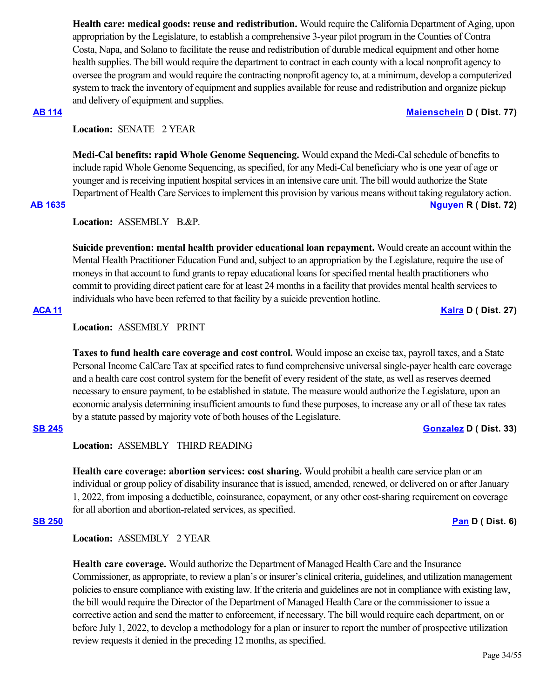**Health care: medical goods: reuse and redistribution.** Would require the California Department of Aging, upon appropriation by the Legislature, to establish a comprehensive 3-year pilot program in the Counties of Contra Costa, Napa, and Solano to facilitate the reuse and redistribution of durable medical equipment and other home health supplies. The bill would require the department to contract in each county with a local nonprofit agency to oversee the program and would require the contracting nonprofit agency to, at a minimum, develop a computerized system to track the inventory of equipment and supplies available for reuse and redistribution and organize pickup and delivery of equipment and supplies.

## **[AB 114](https://ctweb.capitoltrack.com/public/publishbillinfo.aspx?bi=BKUuzEt%2Fxonhdg%2Bi2T8KyDCF6bz%2BIDuv834ghq13Zdn4cLjhKDnmQtDrecEqAQaS) [Maienschein](https://a77.asmdc.org/) D ( Dist. 77)**

Location: **SENATE** 2 YEAR

**Medi-Cal benefits: rapid Whole Genome Sequencing.** Would expand the Medi-Cal schedule of benefits to include rapid Whole Genome Sequencing, as specified, for any Medi-Cal beneficiary who is one year of age or younger and is receiving inpatient hospital services in an intensive care unit. The bill would authorize the State Department of Health Care Services to implement this provision by various means without taking regulatory action.

# **[AB 1635](https://ctweb.capitoltrack.com/public/publishbillinfo.aspx?bi=L2tsnkTvZYCbHssl8wvjcX%2Fn981dd3OnJV8NofKRNlnjUcSCTQwyXF8skdMUKwAW) [Nguyen](https://ad72.asmrc.org/) R ( Dist. 72)**

Location: **ASSEMBLY B.&P.** 

**Suicide prevention: mental health provider educational loan repayment.** Would create an account within the Mental Health Practitioner Education Fund and, subject to an appropriation by the Legislature, require the use of moneys in that account to fund grants to repay educational loans for specified mental health practitioners who commit to providing direct patient care for at least 24 months in a facility that provides mental health services to individuals who have been referred to that facility by a suicide prevention hotline.

# **[ACA 11](https://ctweb.capitoltrack.com/public/publishbillinfo.aspx?bi=fpuO%2BPOi8ulJjQ3D7VHjve1XIBFx5TtOQkkWEIpu9KUmCJSxrjhMRnLzbXFAUzkT) [Kalra](https://a27.asmdc.org/) D ( Dist. 27)**

# **Location:**  ASSEMBLY PRINT

**Taxes to fund health care coverage and cost control.** Would impose an excise tax, payroll taxes, and a State Personal Income CalCare Tax at specified rates to fund comprehensive universal single-payer health care coverage and a health care cost control system for the benefit of every resident of the state, as well as reserves deemed necessary to ensure payment, to be established in statute. The measure would authorize the Legislature, upon an economic analysis determining insufficient amounts to fund these purposes, to increase any or all of these tax rates by a statute passed by majority vote of both houses of the Legislature.

## **[SB 245](https://ctweb.capitoltrack.com/public/publishbillinfo.aspx?bi=QNtPH5SYxPee8Q29vEv2RScAoZBhmrgRNzQrcsX%2FbDAjwz1eOzrD3F%2F9DElX71LF) [Gonzalez](https://sd33.senate.ca.gov/) D ( Dist. 33)**

**Location:**  ASSEMBLY THIRD READING

**Health care coverage: abortion services: cost sharing.** Would prohibit a health care service plan or an individual or group policy of disability insurance that is issued, amended, renewed, or delivered on or after January 1, 2022, from imposing a deductible, coinsurance, copayment, or any other cost-sharing requirement on coverage for all abortion and abortion-related services, as specified.

### **[SB 250](https://ctweb.capitoltrack.com/public/publishbillinfo.aspx?bi=BnCOzpopID6GQoWegGodJxrjMNzo%2BJ3uJ5si6TG77rD6s%2Fx6go67dI1SJw5%2FDCTF) [Pan](http://sd06.senate.ca.gov/) D ( Dist. 6)**

# **Location:**  ASSEMBLY 2 YEAR

**Health care coverage.** Would authorize the Department of Managed Health Care and the Insurance Commissioner, as appropriate, to review a plan's or insurer's clinical criteria, guidelines, and utilization management policies to ensure compliance with existing law. If the criteria and guidelines are not in compliance with existing law, the bill would require the Director of the Department of Managed Health Care or the commissioner to issue a corrective action and send the matter to enforcement, if necessary. The bill would require each department, on or before July 1, 2022, to develop a methodology for a plan or insurer to report the number of prospective utilization review requests it denied in the preceding 12 months, as specified.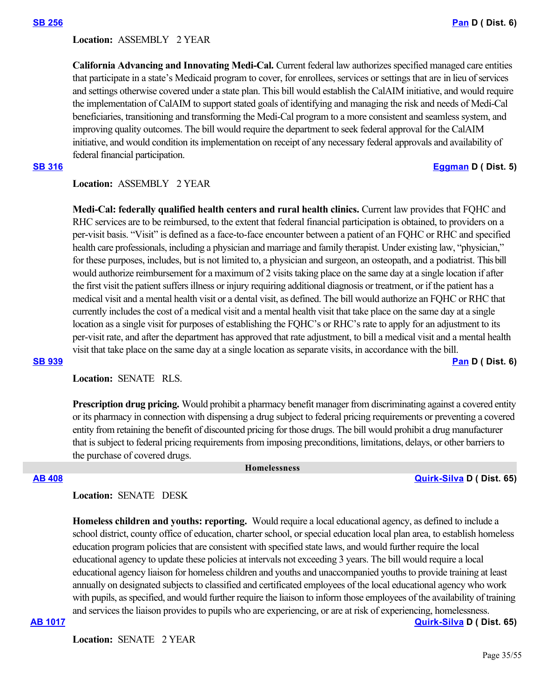### **Location:**  ASSEMBLY 2 YEAR

**California Advancing and Innovating Medi-Cal.** Current federal law authorizes specified managed care entities that participate in a state's Medicaid program to cover, for enrollees, services or settings that are in lieu of services and settings otherwise covered under a state plan. This bill would establish the CalAIM initiative, and would require the implementation of CalAIM to support stated goals of identifying and managing the risk and needs of Medi-Cal beneficiaries, transitioning and transforming the Medi-Cal program to a more consistent and seamless system, and improving quality outcomes. The bill would require the department to seek federal approval for the CalAIM initiative, and would condition its implementation on receipt of any necessary federal approvals and availability of federal financial participation.

### **[SB 316](https://ctweb.capitoltrack.com/public/publishbillinfo.aspx?bi=TlXUrHHOYi53LsvO2HDsX7Wwg%2FygtobVGtTVLua3BEE46gwBtIf4%2BI1KaNI8CMr0) [Eggman](http://sd05.senate.ca.gov/) D ( Dist. 5)**

### **Location:**  ASSEMBLY 2 YEAR

**Medi-Cal: federally qualified health centers and rural health clinics.** Current law provides that FQHC and RHC services are to be reimbursed, to the extent that federal financial participation is obtained, to providers on a per-visit basis. "Visit" is defined as a face-to-face encounter between a patient of an FQHC or RHC and specified health care professionals, including a physician and marriage and family therapist. Under existing law, "physician," for these purposes, includes, but is not limited to, a physician and surgeon, an osteopath, and a podiatrist. This bill would authorize reimbursement for a maximum of 2 visits taking place on the same day at a single location if after the first visit the patient suffers illness or injury requiring additional diagnosis or treatment, or if the patient has a medical visit and a mental health visit or a dental visit, as defined. The bill would authorize an FQHC or RHC that currently includes the cost of a medical visit and a mental health visit that take place on the same day at a single location as a single visit for purposes of establishing the FQHC's or RHC's rate to apply for an adjustment to its per-visit rate, and after the department has approved that rate adjustment, to bill a medical visit and a mental health visit that take place on the same day at a single location as separate visits, in accordance with the bill. **[SB 939](https://ctweb.capitoltrack.com/public/publishbillinfo.aspx?bi=GgZVNIf56uwu9SsyoodtvwLL%2BhSlj43VTm8IYKtL5BUToxIz1xTDjwEq8j46ZgEQ) [Pan](http://sd06.senate.ca.gov/) D ( Dist. 6)**

**Location:**  SENATE RLS.

**Prescription drug pricing.** Would prohibit a pharmacy benefit manager from discriminating against a covered entity or its pharmacy in connection with dispensing a drug subject to federal pricing requirements or preventing a covered entity from retaining the benefit of discounted pricing for those drugs. The bill would prohibit a drug manufacturer that is subject to federal pricing requirements from imposing preconditions, limitations, delays, or other barriers to the purchase of covered drugs.

 **Homelessness**

### **[AB 408](https://ctweb.capitoltrack.com/public/publishbillinfo.aspx?bi=m3m8rEkAcDZBKMwu3d7LNwvEQkFtgVtPg5HZ0KUQxJdi%2FpPLe0OhkVrxV0vi59Zr) [Quirk-Silva](https://a65.asmdc.org/) D ( Dist. 65)**

## **Location:**  SENATE DESK

**Homeless children and youths: reporting.** Would require a local educational agency, as defined to include a school district, county office of education, charter school, or special education local plan area, to establish homeless education program policies that are consistent with specified state laws, and would further require the local educational agency to update these policies at intervals not exceeding 3 years. The bill would require a local educational agency liaison for homeless children and youths and unaccompanied youths to provide training at least annually on designated subjects to classified and certificated employees of the local educational agency who work with pupils, as specified, and would further require the liaison to inform those employees of the availability of training and services the liaison provides to pupils who are experiencing, or are at risk of experiencing, homelessness.

## **[AB 1017](https://ctweb.capitoltrack.com/public/publishbillinfo.aspx?bi=JYyt31DOcZMu5clq9Dg25K%2FwlQRmm9Z%2B4UUjhX8nItz1trRK6ZBuw7gaDVRacfEb) [Quirk-Silva](https://a65.asmdc.org/) D ( Dist. 65)**

**Location:**  SENATE 2 YEAR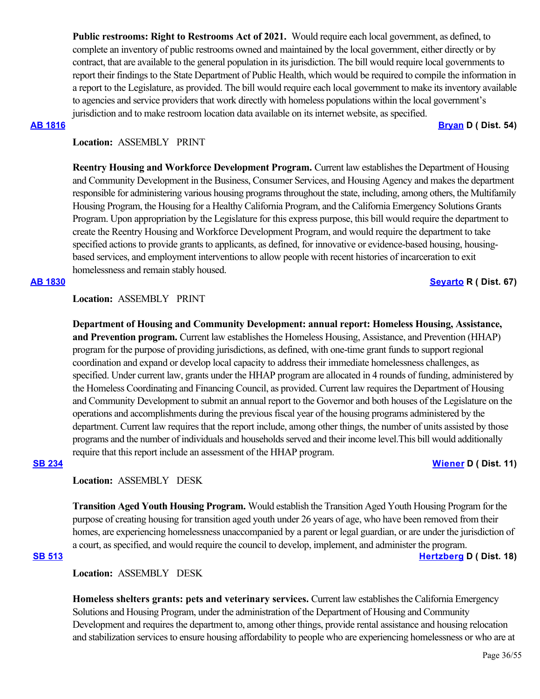**Public restrooms: Right to Restrooms Act of 2021.** Would require each local government, as defined, to complete an inventory of public restrooms owned and maintained by the local government, either directly or by contract, that are available to the general population in its jurisdiction. The bill would require local governments to report their findings to the State Department of Public Health, which would be required to compile the information in a report to the Legislature, as provided. The bill would require each local government to make its inventory available to agencies and service providers that work directly with homeless populations within the local government's jurisdiction and to make restroom location data available on its internet website, as specified.

**[AB 1816](https://ctweb.capitoltrack.com/public/publishbillinfo.aspx?bi=J61mpejvz2vJ6zt3Dde1usn6mCchpsi2zEPLx6TwI0spERB07IcdBkzd8OQlOQMr) [Bryan](https://a54.asmdc.org/) D ( Dist. 54)**

# **Location:**  ASSEMBLY PRINT

**Reentry Housing and Workforce Development Program.** Current law establishes the Department of Housing and Community Development in the Business, Consumer Services, and Housing Agency and makes the department responsible for administering various housing programs throughout the state, including, among others, the Multifamily Housing Program, the Housing for a Healthy California Program, and the California Emergency Solutions Grants Program. Upon appropriation by the Legislature for this express purpose, this bill would require the department to create the Reentry Housing and Workforce Development Program, and would require the department to take specified actions to provide grants to applicants, as defined, for innovative or evidence-based housing, housingbased services, and employment interventions to allow people with recent histories of incarceration to exit homelessness and remain stably housed.

### **[AB 1830](https://ctweb.capitoltrack.com/public/publishbillinfo.aspx?bi=i09zcSfvWMEZLWdKRJgeMuOyllSu19v885k2Ccvst%2BIQcCajsoj3Mmt0xbDpNlEc) [Seyarto](https://ad67.asmrc.org/) R ( Dist. 67)**

# **Location:**  ASSEMBLY PRINT

**Department of Housing and Community Development: annual report: Homeless Housing, Assistance, and Prevention program.** Current law establishes the Homeless Housing, Assistance, and Prevention (HHAP) program for the purpose of providing jurisdictions, as defined, with one-time grant funds to support regional coordination and expand or develop local capacity to address their immediate homelessness challenges, as specified. Under current law, grants under the HHAP program are allocated in 4 rounds of funding, administered by the Homeless Coordinating and Financing Council, as provided. Current law requires the Department of Housing and Community Development to submit an annual report to the Governor and both houses of the Legislature on the operations and accomplishments during the previous fiscal year of the housing programs administered by the department. Current law requires that the report include, among other things, the number of units assisted by those programs and the number of individuals and households served and their income level.This bill would additionally require that this report include an assessment of the HHAP program.

### **[SB 234](https://ctweb.capitoltrack.com/public/publishbillinfo.aspx?bi=iEkzZBxvcq1lPQq6DiwmfTIdgclzo2RsnhcsI5AJEKTbdMMKPgS168uGlpL40dJT) [Wiener](http://sd11.senate.ca.gov/) D ( Dist. 11)**

## **Location:**  ASSEMBLY DESK

**Transition Aged Youth Housing Program.** Would establish the Transition Aged Youth Housing Program for the purpose of creating housing for transition aged youth under 26 years of age, who have been removed from their homes, are experiencing homelessness unaccompanied by a parent or legal guardian, or are under the jurisdiction of a court, as specified, and would require the council to develop, implement, and administer the program.

## **[SB 513](https://ctweb.capitoltrack.com/public/publishbillinfo.aspx?bi=8rAiPCILSOx%2Ba5qZD1C%2BUVZLEGY%2FQ1SKwzRPzRbwGYWNvP7Yy86Hg2xQVqgUoAvo) [Hertzberg](https://sd18.senate.ca.gov/) D ( Dist. 18)**

# **Location:**  ASSEMBLY DESK

**Homeless shelters grants: pets and veterinary services.** Current law establishes the California Emergency Solutions and Housing Program, under the administration of the Department of Housing and Community Development and requires the department to, among other things, provide rental assistance and housing relocation and stabilization services to ensure housing affordability to people who are experiencing homelessness or who are at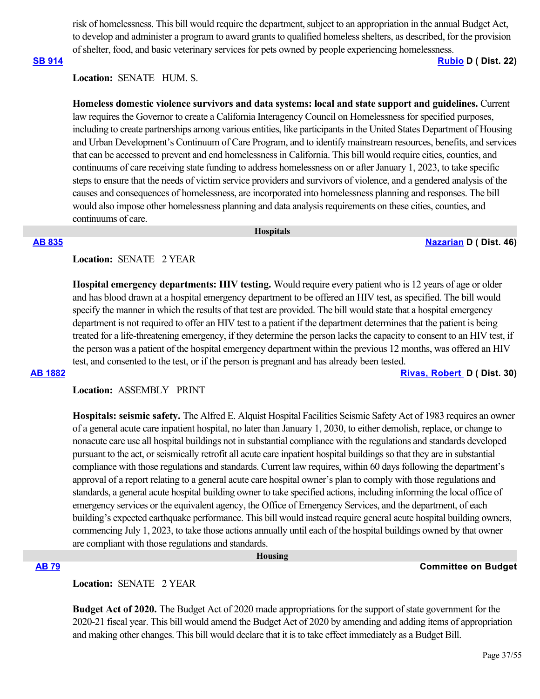risk of homelessness. This bill would require the department, subject to an appropriation in the annual Budget Act, to develop and administer a program to award grants to qualified homeless shelters, as described, for the provision of shelter, food, and basic veterinary services for pets owned by people experiencing homelessness.

**[SB 914](https://ctweb.capitoltrack.com/public/publishbillinfo.aspx?bi=TKG8QeaKG%2F3%2BcauV7ZH7GoerdT3nX63%2FxNgVUtCNsYkChIvX962LT5YYA%2BqadLLJ) [Rubio](http://sd22.senate.ca.gov/) D ( Dist. 22)**

# Location: **SENATE** HUM. S.

**Homeless domestic violence survivors and data systems: local and state support and guidelines.** Current law requires the Governor to create a California Interagency Council on Homelessness for specified purposes, including to create partnerships among various entities, like participants in the United States Department of Housing and Urban Development's Continuum of Care Program, and to identify mainstream resources, benefits, and services that can be accessed to prevent and end homelessness in California. This bill would require cities, counties, and continuums of care receiving state funding to address homelessness on or after January 1, 2023, to take specific steps to ensure that the needs of victim service providers and survivors of violence, and a gendered analysis of the causes and consequences of homelessness, are incorporated into homelessness planning and responses. The bill would also impose other homelessness planning and data analysis requirements on these cities, counties, and continuums of care.

 **Hospitals**

#### **[AB 835](https://ctweb.capitoltrack.com/public/publishbillinfo.aspx?bi=2aCiLjbhCP3GuNjWxI7nne8Ypa3W1fu5QHCJohjB9tlXBiqOqjdKFj4o2ETqWh%2BE) [Nazarian](https://a46.asmdc.org/) D ( Dist. 46)**

### Location: **SENATE 2 YEAR**

**Hospital emergency departments: HIV testing.** Would require every patient who is 12 years of age or older and has blood drawn at a hospital emergency department to be offered an HIV test, as specified. The bill would specify the manner in which the results of that test are provided. The bill would state that a hospital emergency department is not required to offer an HIV test to a patient if the department determines that the patient is being treated for a life-threatening emergency, if they determine the person lacks the capacity to consent to an HIV test, if the person was a patient of the hospital emergency department within the previous 12 months, was offered an HIV test, and consented to the test, or if the person is pregnant and has already been tested.

**[AB 1882](https://ctweb.capitoltrack.com/public/publishbillinfo.aspx?bi=lQuvDReAoncEJ3j9V%2BXjgkUwoC6rFhHRNc7aS9hCNiNNtKE8wW1%2BSRh7CYfV065c) [Rivas, Robert](https://a30.asmdc.org/)  D ( Dist. 30)**

## **Location:**  ASSEMBLY PRINT

**Hospitals: seismic safety.** The Alfred E. Alquist Hospital Facilities Seismic Safety Act of 1983 requires an owner of a general acute care inpatient hospital, no later than January 1, 2030, to either demolish, replace, or change to nonacute care use all hospital buildings not in substantial compliance with the regulations and standards developed pursuant to the act, or seismically retrofit all acute care inpatient hospital buildings so that they are in substantial compliance with those regulations and standards. Current law requires, within 60 days following the department's approval of a report relating to a general acute care hospital owner's plan to comply with those regulations and standards, a general acute hospital building owner to take specified actions, including informing the local office of emergency services or the equivalent agency, the Office of Emergency Services, and the department, of each building's expected earthquake performance. This bill would instead require general acute hospital building owners, commencing July 1, 2023, to take those actions annually until each of the hospital buildings owned by that owner are compliant with those regulations and standards.

#### **Housing**

#### **[AB 79](https://ctweb.capitoltrack.com/public/publishbillinfo.aspx?bi=Vq6wUtKCzSJGuRANgm4zTNCM2soxCjkxuajlmV2OgA98nRW4AY0xVXiDJWRmXaB2) Committee on Budget**

### **Location:**  SENATE 2 YEAR

**Budget Act of 2020.** The Budget Act of 2020 made appropriations for the support of state government for the 2020-21 fiscal year. This bill would amend the Budget Act of 2020 by amending and adding items of appropriation and making other changes. This bill would declare that it is to take effect immediately as a Budget Bill.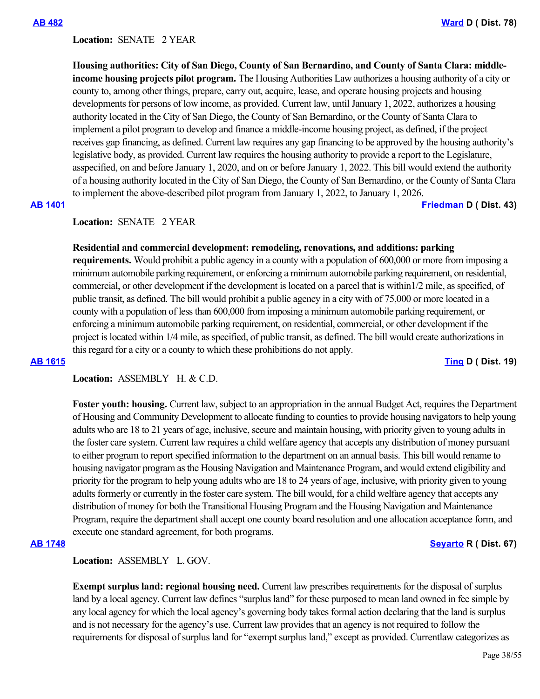Location: **SENATE 2 YEAR** 

**Housing authorities: City of San Diego, County of San Bernardino, and County of Santa Clara: middleincome housing projects pilot program.** The Housing Authorities Law authorizes a housing authority of a city or county to, among other things, prepare, carry out, acquire, lease, and operate housing projects and housing developments for persons of low income, as provided. Current law, until January 1, 2022, authorizes a housing authority located in the City of San Diego, the County of San Bernardino, or the County of Santa Clara to implement a pilot program to develop and finance a middle-income housing project, as defined, if the project receives gap financing, as defined. Current law requires any gap financing to be approved by the housing authority's legislative body, as provided. Current law requires the housing authority to provide a report to the Legislature, asspecified, on and before January 1, 2020, and on or before January 1, 2022. This bill would extend the authority of a housing authority located in the City of San Diego, the County of San Bernardino, or the County of Santa Clara to implement the above-described pilot program from January 1, 2022, to January 1, 2026.

**[AB 1401](https://ctweb.capitoltrack.com/public/publishbillinfo.aspx?bi=fQ56FfKqG7a6sZSjOVyOjXlJ95OI%2FLKyiBiPvRiGpmvkWVikUcdun8b73Dk0GSDa) [Friedman](https://a43.asmdc.org/) D ( Dist. 43)**

### **Location:**  SENATE 2 YEAR

**Residential and commercial development: remodeling, renovations, and additions: parking**

**requirements.** Would prohibit a public agency in a county with a population of 600,000 or more from imposing a minimum automobile parking requirement, or enforcing a minimum automobile parking requirement, on residential, commercial, or other development if the development is located on a parcel that is within1/2 mile, as specified, of public transit, as defined. The bill would prohibit a public agency in a city with of 75,000 or more located in a county with a population of less than 600,000 from imposing a minimum automobile parking requirement, or enforcing a minimum automobile parking requirement, on residential, commercial, or other development if the project is located within 1/4 mile, as specified, of public transit, as defined. The bill would create authorizations in this regard for a city or a county to which these prohibitions do not apply.

# **[AB 1615](https://ctweb.capitoltrack.com/public/publishbillinfo.aspx?bi=Ihg8jet8ZgZryPZYJwF59r5JuTJN6bZZxXwOFSwLL7LNrIgNGi5KqjKmHsR6aklo) [Ting](https://a19.asmdc.org/) D ( Dist. 19)**

# Location: ASSEMBLY H. & C.D.

**Foster youth: housing.** Current law, subject to an appropriation in the annual Budget Act, requires the Department of Housing and Community Development to allocate funding to counties to provide housing navigators to help young adults who are 18 to 21 years of age, inclusive, secure and maintain housing, with priority given to young adults in the foster care system. Current law requires a child welfare agency that accepts any distribution of money pursuant to either program to report specified information to the department on an annual basis. This bill would rename to housing navigator program as the Housing Navigation and Maintenance Program, and would extend eligibility and priority for the program to help young adults who are 18 to 24 years of age, inclusive, with priority given to young adults formerly or currently in the foster care system. The bill would, for a child welfare agency that accepts any distribution of money for both the Transitional Housing Program and the Housing Navigation and Maintenance Program, require the department shall accept one county board resolution and one allocation acceptance form, and execute one standard agreement, for both programs.

## **[AB 1748](https://ctweb.capitoltrack.com/public/publishbillinfo.aspx?bi=3K9CLvfUQfu70HwVNUgjVxN02m8kFmILgxLYc81ajxpJ%2FQasO168G5e7vKSc%2F7sm) [Seyarto](https://ad67.asmrc.org/) R ( Dist. 67)**

**Location:**  ASSEMBLY L. GOV.

**Exempt surplus land: regional housing need.** Current law prescribes requirements for the disposal of surplus land by a local agency. Current law defines "surplus land" for these purposed to mean land owned in fee simple by any local agency for which the local agency's governing body takes formal action declaring that the land is surplus and is not necessary for the agency's use. Current law provides that an agency is not required to follow the requirements for disposal of surplus land for "exempt surplus land," except as provided. Currentlaw categorizes as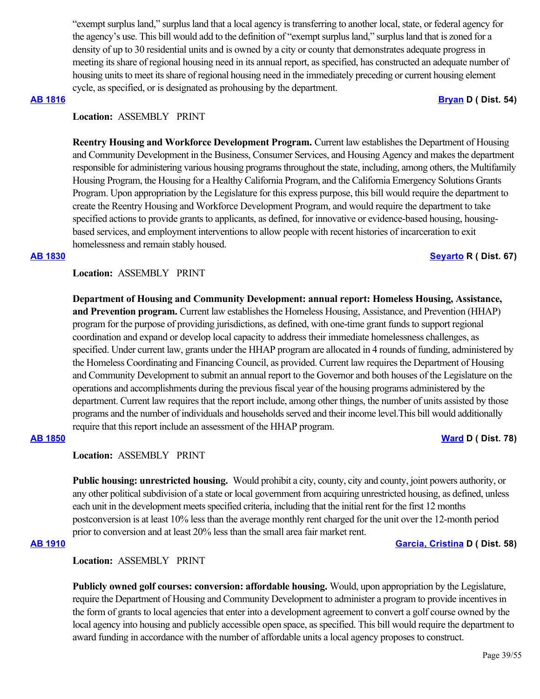"exempt surplus land," surplus land that a local agency is transferring to another local, state, or federal agency for the agency's use. This bill would add to the definition of "exempt surplus land," surplus land that is zoned for a density of up to 30 residential units and is owned by a city or county that demonstrates adequate progress in meeting its share of regional housing need in its annual report, as specified, has constructed an adequate number of housing units to meet its share of regional housing need in the immediately preceding or current housing element cycle, as specified, or is designated as prohousing by the department.

### **[AB 1816](https://ctweb.capitoltrack.com/public/publishbillinfo.aspx?bi=J61mpejvz2vJ6zt3Dde1usn6mCchpsi2zEPLx6TwI0spERB07IcdBkzd8OQlOQMr) [Bryan](https://a54.asmdc.org/) D ( Dist. 54)**

# **Location:**  ASSEMBLY PRINT

**Reentry Housing and Workforce Development Program.** Current law establishes the Department of Housing and Community Development in the Business, Consumer Services, and Housing Agency and makes the department responsible for administering various housing programs throughout the state, including, among others, the Multifamily Housing Program, the Housing for a Healthy California Program, and the California Emergency Solutions Grants Program. Upon appropriation by the Legislature for this express purpose, this bill would require the department to create the Reentry Housing and Workforce Development Program, and would require the department to take specified actions to provide grants to applicants, as defined, for innovative or evidence-based housing, housingbased services, and employment interventions to allow people with recent histories of incarceration to exit homelessness and remain stably housed.

### **[AB 1830](https://ctweb.capitoltrack.com/public/publishbillinfo.aspx?bi=i09zcSfvWMEZLWdKRJgeMuOyllSu19v885k2Ccvst%2BIQcCajsoj3Mmt0xbDpNlEc) [Seyarto](https://ad67.asmrc.org/) R ( Dist. 67)**

## **Location:**  ASSEMBLY PRINT

**Department of Housing and Community Development: annual report: Homeless Housing, Assistance, and Prevention program.** Current law establishes the Homeless Housing, Assistance, and Prevention (HHAP) program for the purpose of providing jurisdictions, as defined, with one-time grant funds to support regional coordination and expand or develop local capacity to address their immediate homelessness challenges, as specified. Under current law, grants under the HHAP program are allocated in 4 rounds of funding, administered by the Homeless Coordinating and Financing Council, as provided. Current law requires the Department of Housing and Community Development to submit an annual report to the Governor and both houses of the Legislature on the operations and accomplishments during the previous fiscal year of the housing programs administered by the department. Current law requires that the report include, among other things, the number of units assisted by those programs and the number of individuals and households served and their income level.This bill would additionally require that this report include an assessment of the HHAP program.

## **[AB 1850](https://ctweb.capitoltrack.com/public/publishbillinfo.aspx?bi=IiYRnRe19%2F8ewMkgEzhgz7afY%2ByUh7MgYb0qAjkR32vQO%2FE3cjgtEotsxNwlER%2Bp) [Ward](https://a78.asmdc.org/) D ( Dist. 78)**

# **Location:**  ASSEMBLY PRINT

**Public housing: unrestricted housing.** Would prohibit a city, county, city and county, joint powers authority, or any other political subdivision of a state or local government from acquiring unrestricted housing, as defined, unless each unit in the development meets specified criteria, including that the initial rent for the first 12 months postconversion is at least 10% less than the average monthly rent charged for the unit over the 12-month period prior to conversion and at least 20% less than the small area fair market rent.

### **[AB 1910](https://ctweb.capitoltrack.com/public/publishbillinfo.aspx?bi=8u%2FGcemZYUcF5I2szOXMaRuNdKCmdD0fHBUwXAmHIyahREqfFG%2FkuyzrqDxihFaq) [Garcia, Cristina](https://a58.asmdc.org/) D ( Dist. 58)**

## **Location:**  ASSEMBLY PRINT

**Publicly owned golf courses: conversion: affordable housing.** Would, upon appropriation by the Legislature, require the Department of Housing and Community Development to administer a program to provide incentives in the form of grants to local agencies that enter into a development agreement to convert a golf course owned by the local agency into housing and publicly accessible open space, as specified. This bill would require the department to award funding in accordance with the number of affordable units a local agency proposes to construct.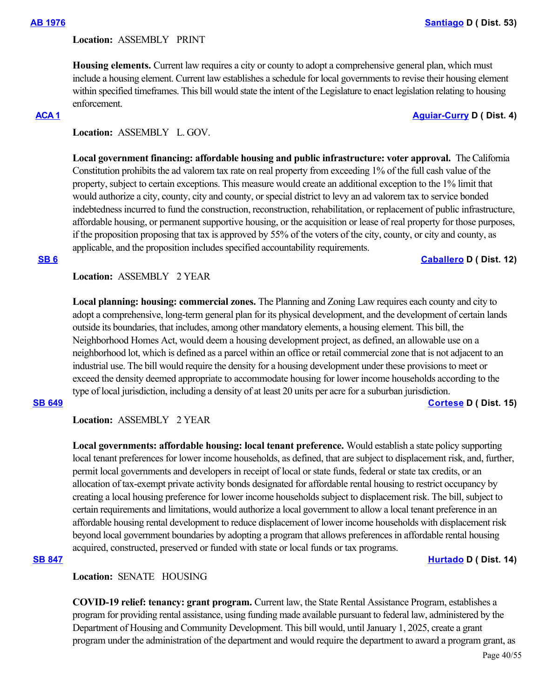### **Location:**  ASSEMBLY PRINT

**Housing elements.** Current law requires a city or county to adopt a comprehensive general plan, which must include a housing element. Current law establishes a schedule for local governments to revise their housing element within specified timeframes. This bill would state the intent of the Legislature to enact legislation relating to housing enforcement.

#### **[ACA 1](https://ctweb.capitoltrack.com/public/publishbillinfo.aspx?bi=vkAbgpBB9wOKQrx%2F6m3DJE4Lfzjw%2B69Lv7GxnaWpsGPIGgKDXm0xJSIkZsa8QVVB) [Aguiar-Curry](https://a04.asmdc.org/) D ( Dist. 4)**

### **Location:**  ASSEMBLY L. GOV.

**Local government financing: affordable housing and public infrastructure: voter approval.** The California Constitution prohibits the ad valorem tax rate on real property from exceeding 1% of the full cash value of the property, subject to certain exceptions. This measure would create an additional exception to the 1% limit that would authorize a city, county, city and county, or special district to levy an ad valorem tax to service bonded indebtedness incurred to fund the construction, reconstruction, rehabilitation, or replacement of public infrastructure, affordable housing, or permanent supportive housing, or the acquisition or lease of real property for those purposes, if the proposition proposing that tax is approved by 55% of the voters of the city, county, or city and county, as applicable, and the proposition includes specified accountability requirements.

#### **[SB 6](https://ctweb.capitoltrack.com/public/publishbillinfo.aspx?bi=oXSFwTOkDelqHhcTo%2B6z6m20UF3xamGd0AcFGP8968UI8lDQe47eNKPzSta6KQu4) [Caballero](https://sd12.senate.ca.gov/) D ( Dist. 12)**

# **Location:**  ASSEMBLY 2 YEAR

**Local planning: housing: commercial zones.** The Planning and Zoning Law requires each county and city to adopt a comprehensive, long-term general plan for its physical development, and the development of certain lands outside its boundaries, that includes, among other mandatory elements, a housing element. This bill, the Neighborhood Homes Act, would deem a housing development project, as defined, an allowable use on a neighborhood lot, which is defined as a parcel within an office or retail commercial zone that is not adjacent to an industrial use. The bill would require the density for a housing development under these provisions to meet or exceed the density deemed appropriate to accommodate housing for lower income households according to the type of local jurisdiction, including a density of at least 20 units per acre for a suburban jurisdiction. **[SB 649](https://ctweb.capitoltrack.com/public/publishbillinfo.aspx?bi=%2BbMisuO7rcKbxyWy6iCU8kGnPmfE8KcbemItEMkMnr9tkx0ANrW0qejb0qECcGJH) [Cortese](http://sd15.senate.ca.gov/) D ( Dist. 15)**

**Location:**  ASSEMBLY 2 YEAR

**Local governments: affordable housing: local tenant preference.** Would establish a state policy supporting local tenant preferences for lower income households, as defined, that are subject to displacement risk, and, further, permit local governments and developers in receipt of local or state funds, federal or state tax credits, or an allocation of tax-exempt private activity bonds designated for affordable rental housing to restrict occupancy by creating a local housing preference for lower income households subject to displacement risk. The bill, subject to certain requirements and limitations, would authorize a local government to allow a local tenant preference in an affordable housing rental development to reduce displacement of lower income households with displacement risk beyond local government boundaries by adopting a program that allows preferences in affordable rental housing acquired, constructed, preserved or funded with state or local funds or tax programs.

#### **[SB 847](https://ctweb.capitoltrack.com/public/publishbillinfo.aspx?bi=%2FHlilsx8485HaNkWIkVJJ3fXqlihEgUuulZxrNNwmrEgNQ9i8qmEeVt6712MsA1h) [Hurtado](https://sd14.senate.ca.gov/) D ( Dist. 14)**

### **Location:**  SENATE HOUSING

**COVID-19 relief: tenancy: grant program.** Current law, the State Rental Assistance Program, establishes a program for providing rental assistance, using funding made available pursuant to federal law, administered by the Department of Housing and Community Development. This bill would, until January 1, 2025, create a grant program under the administration of the department and would require the department to award a program grant, as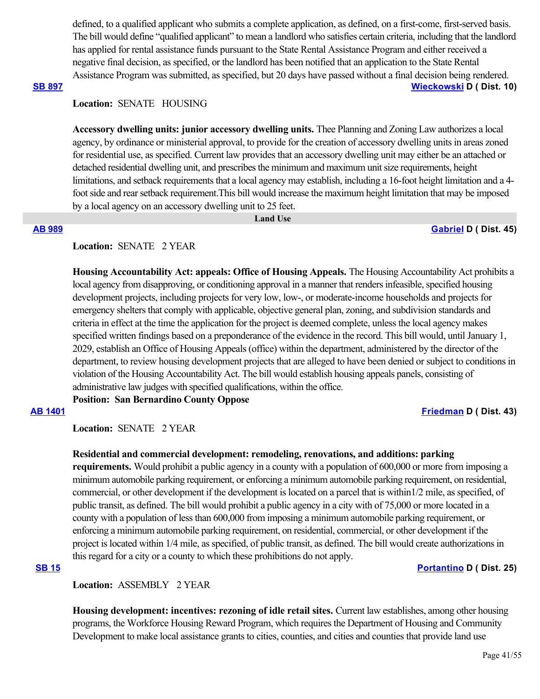defined, to a qualified applicant who submits a complete application, as defined, on a first-come, first-served basis. The bill would define "qualified applicant" to mean a landlord who satisfies certain criteria, including that the landlord has applied for rental assistance funds pursuant to the State Rental Assistance Program and either received a negative final decision, as specified, or the landlord has been notified that an application to the State Rental Assistance Program was submitted, as specified, but 20 days have passed without a final decision being rendered.

# **[SB 897](https://ctweb.capitoltrack.com/public/publishbillinfo.aspx?bi=LFXAcElsuglqltzU9dVC7zBaA04dbOaHNgRWa7fs%2BvLg%2FtBVnQZgpxDAwYJZXsEi) [Wieckowski](http://sd10.senate.ca.gov/) D ( Dist. 10)**

## **Location:**  SENATE HOUSING

**Accessory dwelling units: junior accessory dwelling units.** Thee Planning and Zoning Law authorizes a local agency, by ordinance or ministerial approval, to provide for the creation of accessory dwelling units in areas zoned for residential use, as specified. Current law provides that an accessory dwelling unit may either be an attached or detached residential dwelling unit, and prescribes the minimum and maximum unit size requirements, height limitations, and setback requirements that a local agency may establish, including a 16-foot height limitation and a 4 foot side and rear setback requirement.This bill would increase the maximum height limitation that may be imposed by a local agency on an accessory dwelling unit to 25 feet.

### **Land Use**

### **[AB 989](https://ctweb.capitoltrack.com/public/publishbillinfo.aspx?bi=L84rubdAYJyYAzLAqceJr%2B2%2B2K3ZEc07FjG%2B5pA3sZuYbmqke7buNzumwxqUgUpc) [Gabriel](https://a45.asmdc.org/) D ( Dist. 45)**

## **Location:**  SENATE 2 YEAR

**Housing Accountability Act: appeals: Office of Housing Appeals.** The Housing Accountability Act prohibits a local agency from disapproving, or conditioning approval in a manner that renders infeasible, specified housing development projects, including projects for very low, low-, or moderate-income households and projects for emergency shelters that comply with applicable, objective general plan, zoning, and subdivision standards and criteria in effect at the time the application for the project is deemed complete, unless the local agency makes specified written findings based on a preponderance of the evidence in the record. This bill would, until January 1, 2029, establish an Office of Housing Appeals (office) within the department, administered by the director of the department, to review housing development projects that are alleged to have been denied or subject to conditions in violation of the Housing Accountability Act. The bill would establish housing appeals panels, consisting of administrative law judges with specified qualifications, within the office.

**Position: San Bernardino County Oppose**

## **[AB 1401](https://ctweb.capitoltrack.com/public/publishbillinfo.aspx?bi=fQ56FfKqG7a6sZSjOVyOjXlJ95OI%2FLKyiBiPvRiGpmvkWVikUcdun8b73Dk0GSDa) [Friedman](https://a43.asmdc.org/) D ( Dist. 43)**

**Location:**  SENATE 2 YEAR

### **Residential and commercial development: remodeling, renovations, and additions: parking**

**requirements.** Would prohibit a public agency in a county with a population of 600,000 or more from imposing a minimum automobile parking requirement, or enforcing a minimum automobile parking requirement, on residential, commercial, or other development if the development is located on a parcel that is within1/2 mile, as specified, of public transit, as defined. The bill would prohibit a public agency in a city with of 75,000 or more located in a county with a population of less than 600,000 from imposing a minimum automobile parking requirement, or enforcing a minimum automobile parking requirement, on residential, commercial, or other development if the project is located within 1/4 mile, as specified, of public transit, as defined. The bill would create authorizations in this regard for a city or a county to which these prohibitions do not apply.

# **[SB 15](https://ctweb.capitoltrack.com/public/publishbillinfo.aspx?bi=CzBvxEQUwfWMqsZui6iOWnHXa36JrXVg%2FfGJIsWZytbLXyWuIdEN0oJ9SruHYrcW) [Portantino](http://sd25.senate.ca.gov/) D ( Dist. 25)**

# **Location:**  ASSEMBLY 2 YEAR

**Housing development: incentives: rezoning of idle retail sites.** Current law establishes, among other housing programs, the Workforce Housing Reward Program, which requires the Department of Housing and Community Development to make local assistance grants to cities, counties, and cities and counties that provide land use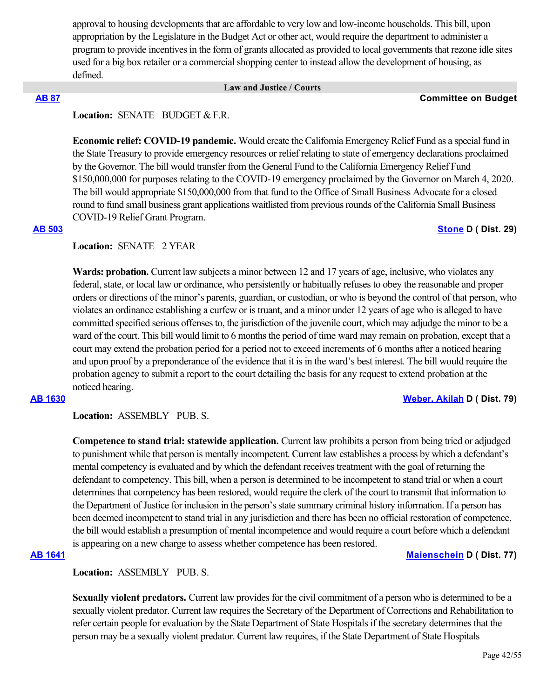approval to housing developments that are affordable to very low and low-income households. This bill, upon appropriation by the Legislature in the Budget Act or other act, would require the department to administer a program to provide incentives in the form of grants allocated as provided to local governments that rezone idle sites used for a big box retailer or a commercial shopping center to instead allow the development of housing, as defined.

#### **Law and Justice / Courts**

### **[AB 87](https://ctweb.capitoltrack.com/public/publishbillinfo.aspx?bi=aP6tBr0AiMKGFAYx2CsdLBAC6h8IlxwJmhePJG5%2BQYnibqIKe%2FksE37RChPbnT8a) Committee on Budget**

# Location: **SENATE** BUDGET & F.R.

**Economic relief: COVID-19 pandemic.** Would create the California Emergency Relief Fund as a special fund in the State Treasury to provide emergency resources or relief relating to state of emergency declarations proclaimed by the Governor. The bill would transfer from the General Fund to the California Emergency Relief Fund \$150,000,000 for purposes relating to the COVID-19 emergency proclaimed by the Governor on March 4, 2020. The bill would appropriate \$150,000,000 from that fund to the Office of Small Business Advocate for a closed round to fund small business grant applications waitlisted from previous rounds of the California Small Business COVID-19 Relief Grant Program.

### **[AB 503](https://ctweb.capitoltrack.com/public/publishbillinfo.aspx?bi=9q%2Fh7eCb8Mkl5tOrz9wE9YTwaIA0n%2FISK6GlkgeZnKpOvmEJDEoEx89yT8FKoQcn) [Stone](https://a29.asmdc.org/) D ( Dist. 29)**

## **Location:**  SENATE 2 YEAR

Wards: probation. Current law subjects a minor between 12 and 17 years of age, inclusive, who violates any federal, state, or local law or ordinance, who persistently or habitually refuses to obey the reasonable and proper orders or directions of the minor's parents, guardian, or custodian, or who is beyond the control of that person, who violates an ordinance establishing a curfew or is truant, and a minor under 12 years of age who is alleged to have committed specified serious offenses to, the jurisdiction of the juvenile court, which may adjudge the minor to be a ward of the court. This bill would limit to 6 months the period of time ward may remain on probation, except that a court may extend the probation period for a period not to exceed increments of 6 months after a noticed hearing and upon proof by a preponderance of the evidence that it is in the ward's best interest. The bill would require the probation agency to submit a report to the court detailing the basis for any request to extend probation at the noticed hearing.

### **[AB 1630](https://ctweb.capitoltrack.com/public/publishbillinfo.aspx?bi=lnvb529SGpCt%2BOqcxtChTM%2F9ETVgOAt0P8jnL9Tjj6YgSJh%2Bw2jNquuODF9AtSTL) [Weber, Akilah](https://a79.asmdc.org/) D ( Dist. 79)**

**Location:**  ASSEMBLY PUB. S.

**Competence to stand trial: statewide application.** Current law prohibits a person from being tried or adjudged to punishment while that person is mentally incompetent. Current law establishes a process by which a defendant's mental competency is evaluated and by which the defendant receives treatment with the goal of returning the defendant to competency. This bill, when a person is determined to be incompetent to stand trial or when a court determines that competency has been restored, would require the clerk of the court to transmit that information to the Department of Justice for inclusion in the person's state summary criminal history information. If a person has been deemed incompetent to stand trial in any jurisdiction and there has been no official restoration of competence, the bill would establish a presumption of mental incompetence and would require a court before which a defendant is appearing on a new charge to assess whether competence has been restored.

### **[AB 1641](https://ctweb.capitoltrack.com/public/publishbillinfo.aspx?bi=HQ5K%2B08fs5pJZ1unOcYzz33HdVwNsTc46Wsexxxm8VmThOZYmcnRd3yFU3tZzS5V) [Maienschein](https://a77.asmdc.org/) D ( Dist. 77)**

**Location:**  ASSEMBLY PUB. S.

**Sexually violent predators.** Current law provides for the civil commitment of a person who is determined to be a sexually violent predator. Current law requires the Secretary of the Department of Corrections and Rehabilitation to refer certain people for evaluation by the State Department of State Hospitals if the secretary determines that the person may be a sexually violent predator. Current law requires, if the State Department of State Hospitals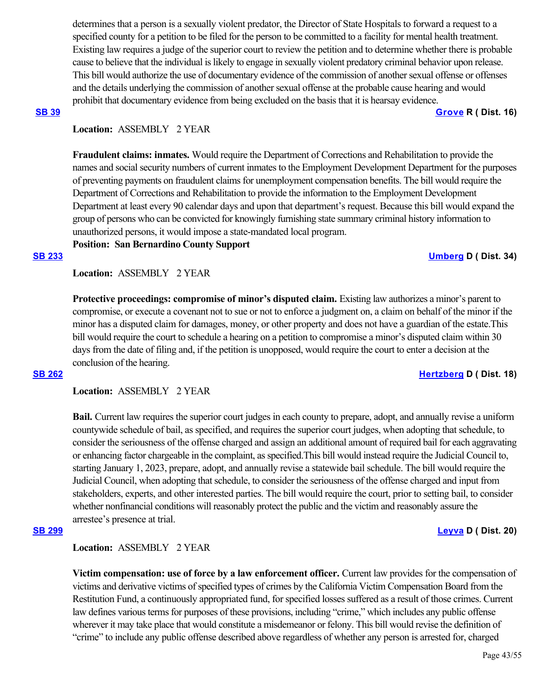determines that a person is a sexually violent predator, the Director of State Hospitals to forward a request to a specified county for a petition to be filed for the person to be committed to a facility for mental health treatment. Existing law requires a judge of the superior court to review the petition and to determine whether there is probable cause to believe that the individual is likely to engage in sexually violent predatory criminal behavior upon release. This bill would authorize the use of documentary evidence of the commission of another sexual offense or offenses and the details underlying the commission of another sexual offense at the probable cause hearing and would prohibit that documentary evidence from being excluded on the basis that it is hearsay evidence.

### **[SB 39](https://ctweb.capitoltrack.com/public/publishbillinfo.aspx?bi=sUKRFgAc2NMvgSBTS%2F1GGVbYKlZ1ETu1WiOud04YN1dK%2BSF7%2BA6eNuD7QMFsqQbv) [Grove](https://grove.cssrc.us/) R ( Dist. 16)**

**Location:**  ASSEMBLY 2 YEAR

**Fraudulent claims: inmates.** Would require the Department of Corrections and Rehabilitation to provide the names and social security numbers of current inmates to the Employment Development Department for the purposes of preventing payments on fraudulent claims for unemployment compensation benefits. The bill would require the Department of Corrections and Rehabilitation to provide the information to the Employment Development Department at least every 90 calendar days and upon that department's request. Because this bill would expand the group of persons who can be convicted for knowingly furnishing state summary criminal history information to unauthorized persons, it would impose a state-mandated local program.

**Position: San Bernardino County Support**

### **[SB 233](https://ctweb.capitoltrack.com/public/publishbillinfo.aspx?bi=CWBdqm8ay5B25yfeKleer40p3DiOHCQ7El%2BakyFlnYYvTqqJ6C8nkOwv2Y0gyHoF) [Umberg](https://sd34.senate.ca.gov/) D ( Dist. 34)**

**Location:**  ASSEMBLY 2 YEAR

**Protective proceedings: compromise of minor's disputed claim.** Existing law authorizes a minor's parent to compromise, or execute a covenant not to sue or not to enforce a judgment on, a claim on behalf of the minor if the minor has a disputed claim for damages, money, or other property and does not have a guardian of the estate.This bill would require the court to schedule a hearing on a petition to compromise a minor's disputed claim within 30 days from the date of filing and, if the petition is unopposed, would require the court to enter a decision at the conclusion of the hearing.

### **[SB 262](https://ctweb.capitoltrack.com/public/publishbillinfo.aspx?bi=Cq2hWoghhvqRl0KBFyLuemjOq0b%2FadyPHaxumjgw5gy2WMntLlC%2FLNLUjv%2BIY%2BY6) [Hertzberg](https://sd18.senate.ca.gov/) D ( Dist. 18)**

**Location:**  ASSEMBLY 2 YEAR

**Bail.** Current law requires the superior court judges in each county to prepare, adopt, and annually revise a uniform countywide schedule of bail, as specified, and requires the superior court judges, when adopting that schedule, to consider the seriousness of the offense charged and assign an additional amount of required bail for each aggravating or enhancing factor chargeable in the complaint, as specified.This bill would instead require the Judicial Council to, starting January 1, 2023, prepare, adopt, and annually revise a statewide bail schedule. The bill would require the Judicial Council, when adopting that schedule, to consider the seriousness of the offense charged and input from stakeholders, experts, and other interested parties. The bill would require the court, prior to setting bail, to consider whether nonfinancial conditions will reasonably protect the public and the victim and reasonably assure the arrestee's presence at trial.

## **[SB 299](https://ctweb.capitoltrack.com/public/publishbillinfo.aspx?bi=5m8tyJaJ43VktoJQBcXZ4MoysGntQ9zD5Cfp94xuJYEguIXngZ4dYxUK4RWHKgP4) [Leyva](http://sd20.senate.ca.gov/) D ( Dist. 20)**

# **Location:**  ASSEMBLY 2 YEAR

**Victim compensation: use of force by a law enforcement officer.** Current law provides for the compensation of victims and derivative victims of specified types of crimes by the California Victim Compensation Board from the Restitution Fund, a continuously appropriated fund, for specified losses suffered as a result of those crimes. Current law defines various terms for purposes of these provisions, including "crime," which includes any public offense wherever it may take place that would constitute a misdemeanor or felony. This bill would revise the definition of "crime" to include any public offense described above regardless of whether any person is arrested for, charged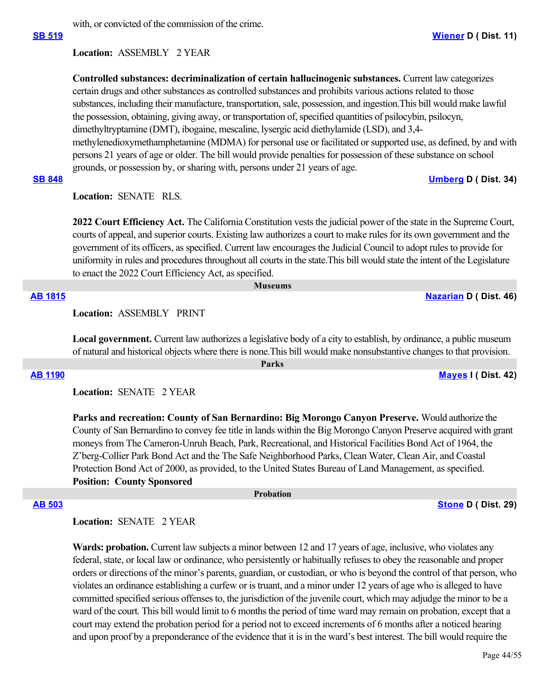with, or convicted of the commission of the crime.

### **Location:**  ASSEMBLY 2 YEAR

**Controlled substances: decriminalization of certain hallucinogenic substances.** Current law categorizes certain drugs and other substances as controlled substances and prohibits various actions related to those substances, including their manufacture, transportation, sale, possession, and ingestion.This bill would make lawful the possession, obtaining, giving away, or transportation of, specified quantities of psilocybin, psilocyn, dimethyltryptamine (DMT), ibogaine, mescaline, lysergic acid diethylamide (LSD), and 3,4 methylenedioxymethamphetamine (MDMA) for personal use or facilitated or supported use, as defined, by and with persons 21 years of age or older. The bill would provide penalties for possession of these substance on school grounds, or possession by, or sharing with, persons under 21 years of age. **[SB 848](https://ctweb.capitoltrack.com/public/publishbillinfo.aspx?bi=6OsQu0oU7JnguhmKtx3Qo65Lrk1CaeXRzGblv4mGeaJYzL4RPAEsXWKf8EIkZC3n) [Umberg](https://sd34.senate.ca.gov/) D ( Dist. 34)**

**Location:**  SENATE RLS.

**2022 Court Efficiency Act.** The California Constitution vests the judicial power of the state in the Supreme Court, courts of appeal, and superior courts. Existing law authorizes a court to make rules for its own government and the government of its officers, as specified. Current law encourages the Judicial Council to adopt rules to provide for uniformity in rules and procedures throughout all courts in the state.This bill would state the intent of the Legislature to enact the 2022 Court Efficiency Act, as specified.

#### **Museums**

 **Parks**

 **Probation**

**[AB 1815](https://ctweb.capitoltrack.com/public/publishbillinfo.aspx?bi=26vOGg2YEw6Mfb1jQAii3FOrh1RZZqZCKmuUwo5GrpVh2W3026t13UvKeXUHQnK3) [Nazarian](https://a46.asmdc.org/) D ( Dist. 46)**

**Location:**  ASSEMBLY PRINT

**Local government.** Current law authorizes a legislative body of a city to establish, by ordinance, a public museum of natural and historical objects where there is none.This bill would make nonsubstantive changes to that provision.

**Location:**  SENATE 2 YEAR

**Parks and recreation: County of San Bernardino: Big Morongo Canyon Preserve.** Would authorize the County of San Bernardino to convey fee title in lands within the Big Morongo Canyon Preserve acquired with grant moneys from The Cameron-Unruh Beach, Park, Recreational, and Historical Facilities Bond Act of 1964, the Z'berg-Collier Park Bond Act and the The Safe Neighborhood Parks, Clean Water, Clean Air, and Coastal Protection Bond Act of 2000, as provided, to the United States Bureau of Land Management, as specified. **Position: County Sponsored**

**Location:**  SENATE 2 YEAR

Wards: probation. Current law subjects a minor between 12 and 17 years of age, inclusive, who violates any federal, state, or local law or ordinance, who persistently or habitually refuses to obey the reasonable and proper orders or directions of the minor's parents, guardian, or custodian, or who is beyond the control of that person, who violates an ordinance establishing a curfew or is truant, and a minor under 12 years of age who is alleged to have committed specified serious offenses to, the jurisdiction of the juvenile court, which may adjudge the minor to be a ward of the court. This bill would limit to 6 months the period of time ward may remain on probation, except that a court may extend the probation period for a period not to exceed increments of 6 months after a noticed hearing and upon proof by a preponderance of the evidence that it is in the ward's best interest. The bill would require the

**[AB 1190](https://ctweb.capitoltrack.com/public/publishbillinfo.aspx?bi=LyTfYYySsuFojf4ZmZJI%2B6dKv0i1XCakYBpGFoDDkutPcKgMru5fZIJE3cRJGZdS) [Mayes](https://www.assembly.ca.gov/assemblymemberchadmayes) I ( Dist. 42)**

**[AB 503](https://ctweb.capitoltrack.com/public/publishbillinfo.aspx?bi=9q%2Fh7eCb8Mkl5tOrz9wE9YTwaIA0n%2FISK6GlkgeZnKpOvmEJDEoEx89yT8FKoQcn) [Stone](https://a29.asmdc.org/) D ( Dist. 29)**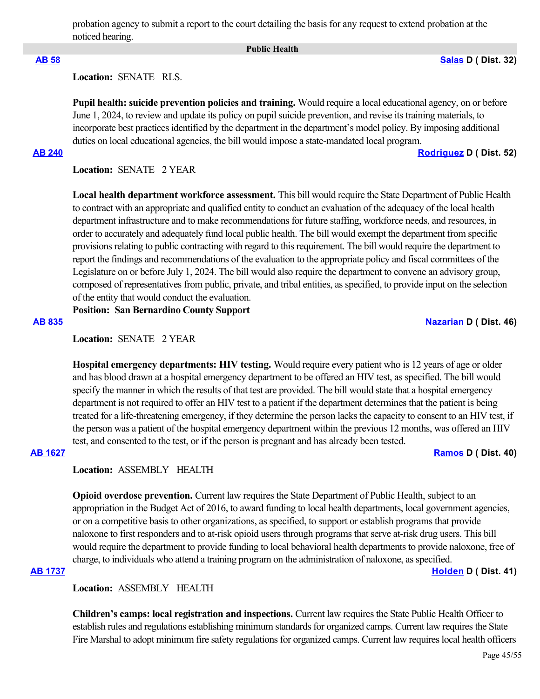probation agency to submit a report to the court detailing the basis for any request to extend probation at the noticed hearing.

 **Public Health**

**[AB 58](https://ctweb.capitoltrack.com/public/publishbillinfo.aspx?bi=WgrShyLX0MOnEOOovH9DdfcF5bwwiKbfN2AOah4jbt5RSeYbDiX6n8MX0tyiVoj7) [Salas](https://a32.asmdc.org/) D ( Dist. 32)**

Location: **SENATE** RLS.

**Pupil health: suicide prevention policies and training.** Would require a local educational agency, on or before June 1, 2024, to review and update its policy on pupil suicide prevention, and revise its training materials, to incorporate best practices identified by the department in the department's model policy. By imposing additional duties on local educational agencies, the bill would impose a state-mandated local program.

# **[AB 240](https://ctweb.capitoltrack.com/public/publishbillinfo.aspx?bi=34k50L13At79nUHUwlOPcRPd8koc9n7B4WWvbeedGXktY%2BNkrNYRxMRLiKQ3Ql9y) [Rodriguez](https://a52.asmdc.org/) D ( Dist. 52)**

Location: **SENATE** 2 YEAR

**Local health department workforce assessment.** This bill would require the State Department of Public Health to contract with an appropriate and qualified entity to conduct an evaluation of the adequacy of the local health department infrastructure and to make recommendations for future staffing, workforce needs, and resources, in order to accurately and adequately fund local public health. The bill would exempt the department from specific provisions relating to public contracting with regard to this requirement. The bill would require the department to report the findings and recommendations of the evaluation to the appropriate policy and fiscal committees of the Legislature on or before July 1, 2024. The bill would also require the department to convene an advisory group, composed of representatives from public, private, and tribal entities, as specified, to provide input on the selection of the entity that would conduct the evaluation.

**Position: San Bernardino County Support**

## **[AB 835](https://ctweb.capitoltrack.com/public/publishbillinfo.aspx?bi=2aCiLjbhCP3GuNjWxI7nne8Ypa3W1fu5QHCJohjB9tlXBiqOqjdKFj4o2ETqWh%2BE) [Nazarian](https://a46.asmdc.org/) D ( Dist. 46)**

**Location:**  SENATE 2 YEAR

**Hospital emergency departments: HIV testing.** Would require every patient who is 12 years of age or older and has blood drawn at a hospital emergency department to be offered an HIV test, as specified. The bill would specify the manner in which the results of that test are provided. The bill would state that a hospital emergency department is not required to offer an HIV test to a patient if the department determines that the patient is being treated for a life-threatening emergency, if they determine the person lacks the capacity to consent to an HIV test, if the person was a patient of the hospital emergency department within the previous 12 months, was offered an HIV test, and consented to the test, or if the person is pregnant and has already been tested.

## **[AB 1627](https://ctweb.capitoltrack.com/public/publishbillinfo.aspx?bi=TzQzmcQLt7l1mpFdneotmFX4LLN9CAOpBJUpwc94sV%2BaZ%2BG7i3Qon2b0uZtmjTbU) [Ramos](https://a40.asmdc.org/) D ( Dist. 40)**

**Location:**  ASSEMBLY HEALTH

**Opioid overdose prevention.** Current law requires the State Department of Public Health, subject to an appropriation in the Budget Act of 2016, to award funding to local health departments, local government agencies, or on a competitive basis to other organizations, as specified, to support or establish programs that provide naloxone to first responders and to at-risk opioid users through programs that serve at-risk drug users. This bill would require the department to provide funding to local behavioral health departments to provide naloxone, free of charge, to individuals who attend a training program on the administration of naloxone, as specified.

# **[AB 1737](https://ctweb.capitoltrack.com/public/publishbillinfo.aspx?bi=zLZ1TCWvaKBOvXCvQdtiJc6Vr9fFv1NOGXeJZe17U%2B5sYCanB1QiJQ1vAqojO%2Fcp) [Holden](https://a41.asmdc.org/) D ( Dist. 41)**

**Location:**  ASSEMBLY HEALTH

**Children's camps: local registration and inspections.** Current law requires the State Public Health Officer to establish rules and regulations establishing minimum standards for organized camps. Current law requires the State Fire Marshal to adopt minimum fire safety regulations for organized camps. Current law requires local health officers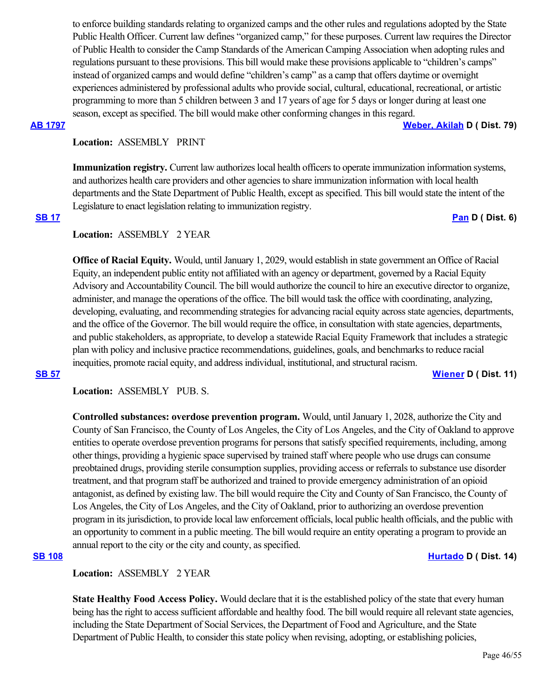to enforce building standards relating to organized camps and the other rules and regulations adopted by the State Public Health Officer. Current law defines "organized camp," for these purposes. Current law requires the Director of Public Health to consider the Camp Standards of the American Camping Association when adopting rules and regulations pursuant to these provisions. This bill would make these provisions applicable to "children's camps" instead of organized camps and would define "children's camp" as a camp that offers daytime or overnight experiences administered by professional adults who provide social, cultural, educational, recreational, or artistic programming to more than 5 children between 3 and 17 years of age for 5 days or longer during at least one season, except as specified. The bill would make other conforming changes in this regard.

#### **[AB 1797](https://ctweb.capitoltrack.com/public/publishbillinfo.aspx?bi=MLaGase4Hr33JqNp%2BUNM1NjvIWSLxblXhwXQbIGJ0gVJC3hRcqBR6ne%2BJ10%2B5yFA) [Weber, Akilah](https://a79.asmdc.org/) D ( Dist. 79)**

## **Location:**  ASSEMBLY PRINT

**Immunization registry.** Current law authorizes local health officers to operate immunization information systems, and authorizes health care providers and other agencies to share immunization information with local health departments and the State Department of Public Health, except as specified. This bill would state the intent of the Legislature to enact legislation relating to immunization registry.

# **[SB 17](https://ctweb.capitoltrack.com/public/publishbillinfo.aspx?bi=%2BE4NoDKMLnuTFxzoM1Xo99BcuN4ryD73nF0rJQY%2ByFcnjPHcHP1MVGB5QCwtLcFz) [Pan](http://sd06.senate.ca.gov/) D ( Dist. 6)**

# **Location:**  ASSEMBLY 2 YEAR

**Office of Racial Equity.** Would, until January 1, 2029, would establish in state government an Office of Racial Equity, an independent public entity not affiliated with an agency or department, governed by a Racial Equity Advisory and Accountability Council. The bill would authorize the council to hire an executive director to organize, administer, and manage the operations of the office. The bill would task the office with coordinating, analyzing, developing, evaluating, and recommending strategies for advancing racial equity across state agencies, departments, and the office of the Governor. The bill would require the office, in consultation with state agencies, departments, and public stakeholders, as appropriate, to develop a statewide Racial Equity Framework that includes a strategic plan with policy and inclusive practice recommendations, guidelines, goals, and benchmarks to reduce racial inequities, promote racial equity, and address individual, institutional, and structural racism.

#### **[SB 57](https://ctweb.capitoltrack.com/public/publishbillinfo.aspx?bi=Lv7Elqqc41mLJLH2Zgldd2ENbBe%2F2AACEFAp57qr3o%2FEEJPqJsnF7dAV%2BDMNNJpC) [Wiener](http://sd11.senate.ca.gov/) D ( Dist. 11)**

**Location:**  ASSEMBLY PUB. S.

**Controlled substances: overdose prevention program.** Would, until January 1, 2028, authorize the City and County of San Francisco, the County of Los Angeles, the City of Los Angeles, and the City of Oakland to approve entities to operate overdose prevention programs for persons that satisfy specified requirements, including, among other things, providing a hygienic space supervised by trained staff where people who use drugs can consume preobtained drugs, providing sterile consumption supplies, providing access or referrals to substance use disorder treatment, and that program staff be authorized and trained to provide emergency administration of an opioid antagonist, as defined by existing law. The bill would require the City and County of San Francisco, the County of Los Angeles, the City of Los Angeles, and the City of Oakland, prior to authorizing an overdose prevention program in its jurisdiction, to provide local law enforcement officials, local public health officials, and the public with an opportunity to comment in a public meeting. The bill would require an entity operating a program to provide an annual report to the city or the city and county, as specified.

### **[SB 108](https://ctweb.capitoltrack.com/public/publishbillinfo.aspx?bi=H%2B79Zu2%2Fv7KprlgFOSP4R4lEEqXSGBTKZme%2Fow59msy8dKjD5n4SMlNd2aNP9cs8) [Hurtado](https://sd14.senate.ca.gov/) D ( Dist. 14)**

## **Location:**  ASSEMBLY 2 YEAR

**State Healthy Food Access Policy.** Would declare that it is the established policy of the state that every human being has the right to access sufficient affordable and healthy food. The bill would require all relevant state agencies, including the State Department of Social Services, the Department of Food and Agriculture, and the State Department of Public Health, to consider this state policy when revising, adopting, or establishing policies,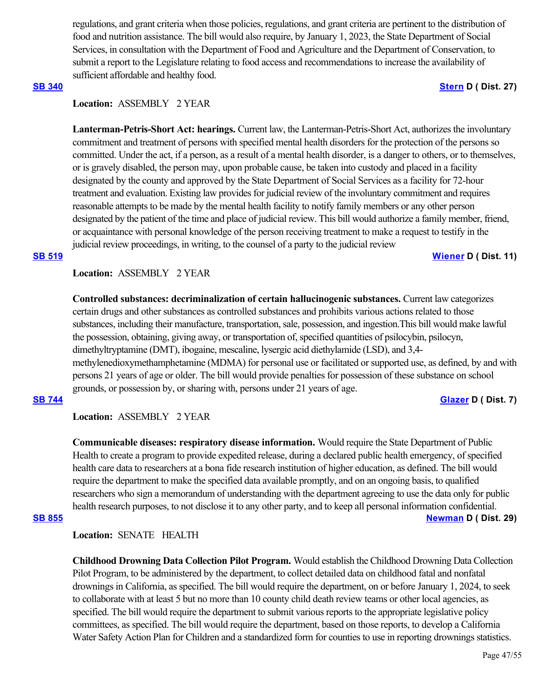regulations, and grant criteria when those policies, regulations, and grant criteria are pertinent to the distribution of food and nutrition assistance. The bill would also require, by January 1, 2023, the State Department of Social Services, in consultation with the Department of Food and Agriculture and the Department of Conservation, to submit a report to the Legislature relating to food access and recommendations to increase the availability of sufficient affordable and healthy food.

## **[SB 340](https://ctweb.capitoltrack.com/public/publishbillinfo.aspx?bi=o7c4xnROQN3yzqqUUsr3HDvHSt5jsU2jMveJJkW5YKoG0bJsOECHrt2wV%2Fr7HQpj) [Stern](http://sd27.senate.ca.gov/) D ( Dist. 27)**

# **Location:**  ASSEMBLY 2 YEAR

**Lanterman-Petris-Short Act: hearings.** Current law, the Lanterman-Petris-Short Act, authorizes the involuntary commitment and treatment of persons with specified mental health disorders for the protection of the persons so committed. Under the act, if a person, as a result of a mental health disorder, is a danger to others, or to themselves, or is gravely disabled, the person may, upon probable cause, be taken into custody and placed in a facility designated by the county and approved by the State Department of Social Services as a facility for 72-hour treatment and evaluation. Existing law provides for judicial review of the involuntary commitment and requires reasonable attempts to be made by the mental health facility to notify family members or any other person designated by the patient of the time and place of judicial review. This bill would authorize a family member, friend, or acquaintance with personal knowledge of the person receiving treatment to make a request to testify in the judicial review proceedings, in writing, to the counsel of a party to the judicial review

**[SB 519](https://ctweb.capitoltrack.com/public/publishbillinfo.aspx?bi=S%2Fqdy5QJb97AZhOUGFEgrrOu2893hHPADL3SNrgXeTRpxLo6I80R%2BXvamzjzl7KU) [Wiener](http://sd11.senate.ca.gov/) D ( Dist. 11)**

# **Location:**  ASSEMBLY 2 YEAR

**Controlled substances: decriminalization of certain hallucinogenic substances.** Current law categorizes certain drugs and other substances as controlled substances and prohibits various actions related to those substances, including their manufacture, transportation, sale, possession, and ingestion.This bill would make lawful the possession, obtaining, giving away, or transportation of, specified quantities of psilocybin, psilocyn, dimethyltryptamine (DMT), ibogaine, mescaline, lysergic acid diethylamide (LSD), and 3,4 methylenedioxymethamphetamine (MDMA) for personal use or facilitated or supported use, as defined, by and with persons 21 years of age or older. The bill would provide penalties for possession of these substance on school grounds, or possession by, or sharing with, persons under 21 years of age.

**[SB 744](https://ctweb.capitoltrack.com/public/publishbillinfo.aspx?bi=JIZZ3Wleqhe2Afu8aSlx2KX18JyZA8Rq1KFFiRORfqV64KqI99E5CRWoF%2Fb%2B7Mzo) [Glazer](http://sd07.senate.ca.gov/) D ( Dist. 7)**

### **Location:**  ASSEMBLY 2 YEAR

**Communicable diseases: respiratory disease information.** Would require the State Department of Public Health to create a program to provide expedited release, during a declared public health emergency, of specified health care data to researchers at a bona fide research institution of higher education, as defined. The bill would require the department to make the specified data available promptly, and on an ongoing basis, to qualified researchers who sign a memorandum of understanding with the department agreeing to use the data only for public health research purposes, to not disclose it to any other party, and to keep all personal information confidential. **[SB 855](https://ctweb.capitoltrack.com/public/publishbillinfo.aspx?bi=asP%2BPVY1VtNcJs0S%2FCNLrvQ6S6T7%2B3KwDqoC49fml8iWxwyOGVJqz0n%2FAqOUglle) [Newman](https://sd29.senate.ca.gov/) D ( Dist. 29)**

## **Location:**  SENATE HEALTH

**Childhood Drowning Data Collection Pilot Program.** Would establish the Childhood Drowning Data Collection Pilot Program, to be administered by the department, to collect detailed data on childhood fatal and nonfatal drownings in California, as specified. The bill would require the department, on or before January 1, 2024, to seek to collaborate with at least 5 but no more than 10 county child death review teams or other local agencies, as specified. The bill would require the department to submit various reports to the appropriate legislative policy committees, as specified. The bill would require the department, based on those reports, to develop a California Water Safety Action Plan for Children and a standardized form for counties to use in reporting drownings statistics.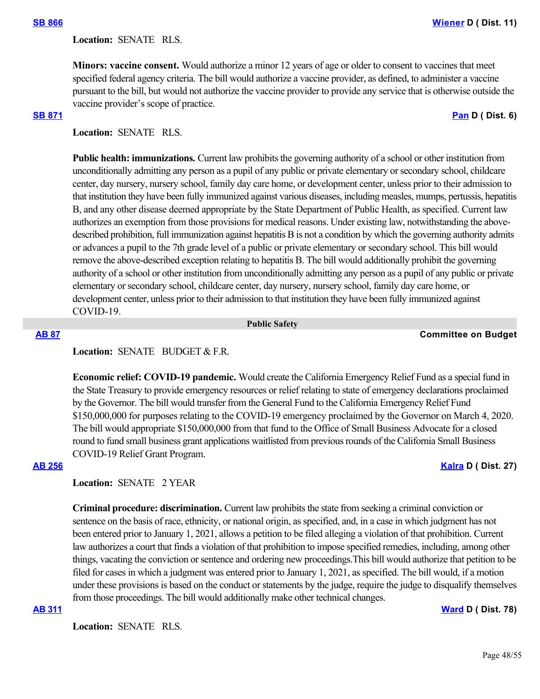## **Location:**  SENATE RLS.

**Minors: vaccine consent.** Would authorize a minor 12 years of age or older to consent to vaccines that meet specified federal agency criteria. The bill would authorize a vaccine provider, as defined, to administer a vaccine pursuant to the bill, but would not authorize the vaccine provider to provide any service that is otherwise outside the vaccine provider's scope of practice.

### **[SB 871](https://ctweb.capitoltrack.com/public/publishbillinfo.aspx?bi=zg17N3H78wuAHw6UznmyKJ5pZZaWo2roAwrBaY%2BfZUWY7ivrgCWennq%2FqaYNNzfv) [Pan](http://sd06.senate.ca.gov/) D ( Dist. 6)**

## **Location:**  SENATE RLS.

**Public health: immunizations.** Current law prohibits the governing authority of a school or other institution from unconditionally admitting any person as a pupil of any public or private elementary or secondary school, childcare center, day nursery, nursery school, family day care home, or development center, unless prior to their admission to that institution they have been fully immunized against various diseases, including measles, mumps, pertussis, hepatitis B, and any other disease deemed appropriate by the State Department of Public Health, as specified. Current law authorizes an exemption from those provisions for medical reasons. Under existing law, notwithstanding the abovedescribed prohibition, full immunization against hepatitis B is not a condition by which the governing authority admits or advances a pupil to the 7th grade level of a public or private elementary or secondary school. This bill would remove the above-described exception relating to hepatitis B. The bill would additionally prohibit the governing authority of a school or other institution from unconditionally admitting any person as a pupil of any public or private elementary or secondary school, childcare center, day nursery, nursery school, family day care home, or development center, unless prior to their admission to that institution they have been fully immunized against COVID-19.

#### **Public Safety**

### **[AB 87](https://ctweb.capitoltrack.com/public/publishbillinfo.aspx?bi=aP6tBr0AiMKGFAYx2CsdLBAC6h8IlxwJmhePJG5%2BQYnibqIKe%2FksE37RChPbnT8a) Committee on Budget**

### Location: **SENATE** BUDGET & F.R.

**Economic relief: COVID-19 pandemic.** Would create the California Emergency Relief Fund as a special fund in the State Treasury to provide emergency resources or relief relating to state of emergency declarations proclaimed by the Governor. The bill would transfer from the General Fund to the California Emergency Relief Fund \$150,000,000 for purposes relating to the COVID-19 emergency proclaimed by the Governor on March 4, 2020. The bill would appropriate \$150,000,000 from that fund to the Office of Small Business Advocate for a closed round to fund small business grant applications waitlisted from previous rounds of the California Small Business COVID-19 Relief Grant Program.

### **[AB 256](https://ctweb.capitoltrack.com/public/publishbillinfo.aspx?bi=rQtYJcf4dXrzHn9e1RwZjOpgoG8pIdmaYjYZUZRFGTfIJrIITioAhm9HEAySE%2FU5) [Kalra](https://a27.asmdc.org/) D ( Dist. 27)**

# Location: **SENATE** 2 YEAR

**Criminal procedure: discrimination.** Current law prohibits the state from seeking a criminal conviction or sentence on the basis of race, ethnicity, or national origin, as specified, and, in a case in which judgment has not been entered prior to January 1, 2021, allows a petition to be filed alleging a violation of that prohibition. Current law authorizes a court that finds a violation of that prohibition to impose specified remedies, including, among other things, vacating the conviction or sentence and ordering new proceedings.This bill would authorize that petition to be filed for cases in which a judgment was entered prior to January 1, 2021, as specified. The bill would, if a motion under these provisions is based on the conduct or statements by the judge, require the judge to disqualify themselves from those proceedings. The bill would additionally make other technical changes.

#### **[AB 311](https://ctweb.capitoltrack.com/public/publishbillinfo.aspx?bi=SNO%2BHariG%2BkgeEhTD4fCLqvFFjZwhpQz8nJXYw5wFDTg2yoIh%2B2U3yJWRZX1AMx%2B) [Ward](https://a78.asmdc.org/) D ( Dist. 78)**

**Location:**  SENATE RLS.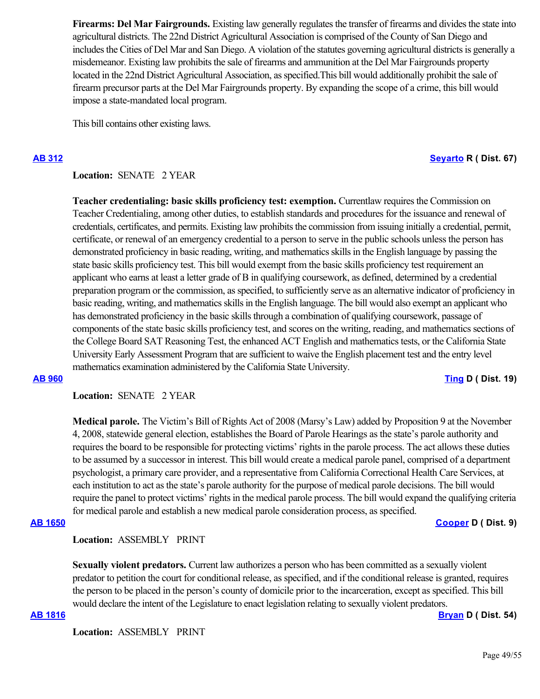**Firearms: Del Mar Fairgrounds.** Existing law generally regulates the transfer of firearms and divides the state into agricultural districts. The 22nd District Agricultural Association is comprised of the County of San Diego and includes the Cities of Del Mar and San Diego. A violation of the statutes governing agricultural districts is generally a misdemeanor. Existing law prohibits the sale of firearms and ammunition at the Del Mar Fairgrounds property located in the 22nd District Agricultural Association, as specified.This bill would additionally prohibit the sale of firearm precursor parts at the Del Mar Fairgrounds property. By expanding the scope of a crime, this bill would impose a state-mandated local program.

This bill contains other existing laws.

## **[AB 312](https://ctweb.capitoltrack.com/public/publishbillinfo.aspx?bi=FjKfgcY2mt3SCkTyoI4d1HrD7k2BCbgXSe6glqFxCKT8Np9N41GlfHYkFpdL%2BXFi) [Seyarto](https://ad67.asmrc.org/) R ( Dist. 67)**

# **Location:**  SENATE 2 YEAR

**Teacher credentialing: basic skills proficiency test: exemption.** Currentlaw requires the Commission on Teacher Credentialing, among other duties, to establish standards and procedures for the issuance and renewal of credentials, certificates, and permits. Existing law prohibits the commission from issuing initially a credential, permit, certificate, or renewal of an emergency credential to a person to serve in the public schools unless the person has demonstrated proficiency in basic reading, writing, and mathematics skills in the English language by passing the state basic skills proficiency test. This bill would exempt from the basic skills proficiency test requirement an applicant who earns at least a letter grade of B in qualifying coursework, as defined, determined by a credential preparation program or the commission, as specified, to sufficiently serve as an alternative indicator of proficiency in basic reading, writing, and mathematics skills in the English language. The bill would also exempt an applicant who has demonstrated proficiency in the basic skills through a combination of qualifying coursework, passage of components of the state basic skills proficiency test, and scores on the writing, reading, and mathematics sections of the College Board SAT Reasoning Test, the enhanced ACT English and mathematics tests, or the California State University Early Assessment Program that are sufficient to waive the English placement test and the entry level mathematics examination administered by the California State University.

**[AB 960](https://ctweb.capitoltrack.com/public/publishbillinfo.aspx?bi=nPmUazv3CfGl4xs3NkwU9nY63ELfjp3XK9ko1a9L7kUQUkufO7KEB3%2FCGttkDq5y) [Ting](https://a19.asmdc.org/) D ( Dist. 19)**

# **Location:**  SENATE 2 YEAR

**Medical parole.** The Victim's Bill of Rights Act of 2008 (Marsy's Law) added by Proposition 9 at the November 4, 2008, statewide general election, establishes the Board of Parole Hearings as the state's parole authority and requires the board to be responsible for protecting victims' rights in the parole process. The act allows these duties to be assumed by a successor in interest. This bill would create a medical parole panel, comprised of a department psychologist, a primary care provider, and a representative from California Correctional Health Care Services, at each institution to act as the state's parole authority for the purpose of medical parole decisions. The bill would require the panel to protect victims' rights in the medical parole process. The bill would expand the qualifying criteria for medical parole and establish a new medical parole consideration process, as specified.

# **[AB 1650](https://ctweb.capitoltrack.com/public/publishbillinfo.aspx?bi=jps%2BM3Z1RfpUQ6ahSKSklM%2BcB0DLxyf9pGJRviSC%2FmjyuNQbIxPNPicmKBznOlN5) [Cooper](https://a09.asmdc.org/) D ( Dist. 9)**

# **Location:**  ASSEMBLY PRINT

**Sexually violent predators.** Current law authorizes a person who has been committed as a sexually violent predator to petition the court for conditional release, as specified, and if the conditional release is granted, requires the person to be placed in the person's county of domicile prior to the incarceration, except as specified. This bill would declare the intent of the Legislature to enact legislation relating to sexually violent predators.

**[AB 1816](https://ctweb.capitoltrack.com/public/publishbillinfo.aspx?bi=J61mpejvz2vJ6zt3Dde1usn6mCchpsi2zEPLx6TwI0spERB07IcdBkzd8OQlOQMr) [Bryan](https://a54.asmdc.org/) D ( Dist. 54)**

**Location:**  ASSEMBLY PRINT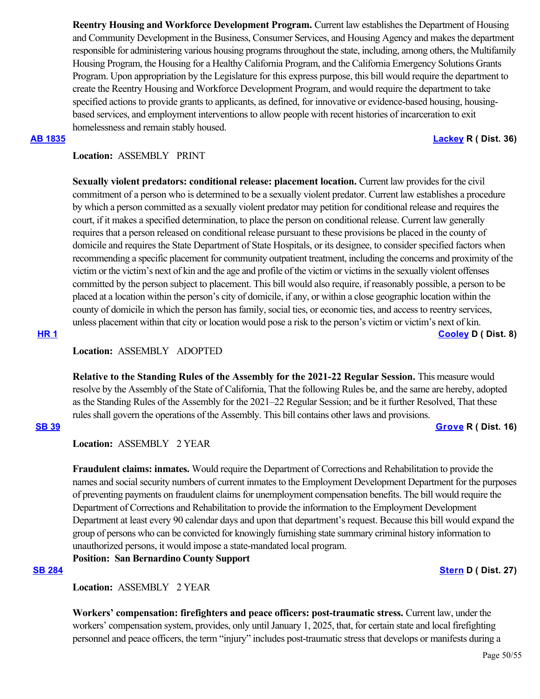**Reentry Housing and Workforce Development Program.** Current law establishes the Department of Housing and Community Development in the Business, Consumer Services, and Housing Agency and makes the department responsible for administering various housing programs throughout the state, including, among others, the Multifamily Housing Program, the Housing for a Healthy California Program, and the California Emergency Solutions Grants Program. Upon appropriation by the Legislature for this express purpose, this bill would require the department to create the Reentry Housing and Workforce Development Program, and would require the department to take specified actions to provide grants to applicants, as defined, for innovative or evidence-based housing, housingbased services, and employment interventions to allow people with recent histories of incarceration to exit homelessness and remain stably housed.

### **[AB 1835](https://ctweb.capitoltrack.com/public/publishbillinfo.aspx?bi=Y7nbPQnoCAVeqxVm9Da%2FAvambEzUkjBgEfyBSQgBvNZxeSi%2FRGmIPx5hJ%2FZj%2FIeT) [Lackey](https://ad36.asmrc.org/) R ( Dist. 36)**

## **Location:**  ASSEMBLY PRINT

**Sexually violent predators: conditional release: placement location.** Current law provides for the civil commitment of a person who is determined to be a sexually violent predator. Current law establishes a procedure by which a person committed as a sexually violent predator may petition for conditional release and requires the court, if it makes a specified determination, to place the person on conditional release. Current law generally requires that a person released on conditional release pursuant to these provisions be placed in the county of domicile and requires the State Department of State Hospitals, or its designee, to consider specified factors when recommending a specific placement for community outpatient treatment, including the concerns and proximity of the victim or the victim's next of kin and the age and profile of the victim or victims in the sexually violent offenses committed by the person subject to placement. This bill would also require, if reasonably possible, a person to be placed at a location within the person's city of domicile, if any, or within a close geographic location within the county of domicile in which the person has family, social ties, or economic ties, and access to reentry services, unless placement within that city or location would pose a risk to the person's victim or victim's next of kin. **[HR 1](https://ctweb.capitoltrack.com/public/publishbillinfo.aspx?bi=Jm%2FyAY%2FX%2FbZqajqviCnPU7wcE2ard6%2B23H4yLIfjTKxLI97jwSCe6SKB6x8OqZoe) [Cooley](https://a08.asmdc.org/) D ( Dist. 8)**

## **Location:**  ASSEMBLY ADOPTED

**Relative to the Standing Rules of the Assembly for the 2021-22 Regular Session.** This measure would resolve by the Assembly of the State of California, That the following Rules be, and the same are hereby, adopted as the Standing Rules of the Assembly for the 2021–22 Regular Session; and be it further Resolved, That these rules shall govern the operations of the Assembly. This bill contains other laws and provisions.

**[SB 39](https://ctweb.capitoltrack.com/public/publishbillinfo.aspx?bi=sUKRFgAc2NMvgSBTS%2F1GGVbYKlZ1ETu1WiOud04YN1dK%2BSF7%2BA6eNuD7QMFsqQbv) [Grove](https://grove.cssrc.us/) R ( Dist. 16)**

## **Location:**  ASSEMBLY 2 YEAR

**Fraudulent claims: inmates.** Would require the Department of Corrections and Rehabilitation to provide the names and social security numbers of current inmates to the Employment Development Department for the purposes of preventing payments on fraudulent claims for unemployment compensation benefits. The bill would require the Department of Corrections and Rehabilitation to provide the information to the Employment Development Department at least every 90 calendar days and upon that department's request. Because this bill would expand the group of persons who can be convicted for knowingly furnishing state summary criminal history information to unauthorized persons, it would impose a state-mandated local program.

**Position: San Bernardino County Support**

# **[SB 284](https://ctweb.capitoltrack.com/public/publishbillinfo.aspx?bi=pfo59AaC5CcBlbAG1B14p2QyzY9s%2Fy6%2F4GGrAzrDy118E94jS7x9jr06vKUaTB3e) [Stern](http://sd27.senate.ca.gov/) D ( Dist. 27)**

**Location:**  ASSEMBLY 2 YEAR

**Workers' compensation: firefighters and peace officers: post-traumatic stress.** Current law, under the workers' compensation system, provides, only until January 1, 2025, that, for certain state and local firefighting personnel and peace officers, the term "injury" includes post-traumatic stress that develops or manifests during a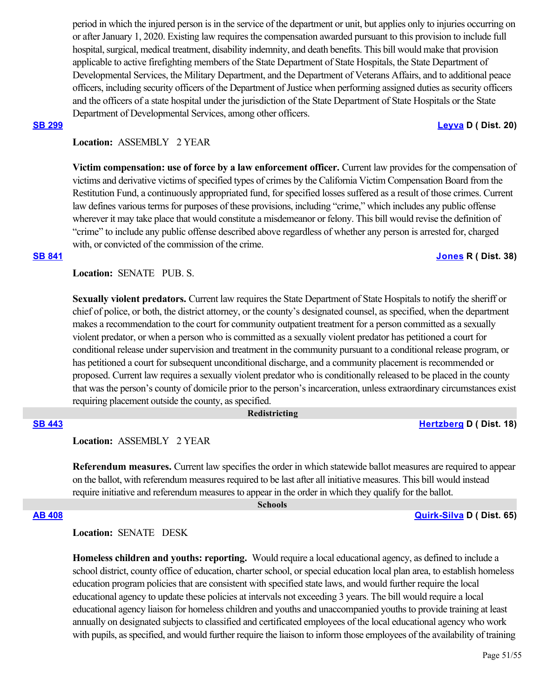period in which the injured person is in the service of the department or unit, but applies only to injuries occurring on or after January 1, 2020. Existing law requires the compensation awarded pursuant to this provision to include full hospital, surgical, medical treatment, disability indemnity, and death benefits. This bill would make that provision applicable to active firefighting members of the State Department of State Hospitals, the State Department of Developmental Services, the Military Department, and the Department of Veterans Affairs, and to additional peace officers, including security officers of the Department of Justice when performing assigned duties as security officers and the officers of a state hospital under the jurisdiction of the State Department of State Hospitals or the State Department of Developmental Services, among other officers.

#### **[SB 299](https://ctweb.capitoltrack.com/public/publishbillinfo.aspx?bi=5m8tyJaJ43VktoJQBcXZ4MoysGntQ9zD5Cfp94xuJYEguIXngZ4dYxUK4RWHKgP4) [Leyva](http://sd20.senate.ca.gov/) D ( Dist. 20)**

### **Location:**  ASSEMBLY 2 YEAR

**Victim compensation: use of force by a law enforcement officer.** Current law provides for the compensation of victims and derivative victims of specified types of crimes by the California Victim Compensation Board from the Restitution Fund, a continuously appropriated fund, for specified losses suffered as a result of those crimes. Current law defines various terms for purposes of these provisions, including "crime," which includes any public offense wherever it may take place that would constitute a misdemeanor or felony. This bill would revise the definition of "crime" to include any public offense described above regardless of whether any person is arrested for, charged with, or convicted of the commission of the crime.

#### **[SB 841](https://ctweb.capitoltrack.com/public/publishbillinfo.aspx?bi=EXXQDedcat9%2B46LSRAfTfll1b16aSrtc3NwU3vTrPHuO5d5yS8qswncT1m65pJby) [Jones](https://jones.cssrc.us/) R ( Dist. 38)**

**Location:**  SENATE PUB. S.

**Sexually violent predators.** Current law requires the State Department of State Hospitals to notify the sheriff or chief of police, or both, the district attorney, or the county's designated counsel, as specified, when the department makes a recommendation to the court for community outpatient treatment for a person committed as a sexually violent predator, or when a person who is committed as a sexually violent predator has petitioned a court for conditional release under supervision and treatment in the community pursuant to a conditional release program, or has petitioned a court for subsequent unconditional discharge, and a community placement is recommended or proposed. Current law requires a sexually violent predator who is conditionally released to be placed in the county that was the person's county of domicile prior to the person's incarceration, unless extraordinary circumstances exist requiring placement outside the county, as specified.

#### **Redistricting**

### **[SB 443](https://ctweb.capitoltrack.com/public/publishbillinfo.aspx?bi=HIojWqTdpascDXzdrowFDmZfMBn6ikUpCG3ceZICtuNK6Drr9Vz38JPGnn2sEp40) [Hertzberg](https://sd18.senate.ca.gov/) D ( Dist. 18)**

**Location:**  ASSEMBLY 2 YEAR

**Referendum measures.** Current law specifies the order in which statewide ballot measures are required to appear on the ballot, with referendum measures required to be last after all initiative measures. This bill would instead require initiative and referendum measures to appear in the order in which they qualify for the ballot.

 **Schools**

**[AB 408](https://ctweb.capitoltrack.com/public/publishbillinfo.aspx?bi=m3m8rEkAcDZBKMwu3d7LNwvEQkFtgVtPg5HZ0KUQxJdi%2FpPLe0OhkVrxV0vi59Zr) [Quirk-Silva](https://a65.asmdc.org/) D ( Dist. 65)**

### **Location:**  SENATE DESK

**Homeless children and youths: reporting.** Would require a local educational agency, as defined to include a school district, county office of education, charter school, or special education local plan area, to establish homeless education program policies that are consistent with specified state laws, and would further require the local educational agency to update these policies at intervals not exceeding 3 years. The bill would require a local educational agency liaison for homeless children and youths and unaccompanied youths to provide training at least annually on designated subjects to classified and certificated employees of the local educational agency who work with pupils, as specified, and would further require the liaison to inform those employees of the availability of training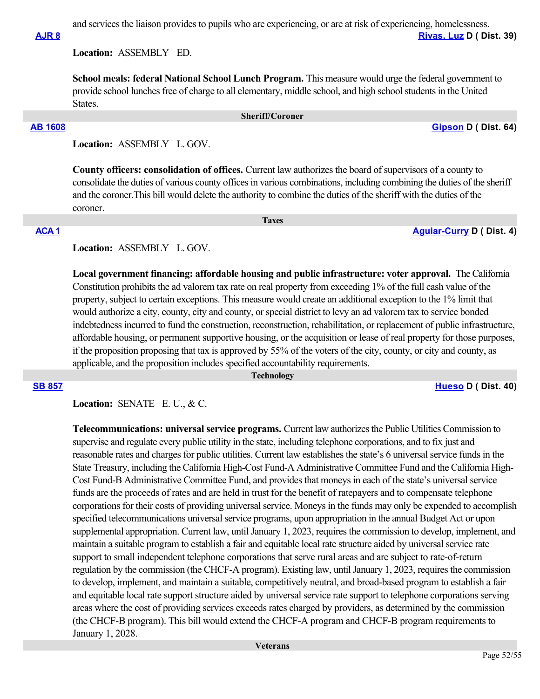and services the liaison provides to pupils who are experiencing, or are at risk of experiencing, homelessness.

**[AJR 8](https://ctweb.capitoltrack.com/public/publishbillinfo.aspx?bi=v4%2B0xj2Ty4VOuB755EUx7TIU%2FiDqC1JYXWz9PsnQvsbnclKsucmy0nxLqyxNFpWv) [Rivas, Luz](https://a39.asmdc.org/) D ( Dist. 39)**

**Location:**  ASSEMBLY ED.

**School meals: federal National School Lunch Program.** This measure would urge the federal government to provide school lunches free of charge to all elementary, middle school, and high school students in the United States.

### **Sheriff/Coroner**

 **Taxes**

**[AB 1608](https://ctweb.capitoltrack.com/public/publishbillinfo.aspx?bi=2wpBJxC0ubOrI0Aj17ki5THOC5O3h0jlbKqkHkco4lIy4OuaP4FYP7XFEBwomJKI) [Gipson](https://a64.asmdc.org/) D ( Dist. 64)**

**Location:**  ASSEMBLY L. GOV.

**County officers: consolidation of offices.** Current law authorizes the board of supervisors of a county to consolidate the duties of various county offices in various combinations, including combining the duties of the sheriff and the coroner.This bill would delete the authority to combine the duties of the sheriff with the duties of the coroner.

**[ACA 1](https://ctweb.capitoltrack.com/public/publishbillinfo.aspx?bi=vkAbgpBB9wOKQrx%2F6m3DJE4Lfzjw%2B69Lv7GxnaWpsGPIGgKDXm0xJSIkZsa8QVVB) [Aguiar-Curry](https://a04.asmdc.org/) D ( Dist. 4)**

**Location:**  ASSEMBLY L. GOV.

**Local government financing: affordable housing and public infrastructure: voter approval.** The California Constitution prohibits the ad valorem tax rate on real property from exceeding 1% of the full cash value of the property, subject to certain exceptions. This measure would create an additional exception to the 1% limit that would authorize a city, county, city and county, or special district to levy an ad valorem tax to service bonded indebtedness incurred to fund the construction, reconstruction, rehabilitation, or replacement of public infrastructure, affordable housing, or permanent supportive housing, or the acquisition or lease of real property for those purposes, if the proposition proposing that tax is approved by 55% of the voters of the city, county, or city and county, as applicable, and the proposition includes specified accountability requirements.

 **Technology**

**[SB 857](https://ctweb.capitoltrack.com/public/publishbillinfo.aspx?bi=XoSLnRumH%2FCJPqtdv24%2FSK%2FqGs9XWXRgYnxe4W%2FV7fVXWIQH8b0Bune9SQ9py9g3) [Hueso](http://sd40.senate.ca.gov/) D ( Dist. 40)**

**Location:**  SENATE E. U., & C.

**Telecommunications: universal service programs.** Current law authorizes the Public Utilities Commission to supervise and regulate every public utility in the state, including telephone corporations, and to fix just and reasonable rates and charges for public utilities. Current law establishes the state's 6 universal service funds in the State Treasury, including the California High-Cost Fund-A Administrative Committee Fund and the California High-Cost Fund-B Administrative Committee Fund, and provides that moneys in each of the state's universal service funds are the proceeds of rates and are held in trust for the benefit of ratepayers and to compensate telephone corporations for their costs of providing universal service. Moneys in the funds may only be expended to accomplish specified telecommunications universal service programs, upon appropriation in the annual Budget Act or upon supplemental appropriation. Current law, until January 1, 2023, requires the commission to develop, implement, and maintain a suitable program to establish a fair and equitable local rate structure aided by universal service rate support to small independent telephone corporations that serve rural areas and are subject to rate-of-return regulation by the commission (the CHCF-A program). Existing law, until January 1, 2023, requires the commission to develop, implement, and maintain a suitable, competitively neutral, and broad-based program to establish a fair and equitable local rate support structure aided by universal service rate support to telephone corporations serving areas where the cost of providing services exceeds rates charged by providers, as determined by the commission (the CHCF-B program). This bill would extend the CHCF-A program and CHCF-B program requirements to January 1, 2028.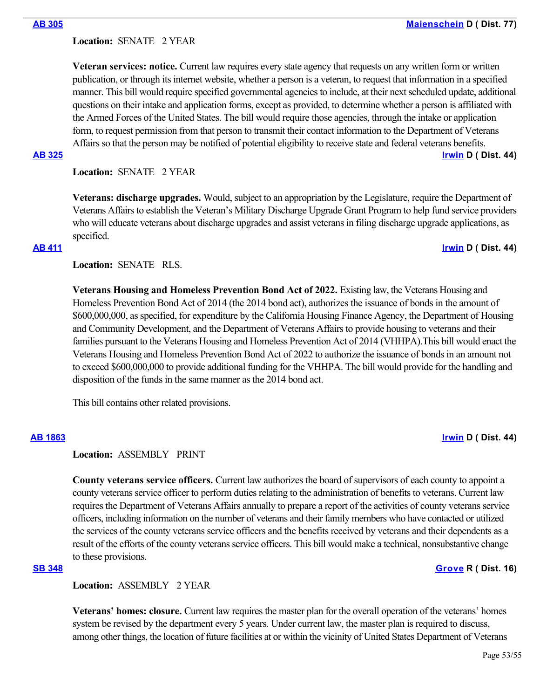# **Location:**  SENATE 2 YEAR

**Veteran services: notice.** Current law requires every state agency that requests on any written form or written publication, or through its internet website, whether a person is a veteran, to request that information in a specified manner. This bill would require specified governmental agencies to include, at their next scheduled update, additional questions on their intake and application forms, except as provided, to determine whether a person is affiliated with the Armed Forces of the United States. The bill would require those agencies, through the intake or application form, to request permission from that person to transmit their contact information to the Department of Veterans Affairs so that the person may be notified of potential eligibility to receive state and federal veterans benefits. **[AB 325](https://ctweb.capitoltrack.com/public/publishbillinfo.aspx?bi=WeYjmgsEqjXuM4VU%2B%2BzNJjGMW68mpb%2BT1a7jtKSOweDfPgSidGvi4uADGyKTqHz1) [Irwin](https://a44.asmdc.org/) D ( Dist. 44)**

**Location:**  SENATE 2 YEAR

**Veterans: discharge upgrades.** Would, subject to an appropriation by the Legislature, require the Department of Veterans Affairs to establish the Veteran's Military Discharge Upgrade Grant Program to help fund service providers who will educate veterans about discharge upgrades and assist veterans in filing discharge upgrade applications, as specified.

## **[AB 411](https://ctweb.capitoltrack.com/public/publishbillinfo.aspx?bi=6IwhXVaxMzjl9v%2BGayCf4CP6tdK1hC14JWJSWj9pNaZK2MjOO4pqVVPP%2BlmhXeUY) [Irwin](https://a44.asmdc.org/) D ( Dist. 44)**

# **Location:**  SENATE RLS.

**Veterans Housing and Homeless Prevention Bond Act of 2022.** Existing law, the Veterans Housing and Homeless Prevention Bond Act of 2014 (the 2014 bond act), authorizes the issuance of bonds in the amount of \$600,000,000, as specified, for expenditure by the California Housing Finance Agency, the Department of Housing and Community Development, and the Department of Veterans Affairs to provide housing to veterans and their families pursuant to the Veterans Housing and Homeless Prevention Act of 2014 (VHHPA).This bill would enact the Veterans Housing and Homeless Prevention Bond Act of 2022 to authorize the issuance of bonds in an amount not to exceed \$600,000,000 to provide additional funding for the VHHPA. The bill would provide for the handling and disposition of the funds in the same manner as the 2014 bond act.

This bill contains other related provisions.

# **[AB 1863](https://ctweb.capitoltrack.com/public/publishbillinfo.aspx?bi=at9QiXH9Gza0bsCLzHbMaubs%2BIerV1Zi6TKtguZyEnHeELvGKSk5SUMXY%2F1nE2v8) [Irwin](https://a44.asmdc.org/) D ( Dist. 44)**

# **Location:**  ASSEMBLY PRINT

**County veterans service officers.** Current law authorizes the board of supervisors of each county to appoint a county veterans service officer to perform duties relating to the administration of benefits to veterans. Current law requires the Department of Veterans Affairs annually to prepare a report of the activities of county veterans service officers, including information on the number of veterans and their family members who have contacted or utilized the services of the county veterans service officers and the benefits received by veterans and their dependents as a result of the efforts of the county veterans service officers. This bill would make a technical, nonsubstantive change to these provisions.

# **[SB 348](https://ctweb.capitoltrack.com/public/publishbillinfo.aspx?bi=nLXgUtIujQf8UKXVZS9hVdSm0hqz67MIYYZdXKGTKhPzpB31PxX1pHNLmmpxBZbu) [Grove](https://grove.cssrc.us/) R ( Dist. 16)**

**Location:**  ASSEMBLY 2 YEAR

**Veterans' homes: closure.** Current law requires the master plan for the overall operation of the veterans' homes system be revised by the department every 5 years. Under current law, the master plan is required to discuss, among other things, the location of future facilities at or within the vicinity of United States Department of Veterans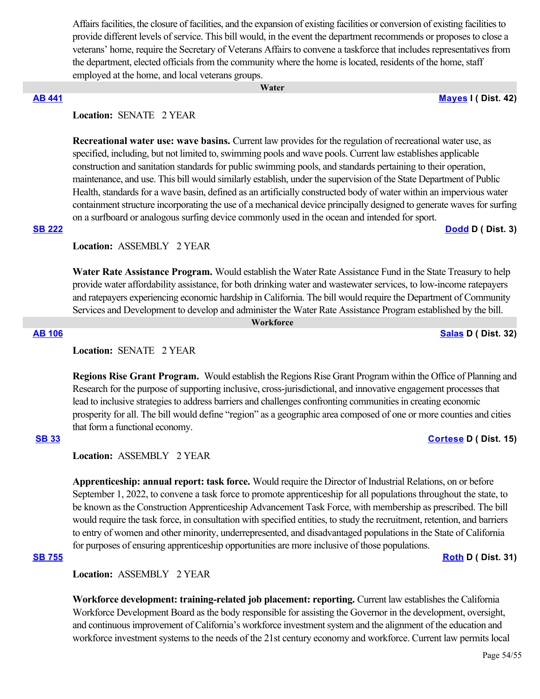Affairs facilities, the closure of facilities, and the expansion of existing facilities or conversion of existing facilities to provide different levels of service. This bill would, in the event the department recommends or proposes to close a veterans' home, require the Secretary of Veterans Affairs to convene a taskforce that includes representatives from the department, elected officials from the community where the home is located, residents of the home, staff employed at the home, and local veterans groups.

#### **Water**

#### **[AB 441](https://ctweb.capitoltrack.com/public/publishbillinfo.aspx?bi=oqyp6GJ0p0sy9WvFZ2GTH%2FYL4lTm5%2B6CBmHGWmTfS%2FGDq1drB5MKBjVuoTtcFywR) [Mayes](https://www.assembly.ca.gov/assemblymemberchadmayes) I ( Dist. 42)**

# **Location:**  SENATE 2 YEAR

**Recreational water use: wave basins.** Current law provides for the regulation of recreational water use, as specified, including, but not limited to, swimming pools and wave pools. Current law establishes applicable construction and sanitation standards for public swimming pools, and standards pertaining to their operation, maintenance, and use. This bill would similarly establish, under the supervision of the State Department of Public Health, standards for a wave basin, defined as an artificially constructed body of water within an impervious water containment structure incorporating the use of a mechanical device principally designed to generate waves for surfing on a surfboard or analogous surfing device commonly used in the ocean and intended for sport.

#### **[SB 222](https://ctweb.capitoltrack.com/public/publishbillinfo.aspx?bi=7sVgn2aW5KlbSu52Ipo6jKfrv%2B9UmFmFS%2F2T%2BTQ4qnAAuRJnojTSViiGLctcdCK5) [Dodd](http://sd03.senate.ca.gov/) D ( Dist. 3)**

# **Location:**  ASSEMBLY 2 YEAR

**Water Rate Assistance Program.** Would establish the Water Rate Assistance Fund in the State Treasury to help provide water affordability assistance, for both drinking water and wastewater services, to low-income ratepayers and ratepayers experiencing economic hardship in California. The bill would require the Department of Community Services and Development to develop and administer the Water Rate Assistance Program established by the bill.

 **Workforce**

### **[AB 106](https://ctweb.capitoltrack.com/public/publishbillinfo.aspx?bi=TSHJENppxbfSG53un6%2BUCngvhXso2lgVZ4pSYQx3GPXcEkM9Nfz4NFNaLhigTmpX) [Salas](https://a32.asmdc.org/) D ( Dist. 32)**

Location: **SENATE** 2 YEAR

**Regions Rise Grant Program.** Would establish the Regions Rise Grant Program within the Office of Planning and Research for the purpose of supporting inclusive, cross-jurisdictional, and innovative engagement processes that lead to inclusive strategies to address barriers and challenges confronting communities in creating economic prosperity for all. The bill would define "region" as a geographic area composed of one or more counties and cities that form a functional economy.

# **[SB 33](https://ctweb.capitoltrack.com/public/publishbillinfo.aspx?bi=z2uhVZovYdQ5Rd5SBow7bxolla7xKqhJljdhJ%2BHhZkYiSCnpTQ9HmMwlSIIvhSnu) [Cortese](http://sd15.senate.ca.gov/) D ( Dist. 15)**

**Location:**  ASSEMBLY 2 YEAR

**Apprenticeship: annual report: task force.** Would require the Director of Industrial Relations, on or before September 1, 2022, to convene a task force to promote apprenticeship for all populations throughout the state, to be known as the Construction Apprenticeship Advancement Task Force, with membership as prescribed. The bill would require the task force, in consultation with specified entities, to study the recruitment, retention, and barriers to entry of women and other minority, underrepresented, and disadvantaged populations in the State of California for purposes of ensuring apprenticeship opportunities are more inclusive of those populations.

### **[SB 755](https://ctweb.capitoltrack.com/public/publishbillinfo.aspx?bi=O0EKjk6MHnc0I1vTba5%2FX56KGox9itc5QlYD8TmF0P4IulqDEyMJsCfimeMKPxf4) [Roth](http://sd31.senate.ca.gov/)** D ( Dist. 31)

**Location:**  ASSEMBLY 2 YEAR

**Workforce development: training-related job placement: reporting.** Current law establishes the California Workforce Development Board as the body responsible for assisting the Governor in the development, oversight, and continuous improvement of California's workforce investment system and the alignment of the education and workforce investment systems to the needs of the 21st century economy and workforce. Current law permits local